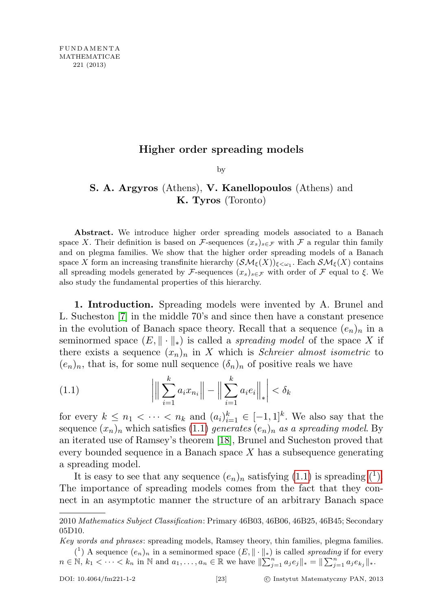## Higher order spreading models

by

## S. A. Argyros (Athens), V. Kanellopoulos (Athens) and K. Tyros (Toronto)

Abstract. We introduce higher order spreading models associated to a Banach space X. Their definition is based on F-sequences  $(x_s)_{s \in \mathcal{F}}$  with F a regular thin family and on plegma families. We show that the higher order spreading models of a Banach space X form an increasing transfinite hierarchy  $(\mathcal{SM}_{\xi}(X))_{\xi<\omega_1}$ . Each  $\mathcal{SM}_{\xi}(X)$  contains all spreading models generated by F-sequences  $(x_s)_{s\in\mathcal{F}}$  with order of F equal to  $\xi$ . We also study the fundamental properties of this hierarchy.

1. Introduction. Spreading models were invented by A. Brunel and L. Sucheston [\[7\]](#page-44-0) in the middle 70's and since then have a constant presence in the evolution of Banach space theory. Recall that a sequence  $(e_n)_n$  in a seminormed space  $(E, \|\cdot\|_*)$  is called a *spreading model* of the space X if there exists a sequence  $(x_n)_n$  in X which is *Schreier almost isometric* to  $(e_n)_n$ , that is, for some null sequence  $(\delta_n)_n$  of positive reals we have

<span id="page-0-0"></span>(1.1) 
$$
\left| \left\| \sum_{i=1}^{k} a_i x_{n_i} \right\| - \left\| \sum_{i=1}^{k} a_i e_i \right\|_* \right| < \delta_k
$$

for every  $k \leq n_1 < \cdots < n_k$  and  $(a_i)_{i=1}^k \in [-1,1]^k$ . We also say that the sequence  $(x_n)_n$  which satisfies [\(1.1\)](#page-0-0) generates  $(e_n)_n$  as a spreading model. By an iterated use of Ramsey's theorem [\[18\]](#page-45-0), Brunel and Sucheston proved that every bounded sequence in a Banach space  $X$  has a subsequence generating a spreading model.

It is easy to see that any sequence  $(e_n)_n$  satisfying  $(1.1)$  is spreading  $(1)$ . The importance of spreading models comes from the fact that they connect in an asymptotic manner the structure of an arbitrary Banach space

<span id="page-0-1"></span>Key words and phrases: spreading models, Ramsey theory, thin families, plegma families. (<sup>1</sup>) A sequence  $(e_n)_n$  in a seminormed space  $(E, \|\cdot\|_*)$  is called spreading if for every

 $n \in \mathbb{N}, k_1 < \cdots < k_n$  in  $\mathbb{N}$  and  $a_1, \ldots, a_n \in \mathbb{R}$  we have  $\|\sum_{j=1}^n a_j e_j\|_* = \|\sum_{j=1}^n a_j e_{k_j}\|_*$ .

<sup>2010</sup> Mathematics Subject Classification: Primary 46B03, 46B06, 46B25, 46B45; Secondary 05D10.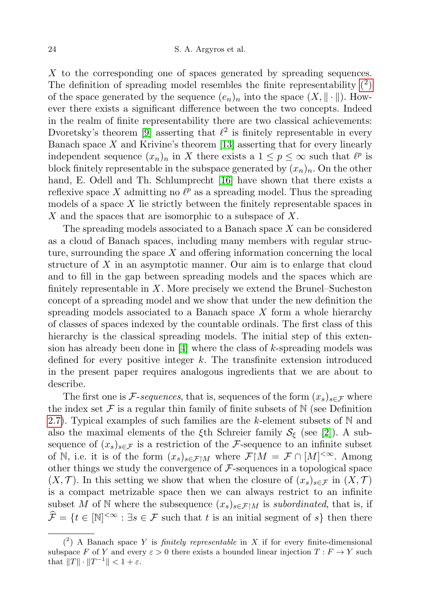X to the corresponding one of spaces generated by spreading sequences. The definition of spreading model resembles the finite representability  $(2)$ of the space generated by the sequence  $(e_n)_n$  into the space  $(X, \|\cdot\|)$ . However there exists a significant difference between the two concepts. Indeed in the realm of finite representability there are two classical achievements: Dvoretsky's theorem [\[9\]](#page-44-1) asserting that  $\ell^2$  is finitely representable in every Banach space  $X$  and Krivine's theorem [\[13\]](#page-45-1) asserting that for every linearly independent sequence  $(x_n)_n$  in X there exists a  $1 \leq p \leq \infty$  such that  $\ell^p$  is block finitely representable in the subspace generated by  $(x_n)_n$ . On the other hand, E. Odell and Th. Schlumprecht [\[16\]](#page-45-2) have shown that there exists a reflexive space X admitting no  $\ell^p$  as a spreading model. Thus the spreading models of a space  $X$  lie strictly between the finitely representable spaces in X and the spaces that are isomorphic to a subspace of X.

The spreading models associated to a Banach space X can be considered as a cloud of Banach spaces, including many members with regular structure, surrounding the space  $X$  and offering information concerning the local structure of  $X$  in an asymptotic manner. Our aim is to enlarge that cloud and to fill in the gap between spreading models and the spaces which are finitely representable in  $X$ . More precisely we extend the Brunel–Sucheston concept of a spreading model and we show that under the new definition the spreading models associated to a Banach space  $X$  form a whole hierarchy of classes of spaces indexed by the countable ordinals. The first class of this hierarchy is the classical spreading models. The initial step of this extension has already been done in  $[4]$  where the class of k-spreading models was defined for every positive integer  $k$ . The transfinite extension introduced in the present paper requires analogous ingredients that we are about to describe.

The first one is F-sequences, that is, sequences of the form  $(x_s)_{s\in\mathcal{F}}$  where the index set  $\mathcal F$  is a regular thin family of finite subsets of  $\mathbb N$  (see Definition [2.7\)](#page-7-0). Typical examples of such families are the k-element subsets of  $\mathbb N$  and also the maximal elements of the  $\xi$ th Schreier family  $S_{\xi}$  (see [\[2\]](#page-44-3)). A subsequence of  $(x_s)_{s \in \mathcal{F}}$  is a restriction of the *F*-sequence to an infinite subset of N, i.e. it is of the form  $(x_s)_{s \in \mathcal{F} \upharpoonright M}$  where  $\mathcal{F} \upharpoonright M = \mathcal{F} \cap [M]^{< \infty}$ . Among other things we study the convergence of  $\mathcal F$ -sequences in a topological space  $(X, \mathcal{T})$ . In this setting we show that when the closure of  $(x_s)_{s\in\mathcal{F}}$  in  $(X, \mathcal{T})$ is a compact metrizable space then we can always restrict to an infinite subset M of N where the subsequence  $(x_s)_{s \in \mathcal{F} \upharpoonright M}$  is subordinated, that is, if  $\widehat{\mathcal{F}} = \{t \in [\mathbb{N}]^{< \infty} : \exists s \in \mathcal{F} \text{ such that } t \text{ is an initial segment of } s\} \text{ then there}$ 

<span id="page-1-0"></span> $(2)$  A Banach space Y is *finitely representable* in X if for every finite-dimensional subspace F of Y and every  $\varepsilon > 0$  there exists a bounded linear injection  $T : F \to Y$  such that  $||T|| \cdot ||T^{-1}|| < 1 + \varepsilon$ .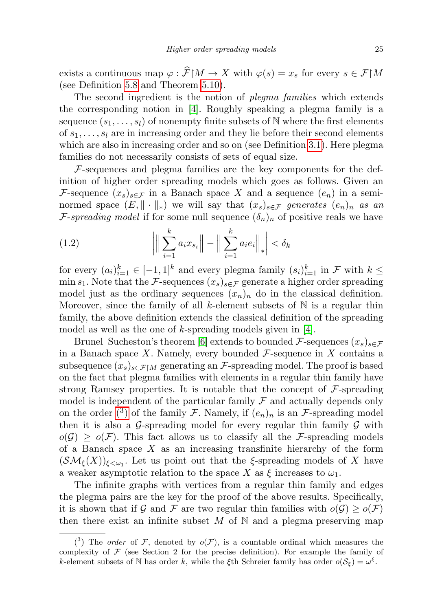exists a continuous map  $\varphi : \widehat{\mathcal{F}}[M \to X \text{ with } \varphi(s) = x_s \text{ for every } s \in \mathcal{F}[M]$ (see Definition [5.8](#page-25-0) and Theorem [5.10\)](#page-26-0).

The second ingredient is the notion of *plegma families* which extends the corresponding notion in [\[4\]](#page-44-2). Roughly speaking a plegma family is a sequence  $(s_1, \ldots, s_l)$  of nonempty finite subsets of N where the first elements of  $s_1, \ldots, s_l$  are in increasing order and they lie before their second elements which are also in increasing order and so on (see Definition [3.1\)](#page-9-0). Here plegma families do not necessarily consists of sets of equal size.

 $F$ -sequences and plegma families are the key components for the definition of higher order spreading models which goes as follows. Given an F-sequence  $(x_s)_{s \in \mathcal{F}}$  in a Banach space X and a sequence  $(e_n)$  in a seminormed space  $(E, \|\cdot\|_*)$  we will say that  $(x_s)_{s \in \mathcal{F}}$  generates  $(e_n)_n$  as an F-spreading model if for some null sequence  $(\delta_n)_n$  of positive reals we have

(1.2) 
$$
\left| \left\| \sum_{i=1}^{k} a_i x_{s_i} \right\| - \left\| \sum_{i=1}^{k} a_i e_i \right\|_* \right| < \delta_k
$$

for every  $(a_i)_{i=1}^k \in [-1,1]^k$  and every plegma family  $(s_i)_{i=1}^k$  in  $\mathcal F$  with  $k \leq$ min s<sub>1</sub>. Note that the F-sequences  $(x_s)_{s \in \mathcal{F}}$  generate a higher order spreading model just as the ordinary sequences  $(x_n)_n$  do in the classical definition. Moreover, since the family of all k-element subsets of  $\mathbb N$  is a regular thin family, the above definition extends the classical definition of the spreading model as well as the one of  $k$ -spreading models given in [\[4\]](#page-44-2).

Brunel–Sucheston's theorem [\[6\]](#page-44-4) extends to bounded  $\mathcal{F}$ -sequences  $(x_s)_{s \in \mathcal{F}}$ in a Banach space  $X$ . Namely, every bounded  $\mathcal{F}$ -sequence in  $X$  contains a subsequence  $(x_s)_{s\in\mathcal{F}\upharpoonright M}$  generating an F-spreading model. The proof is based on the fact that plegma families with elements in a regular thin family have strong Ramsey properties. It is notable that the concept of  $\mathcal F$ -spreading model is independent of the particular family  $\mathcal F$  and actually depends only on the order [\(](#page-2-0)<sup>3</sup>) of the family F. Namely, if  $(e_n)_n$  is an F-spreading model then it is also a G-spreading model for every regular thin family  $\mathcal G$  with  $o(\mathcal{G}) \geq o(\mathcal{F})$ . This fact allows us to classify all the F-spreading models of a Banach space  $X$  as an increasing transfinite hierarchy of the form  $(\mathcal{SM}_{\xi}(X))_{\xi<\omega_1}$ . Let us point out that the ξ-spreading models of X have a weaker asymptotic relation to the space X as  $\xi$  increases to  $\omega_1$ .

The infinite graphs with vertices from a regular thin family and edges the plegma pairs are the key for the proof of the above results. Specifically, it is shown that if G and F are two regular thin families with  $o(G) \geq o(F)$ then there exist an infinite subset  $M$  of  $\mathbb N$  and a plegma preserving map

<span id="page-2-0"></span> $(3)$  The *order* of F, denoted by  $o(F)$ , is a countable ordinal which measures the complexity of  $\mathcal F$  (see Section 2 for the precise definition). For example the family of k-element subsets of N has order k, while the  $\xi$ th Schreier family has order  $o(S_{\xi}) = \omega^{\xi}$ .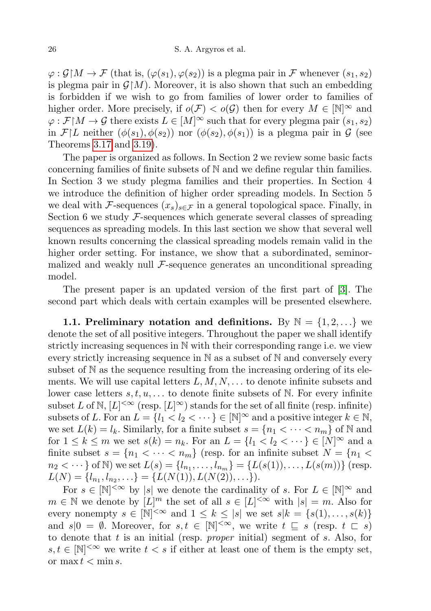$\varphi: \mathcal{G} | M \to \mathcal{F}$  (that is,  $(\varphi(s_1), \varphi(s_2))$ ) is a plegma pair in  $\mathcal{F}$  whenever  $(s_1, s_2)$ is plegma pair in  $\mathcal{G}[M]$ . Moreover, it is also shown that such an embedding is forbidden if we wish to go from families of lower order to families of higher order. More precisely, if  $o(\mathcal{F}) < o(\mathcal{G})$  then for every  $M \in \mathbb{N}^{\infty}$  and  $\varphi : \mathcal{F} \mid M \to \mathcal{G}$  there exists  $L \in [M]^{\infty}$  such that for every plegma pair  $(s_1, s_2)$ in  $\mathcal{F}[L]$  neither  $(\phi(s_1), \phi(s_2))$  nor  $(\phi(s_2), \phi(s_1))$  is a plegma pair in  $\mathcal{G}$  (see Theorems [3.17](#page-16-0) and [3.19\)](#page-17-0).

The paper is organized as follows. In Section 2 we review some basic facts concerning families of finite subsets of N and we define regular thin families. In Section 3 we study plegma families and their properties. In Section 4 we introduce the definition of higher order spreading models. In Section 5 we deal with F-sequences  $(x_s)_{s \in \mathcal{F}}$  in a general topological space. Finally, in Section 6 we study  $\mathcal{F}$ -sequences which generate several classes of spreading sequences as spreading models. In this last section we show that several well known results concerning the classical spreading models remain valid in the higher order setting. For instance, we show that a subordinated, seminormalized and weakly null  $\mathcal{F}\text{-sequence generates an unconditional spreading}$ model.

The present paper is an updated version of the first part of [\[3\]](#page-44-5). The second part which deals with certain examples will be presented elsewhere.

1.1. Preliminary notation and definitions. By  $\mathbb{N} = \{1, 2, \ldots\}$  we denote the set of all positive integers. Throughout the paper we shall identify strictly increasing sequences in N with their corresponding range i.e. we view every strictly increasing sequence in N as a subset of N and conversely every subset of N as the sequence resulting from the increasing ordering of its elements. We will use capital letters  $L, M, N, \ldots$  to denote infinite subsets and lower case letters  $s, t, u, \ldots$  to denote finite subsets of N. For every infinite subset L of N,  $[L]^{<\infty}$  (resp.  $[L]^\infty$ ) stands for the set of all finite (resp. infinite) subsets of L. For an  $L = \{l_1 < l_2 < \cdots \} \in [\mathbb{N}]^{\infty}$  and a positive integer  $k \in \mathbb{N}$ , we set  $L(k) = l_k$ . Similarly, for a finite subset  $s = \{n_1 < \cdots < n_m\}$  of N and for  $1 \leq k \leq m$  we set  $s(k) = n_k$ . For an  $L = \{l_1 < l_2 < \cdots \} \in [N]^\infty$  and a finite subset  $s = \{n_1 < \cdots < n_m\}$  (resp. for an infinite subset  $N = \{n_1 <$  $n_2 < \dots$ } of N) we set  $L(s) = \{l_{n_1}, \dots, l_{n_m}\} = \{L(s(1)), \dots, L(s(m))\}$  (resp.  $L(N) = \{l_{n_1}, l_{n_2}, \ldots\} = \{L(N(1)), L(N(2)), \ldots\}).$ 

For  $s \in [\mathbb{N}]^{<\infty}$  by |s| we denote the cardinality of s. For  $L \in [\mathbb{N}]^{\infty}$  and  $m \in \mathbb{N}$  we denote by  $[L]^m$  the set of all  $s \in [L]^{< \infty}$  with  $|s| = m$ . Also for every nonempty  $s \in [\mathbb{N}]^{<\infty}$  and  $1 \leq k \leq |s|$  we set  $s|k = \{s(1), \ldots, s(k)\}\$ and  $s|0 = \emptyset$ . Moreover, for  $s, t \in [\mathbb{N}]^{<\infty}$ , we write  $t \subseteq s$  (resp.  $t \subset s$ ) to denote that t is an initial (resp. *proper* initial) segment of s. Also, for  $s, t \in [\mathbb{N}]^{<\infty}$  we write  $t < s$  if either at least one of them is the empty set, or max  $t < \min s$ .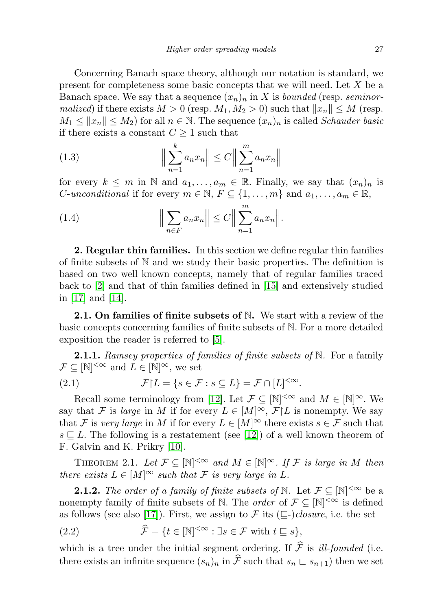Concerning Banach space theory, although our notation is standard, we present for completeness some basic concepts that we will need. Let  $X$  be a Banach space. We say that a sequence  $(x_n)_n$  in X is bounded (resp. seminormalized) if there exists  $M > 0$  (resp.  $M_1, M_2 > 0$ ) such that  $||x_n|| \leq M$  (resp.  $M_1 \le ||x_n|| \le M_2$ ) for all  $n \in \mathbb{N}$ . The sequence  $(x_n)_n$  is called Schauder basic if there exists a constant  $C \geq 1$  such that

(1.3) 
$$
\left\| \sum_{n=1}^{k} a_n x_n \right\| \leq C \left\| \sum_{n=1}^{m} a_n x_n \right\|
$$

for every  $k \leq m$  in N and  $a_1, \ldots, a_m \in \mathbb{R}$ . Finally, we say that  $(x_n)_n$  is *C*-unconditional if for every  $m \in \mathbb{N}$ ,  $F \subseteq \{1, \ldots, m\}$  and  $a_1, \ldots, a_m \in \mathbb{R}$ ,

(1.4) 
$$
\Big\|\sum_{n\in F} a_n x_n\Big\| \leq C \Big\|\sum_{n=1}^m a_n x_n\Big\|.
$$

2. Regular thin families. In this section we define regular thin families of finite subsets of N and we study their basic properties. The definition is based on two well known concepts, namely that of regular families traced back to [\[2\]](#page-44-3) and that of thin families defined in [\[15\]](#page-45-3) and extensively studied in [\[17\]](#page-45-4) and [\[14\]](#page-45-5).

**2.1. On families of finite subsets of N.** We start with a review of the basic concepts concerning families of finite subsets of N. For a more detailed exposition the reader is referred to [\[5\]](#page-44-6).

**2.1.1.** Ramsey properties of families of finite subsets of  $\mathbb N$ . For a family  $\mathcal{F} \subseteq [\mathbb{N}]^{<\infty}$  and  $L \in [\mathbb{N}]^{\infty}$ , we set

(2.1) 
$$
\mathcal{F}[L = \{s \in \mathcal{F} : s \subseteq L\} = \mathcal{F} \cap [L]^{< \infty}.
$$

Recall some terminology from [\[12\]](#page-45-6). Let  $\mathcal{F} \subseteq [\mathbb{N}]^{<\infty}$  and  $M \in [\mathbb{N}]^{\infty}$ . We say that F is large in M if for every  $L \in [M]^\infty$ ,  $\mathcal{F} \restriction L$  is nonempty. We say that F is very large in M if for every  $L \in [M]^\infty$  there exists  $s \in \mathcal{F}$  such that  $s \sqsubseteq L$ . The following is a restatement (see [\[12\]](#page-45-6)) of a well known theorem of F. Galvin and K. Prikry [\[10\]](#page-45-7).

<span id="page-4-0"></span>THEOREM 2.1. Let  $\mathcal{F} \subseteq [\mathbb{N}]^{<\infty}$  and  $M \in [\mathbb{N}]^{\infty}$ . If  $\mathcal{F}$  is large in M then there exists  $L \in [M]^\infty$  such that F is very large in L.

**2.1.2.** The order of a family of finite subsets of N. Let  $\mathcal{F} \subseteq [\mathbb{N}]^{<\infty}$  be a nonempty family of finite subsets of N. The *order* of  $\mathcal{F} \subseteq |\mathbb{N}|^{\leq \infty}$  is defined as follows (see also [\[17\]](#page-45-4)). First, we assign to F its  $(\sqsubseteq$ -)closure, i.e. the set

(2.2) 
$$
\widehat{\mathcal{F}} = \{t \in [\mathbb{N}]^{<\infty} : \exists s \in \mathcal{F} \text{ with } t \sqsubseteq s\},
$$

which is a tree under the initial segment ordering. If  $\hat{\mathcal{F}}$  is *ill-founded* (i.e. there exists an infinite sequence  $(s_n)_n$  in  $\hat{\mathcal{F}}$  such that  $s_n \subset s_{n+1}$ ) then we set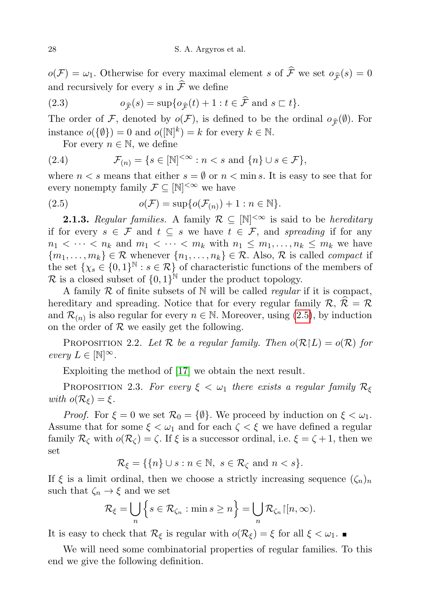$o(\mathcal{F}) = \omega_1$ . Otherwise for every maximal element s of  $\hat{\mathcal{F}}$  we set  $o_{\hat{\mathcal{F}}}(s) = 0$ and recursively for every s in  $\widehat{\mathcal{F}}$  we define

(2.3) 
$$
o_{\widehat{\mathcal{F}}}(s) = \sup \{ o_{\widehat{\mathcal{F}}}(t) + 1 : t \in \widehat{\mathcal{F}} \text{ and } s \subset t \}.
$$

The order of F, denoted by  $o(\mathcal{F})$ , is defined to be the ordinal  $o_{\hat{\mathcal{F}}}(\emptyset)$ . For instance  $o({\{\emptyset\}}) = 0$  and  $o{[\mathbb{N}]^k} = k$  for every  $k \in \mathbb{N}$ .

For every  $n \in \mathbb{N}$ , we define

(2.4) 
$$
\mathcal{F}_{(n)} = \{ s \in [\mathbb{N}]^{<\infty} : n < s \text{ and } \{n\} \cup s \in \mathcal{F} \},
$$

where  $n < s$  means that either  $s = \emptyset$  or  $n < \min s$ . It is easy to see that for every nonempty family  $\mathcal{F} \subseteq [\mathbb{N}]^{<\infty}$  we have

<span id="page-5-0"></span>(2.5) 
$$
o(\mathcal{F}) = \sup \{ o(\mathcal{F}_{(n)}) + 1 : n \in \mathbb{N} \}.
$$

**2.1.3.** Regular families. A family  $\mathcal{R} \subseteq [\mathbb{N}]^{<\infty}$  is said to be hereditary if for every  $s \in \mathcal{F}$  and  $t \subseteq s$  we have  $t \in \mathcal{F}$ , and spreading if for any  $n_1 < \cdots < n_k$  and  $m_1 < \cdots < m_k$  with  $n_1 \leq m_1, \ldots, n_k \leq m_k$  we have  ${m_1, \ldots, m_k} \in \mathcal{R}$  whenever  ${n_1, \ldots, n_k} \in \mathcal{R}$ . Also,  $\mathcal{R}$  is called *compact* if the set  $\{ \chi_s \in \{0,1\}^{\mathbb{N}} : s \in \mathcal{R} \}$  of characteristic functions of the members of  $\mathcal{R}$  is a closed subset of  $\{0,1\}^{\mathbb{N}}$  under the product topology.

A family  $R$  of finite subsets of  $N$  will be called *regular* if it is compact, hereditary and spreading. Notice that for every regular family  $\mathcal{R}, \hat{\mathcal{R}} = \mathcal{R}$ and  $\mathcal{R}_{(n)}$  is also regular for every  $n \in \mathbb{N}$ . Moreover, using  $(2.5)$ , by induction on the order of  $R$  we easily get the following.

<span id="page-5-1"></span>PROPOSITION 2.2. Let R be a regular family. Then  $o(R|L) = o(R)$  for every  $L \in \mathbb{N}^{\infty}$ .

Exploiting the method of [\[17\]](#page-45-4) we obtain the next result.

PROPOSITION 2.3. For every  $\xi < \omega_1$  there exists a regular family  $\mathcal{R}_{\xi}$ with  $o(\mathcal{R}_{\xi}) = \xi$ .

*Proof.* For  $\xi = 0$  we set  $\mathcal{R}_0 = {\emptyset}$ . We proceed by induction on  $\xi < \omega_1$ . Assume that for some  $\xi < \omega_1$  and for each  $\zeta < \xi$  we have defined a regular family  $\mathcal{R}_{\zeta}$  with  $o(\mathcal{R}_{\zeta}) = \zeta$ . If  $\xi$  is a successor ordinal, i.e.  $\xi = \zeta + 1$ , then we set

$$
\mathcal{R}_{\xi} = \{ \{n\} \cup s : n \in \mathbb{N}, \ s \in \mathcal{R}_{\zeta} \text{ and } n < s \}.
$$

If  $\xi$  is a limit ordinal, then we choose a strictly increasing sequence  $(\zeta_n)_n$ such that  $\zeta_n \to \xi$  and we set

$$
\mathcal{R}_{\xi} = \bigcup_{n} \left\{ s \in \mathcal{R}_{\zeta_n} : \min s \ge n \right\} = \bigcup_{n} \mathcal{R}_{\zeta_n} \left[ [n, \infty) \right].
$$

It is easy to check that  $\mathcal{R}_{\xi}$  is regular with  $o(\mathcal{R}_{\xi}) = \xi$  for all  $\xi < \omega_1$ .

We will need some combinatorial properties of regular families. To this end we give the following definition.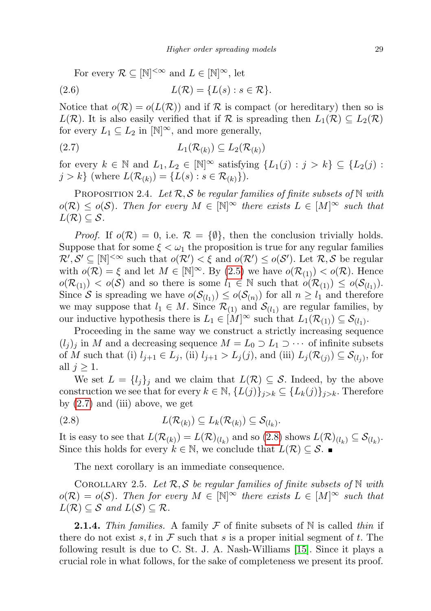For every  $\mathcal{R} \subseteq [\mathbb{N}]^{<\infty}$  and  $L \in [\mathbb{N}]^{\infty}$ , let

$$
(2.6) \tL(\mathcal{R}) = \{L(s) : s \in \mathcal{R}\}.
$$

Notice that  $o(\mathcal{R}) = o(L(\mathcal{R}))$  and if  $\mathcal R$  is compact (or hereditary) then so is  $L(\mathcal{R})$ . It is also easily verified that if  $\mathcal{R}$  is spreading then  $L_1(\mathcal{R}) \subseteq L_2(\mathcal{R})$ for every  $L_1 \subseteq L_2$  in  $[N]^\infty$ , and more generally,

<span id="page-6-0"></span>
$$
(2.7) \tL_1(\mathcal{R}_{(k)}) \subseteq L_2(\mathcal{R}_{(k)})
$$

for every  $k \in \mathbb{N}$  and  $L_1, L_2 \in [\mathbb{N}]^{\infty}$  satisfying  $\{L_1(j) : j > k\} \subseteq \{L_2(j) : j \in \mathbb{N}\}$  $j > k$  (where  $L(\mathcal{R}_{(k)}) = \{L(s) : s \in \mathcal{R}_{(k)}\}\)$ .

<span id="page-6-3"></span>PROPOSITION 2.4. Let  $\mathcal{R}, \mathcal{S}$  be regular families of finite subsets of  $\mathbb N$  with  $o(\mathcal{R}) \leq o(\mathcal{S})$ . Then for every  $M \in [\mathbb{N}]^{\infty}$  there exists  $L \in [M]^{\infty}$  such that  $L(\mathcal{R}) \subseteq \mathcal{S}.$ 

*Proof.* If  $o(\mathcal{R}) = 0$ , i.e.  $\mathcal{R} = {\emptyset}$ , then the conclusion trivially holds. Suppose that for some  $\xi < \omega_1$  the proposition is true for any regular families  $\mathcal{R}',\mathcal{S}' \subseteq [\mathbb{N}]^{<\infty}$  such that  $o(\mathcal{R}') < \xi$  and  $o(\mathcal{R}') \leq o(\mathcal{S}')$ . Let  $\mathcal{R},\mathcal{S}$  be regular with  $o(\mathcal{R}) = \xi$  and let  $M \in [\mathbb{N}]^{\infty}$ . By  $(2.5)$  we have  $o(\mathcal{R}_{(1)}) < o(\mathcal{R})$ . Hence  $o(\mathcal{R}_{(1)})$  <  $o(\mathcal{S})$  and so there is some  $l_1 \in \mathbb{N}$  such that  $o(\mathcal{R}_{(1)}) \leq o(\mathcal{S}_{(l_1)})$ . Since S is spreading we have  $o(S_{(l_1)}) \leq o(S_{(n)})$  for all  $n \geq l_1$  and therefore we may suppose that  $l_1 \in M$ . Since  $\mathcal{R}_{(1)}$  and  $\mathcal{S}_{(l_1)}$  are regular families, by our inductive hypothesis there is  $L_1 \in [M]^\infty$  such that  $L_1(\mathcal{R}_{(1)}) \subseteq \mathcal{S}_{(l_1)}$ .

Proceeding in the same way we construct a strictly increasing sequence  $(l_i)_i$  in M and a decreasing sequence  $M = L_0 \supset L_1 \supset \cdots$  of infinite subsets of M such that (i)  $l_{j+1} \in L_j$ , (ii)  $l_{j+1} > L_j(j)$ , and (iii)  $L_j(\mathcal{R}_{(j)}) \subseteq \mathcal{S}_{(l_j)}$ , for all  $j \geq 1$ .

We set  $L = \{l_j\}_j$  and we claim that  $L(\mathcal{R}) \subseteq \mathcal{S}$ . Indeed, by the above construction we see that for every  $k \in \mathbb{N}, \{L(j)\}_{j>k} \subseteq \{L_k(j)\}_{j>k}$ . Therefore by  $(2.7)$  and  $(iii)$  above, we get

$$
(2.8) \tL(\mathcal{R}_{(k)}) \subseteq L_k(\mathcal{R}_{(k)}) \subseteq \mathcal{S}_{(l_k)}.
$$

It is easy to see that  $L(\mathcal{R}_{(k)}) = L(\mathcal{R})_{(l_k)}$  and so  $(2.8)$  shows  $L(\mathcal{R})_{(l_k)} \subseteq \mathcal{S}_{(l_k)}$ . Since this holds for every  $k \in \mathbb{N}$ , we conclude that  $L(\mathcal{R}) \subseteq \mathcal{S}$ .

<span id="page-6-1"></span>The next corollary is an immediate consequence.

COROLLARY 2.5. Let  $\mathcal{R}, \mathcal{S}$  be regular families of finite subsets of N with  $o(\mathcal{R}) = o(\mathcal{S})$ . Then for every  $M \in [\mathbb{N}]^{\infty}$  there exists  $L \in [M]^{\infty}$  such that  $L(\mathcal{R}) \subseteq \mathcal{S}$  and  $L(\mathcal{S}) \subseteq \mathcal{R}$ .

<span id="page-6-2"></span>**2.1.4.** Thin families. A family F of finite subsets of N is called thin if there do not exist s, t in  $\mathcal F$  such that s is a proper initial segment of t. The following result is due to C. St. J. A. Nash-Williams [\[15\]](#page-45-3). Since it plays a crucial role in what follows, for the sake of completeness we present its proof.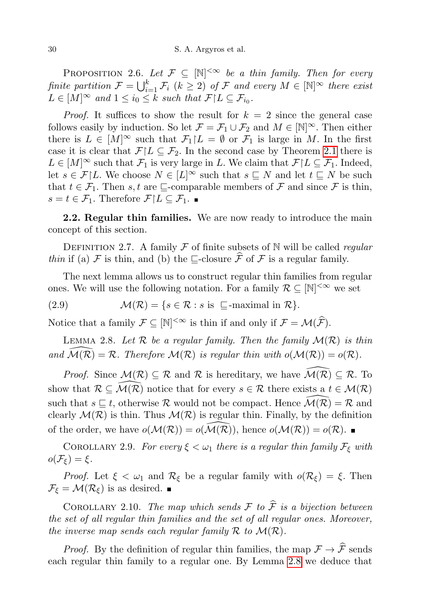PROPOSITION 2.6. Let  $\mathcal{F} \subseteq [\mathbb{N}]^{<\infty}$  be a thin family. Then for every finite partition  $\mathcal{F} = \bigcup_{i=1}^k \mathcal{F}_i$   $(k \geq 2)$  of  $\mathcal F$  and every  $M \in [\mathbb N]^\infty$  there exist  $L \in [M]^{\infty}$  and  $1 \leq i_0 \leq k$  such that  $\mathcal{F} | L \subseteq \mathcal{F}_{i_0}$ .

*Proof.* It suffices to show the result for  $k = 2$  since the general case follows easily by induction. So let  $\mathcal{F} = \mathcal{F}_1 \cup \mathcal{F}_2$  and  $M \in [\mathbb{N}]^{\infty}$ . Then either there is  $L \in [M]^\infty$  such that  $\mathcal{F}_1 \upharpoonright L = \emptyset$  or  $\mathcal{F}_1$  is large in M. In the first case it is clear that  $\mathcal{F}|L \subseteq \mathcal{F}_2$ . In the second case by Theorem [2.1](#page-4-0) there is  $L \in [M]^\infty$  such that  $\mathcal{F}_1$  is very large in L. We claim that  $\mathcal{F}|L \subseteq \mathcal{F}_1$ . Indeed, let  $s \in \mathcal{F}|L$ . We choose  $N \in [L]^{\infty}$  such that  $s \subseteq N$  and let  $t \subseteq N$  be such that  $t \in \mathcal{F}_1$ . Then s, t are  $\sqsubseteq$ -comparable members of  $\mathcal F$  and since  $\mathcal F$  is thin,  $s = t \in \mathcal{F}_1$ . Therefore  $\mathcal{F}|L \subseteq \mathcal{F}_1$ .

**2.2. Regular thin families.** We are now ready to introduce the main concept of this section.

<span id="page-7-0"></span>DEFINITION 2.7. A family F of finite subsets of N will be called regular thin if (a) F is thin, and (b) the  $\sqsubseteq$ -closure  $\widehat{\mathcal{F}}$  of F is a regular family.

The next lemma allows us to construct regular thin families from regular ones. We will use the following notation. For a family  $\mathcal{R} \subseteq [\mathbb{N}]^{<\infty}$  we set

(2.9) 
$$
\mathcal{M}(\mathcal{R}) = \{s \in \mathcal{R} : s \text{ is } \sqsubseteq\text{-maximal in } \mathcal{R}\}.
$$

Notice that a family  $\mathcal{F} \subseteq [\mathbb{N}]^{<\infty}$  is thin if and only if  $\mathcal{F} = \mathcal{M}(\widehat{\mathcal{F}})$ .

<span id="page-7-1"></span>LEMMA 2.8. Let  $\mathcal R$  be a regular family. Then the family  $\mathcal M(\mathcal R)$  is thin and  $\mathcal{M}(\mathcal{R}) = \mathcal{R}$ . Therefore  $\mathcal{M}(\mathcal{R})$  is regular thin with  $o(\mathcal{M}(\mathcal{R})) = o(\mathcal{R})$ .

*Proof.* Since  $\mathcal{M}(\mathcal{R}) \subseteq \mathcal{R}$  and  $\mathcal{R}$  is hereditary, we have  $\widehat{\mathcal{M}(\mathcal{R})} \subseteq \mathcal{R}$ . To show that  $\mathcal{R} \subseteq \widehat{\mathcal{M}(\mathcal{R})}$  notice that for every  $s \in \mathcal{R}$  there exists a  $t \in \mathcal{M}(\mathcal{R})$ such that  $s \subseteq t$ , otherwise R would not be compact. Hence  $\mathcal{M}(\mathcal{R}) = \mathcal{R}$  and clearly  $\mathcal{M}(\mathcal{R})$  is thin. Thus  $\mathcal{M}(\mathcal{R})$  is regular thin. Finally, by the definition of the order, we have  $o(\mathcal{M}(\mathcal{R})) = o(\mathcal{M}(\mathcal{R}))$ , hence  $o(\mathcal{M}(\mathcal{R})) = o(\mathcal{R})$ .

COROLLARY 2.9. For every  $\xi < \omega_1$  there is a regular thin family  $\mathcal{F}_{\xi}$  with  $o(\mathcal{F}_{\xi}) = \xi.$ 

*Proof.* Let  $\xi < \omega_1$  and  $\mathcal{R}_{\xi}$  be a regular family with  $o(\mathcal{R}_{\xi}) = \xi$ . Then  $\mathcal{F}_{\xi} = \mathcal{M}(\mathcal{R}_{\xi})$  is as desired.

COROLLARY 2.10. The map which sends  $\mathcal F$  to  $\widehat{\mathcal F}$  is a bijection between the set of all regular thin families and the set of all regular ones. Moreover, the inverse map sends each regular family  $\mathcal R$  to  $\mathcal M(\mathcal R)$ .

*Proof.* By the definition of regular thin families, the map  $\mathcal{F} \to \widehat{\mathcal{F}}$  sends each regular thin family to a regular one. By Lemma [2.8](#page-7-1) we deduce that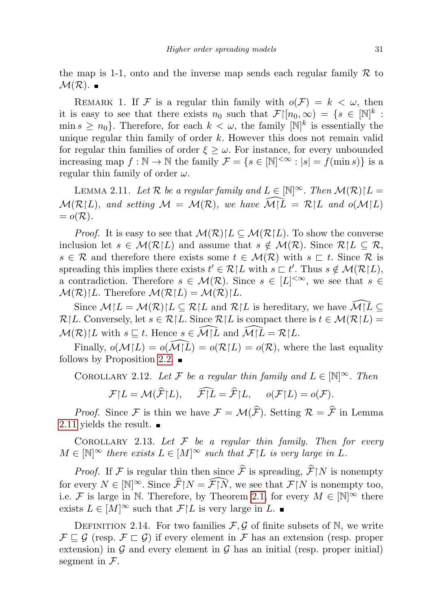the map is 1-1, onto and the inverse map sends each regular family  $\mathcal R$  to  $\mathcal{M}(\mathcal{R})$ .

REMARK 1. If F is a regular thin family with  $o(F) = k < \omega$ , then it is easy to see that there exists  $n_0$  such that  $\mathcal{F}\vert [n_0,\infty) = \{s \in [\mathbb{N}]^k :$ min  $s \geq n_0$ . Therefore, for each  $k < \omega$ , the family  $[N]^k$  is essentially the unique regular thin family of order  $k$ . However this does not remain valid for regular thin families of order  $\xi \geq \omega$ . For instance, for every unbounded increasing map  $f : \mathbb{N} \to \mathbb{N}$  the family  $\mathcal{F} = \{s \in [\mathbb{N}]^{<\infty} : |s| = f(\min s)\}\$ is a regular thin family of order  $\omega$ .

<span id="page-8-0"></span>LEMMA 2.11. Let R be a regular family and  $L \in \mathbb{N}^{\infty}$ . Then  $\mathcal{M}(\mathcal{R})/L =$  $\mathcal{M}(\mathcal{R}|L)$ , and setting  $\mathcal{M} = \mathcal{M}(\mathcal{R})$ , we have  $\widehat{\mathcal{M}|L} = \mathcal{R}|L$  and  $o(\mathcal{M}|L)$  $= o(R)$ .

*Proof.* It is easy to see that  $\mathcal{M}(\mathcal{R})/L \subseteq \mathcal{M}(\mathcal{R}/L)$ . To show the converse inclusion let  $s \in \mathcal{M}(\mathcal{R}|L)$  and assume that  $s \notin \mathcal{M}(\mathcal{R})$ . Since  $\mathcal{R}|L \subseteq \mathcal{R}$ ,  $s \in \mathcal{R}$  and therefore there exists some  $t \in \mathcal{M}(\mathcal{R})$  with  $s \subset t$ . Since  $\mathcal{R}$  is spreading this implies there exists  $t' \in \mathcal{R} | L$  with  $s \subset t'$ . Thus  $s \notin \mathcal{M}(\mathcal{R}|L)$ , a contradiction. Therefore  $s \in \mathcal{M}(\mathcal{R})$ . Since  $s \in [L]^{< \infty}$ , we see that  $s \in$  $\mathcal{M}(\mathcal{R})[L]$ . Therefore  $\mathcal{M}(\mathcal{R})[L] = \mathcal{M}(\mathcal{R})[L]$ .

Since  $\mathcal{M}[L = \mathcal{M}(\mathcal{R})]L \subseteq \mathcal{R}[L]$  and  $\mathcal{R}[L]$  is hereditary, we have  $\mathcal{M}[L] \subseteq$  $\mathcal{R}[L]$ . Conversely, let  $s \in \mathcal{R}[L]$ . Since  $\mathcal{R}[L]$  is compact there is  $t \in \mathcal{M}(\mathcal{R}[L])$  $\mathcal{M}(\mathcal{R})/L$  with  $s \subseteq t$ . Hence  $s \in \widehat{\mathcal{M}}/L$  and  $\widehat{\mathcal{M}}/L = \mathcal{R}/L$ .

Finally,  $o(\mathcal{M}|L) = o(\mathcal{M}|\tilde{L}) = o(\mathcal{R}|L) = o(\mathcal{R})$ , where the last equality follows by Proposition [2.2.](#page-5-1)  $\blacksquare$ 

<span id="page-8-2"></span>COROLLARY 2.12. Let F be a regular thin family and  $L \in \mathbb{N}^{\infty}$ . Then

 $\mathcal{F}|L = \mathcal{M}(\widehat{\mathcal{F}}|L), \quad \widehat{\mathcal{F}}|L = \widehat{\mathcal{F}}|L, \quad o(\mathcal{F}|L) = o(\mathcal{F}).$ 

*Proof.* Since F is thin we have  $\mathcal{F} = \mathcal{M}(\widehat{\mathcal{F}})$ . Setting  $\mathcal{R} = \widehat{\mathcal{F}}$  in Lemma [2.11](#page-8-0) yields the result.  $\blacksquare$ 

<span id="page-8-1"></span>COROLLARY 2.13. Let  $F$  be a regular thin family. Then for every  $M \in \mathbb{N}^{\infty}$  there exists  $L \in [M]^{\infty}$  such that  $\mathcal{F} | L$  is very large in L.

*Proof.* If F is regular thin then since  $\hat{\mathcal{F}}$  is spreading,  $\hat{\mathcal{F}}|N$  is nonempty for every  $N \in [\mathbb{N}]^{\infty}$ . Since  $\widehat{\mathcal{F}}[N] = \widehat{\mathcal{F}}[N]$ , we see that  $\mathcal{F}[N]$  is nonempty too, i.e. F is large in N. Therefore, by Theorem [2.1,](#page-4-0) for every  $M \in \mathbb{N}^{\infty}$  there exists  $L \in [M]^\infty$  such that  $\mathcal{F}\upharpoonright L$  is very large in  $L$ . ■

DEFINITION 2.14. For two families  $\mathcal{F}, \mathcal{G}$  of finite subsets of N, we write  $\mathcal{F} \sqsubseteq \mathcal{G}$  (resp.  $\mathcal{F} \sqsubset \mathcal{G}$ ) if every element in  $\mathcal{F}$  has an extension (resp. proper extension) in  $G$  and every element in  $G$  has an initial (resp. proper initial) segment in  $\mathcal{F}.$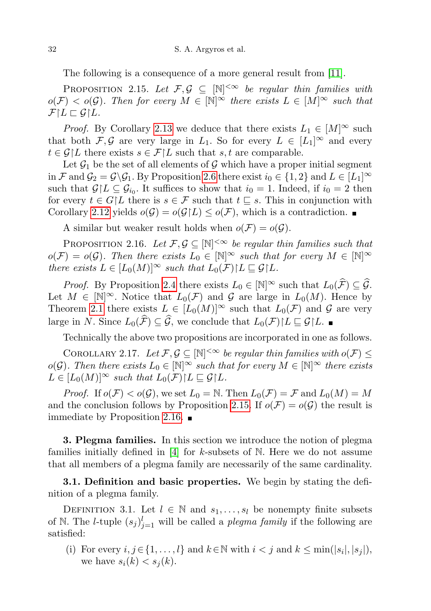The following is a consequence of a more general result from [\[11\]](#page-45-8).

<span id="page-9-1"></span>PROPOSITION 2.15. Let  $\mathcal{F}, \mathcal{G} \subseteq [\mathbb{N}]^{<\infty}$  be regular thin families with  $o(F) < o(G)$ . Then for every  $M \in \mathbb{N}^{\infty}$  there exists  $L \in [M]^{\infty}$  such that  $\mathcal{F}\upharpoonright L\sqsubset \mathcal{G}\upharpoonright L.$ 

*Proof.* By Corollary [2.13](#page-8-1) we deduce that there exists  $L_1 \in [M]^\infty$  such that both F, G are very large in  $L_1$ . So for every  $L \in [L_1]^\infty$  and every  $t \in \mathcal{G} | L$  there exists  $s \in \mathcal{F} | L$  such that  $s, t$  are comparable.

Let  $\mathcal{G}_1$  be the set of all elements of  $\mathcal G$  which have a proper initial segment in F and  $\mathcal{G}_2 = \mathcal{G} \backslash \mathcal{G}_1$ . By Proposition [2.6](#page-6-2) there exist  $i_0 \in \{1,2\}$  and  $L \in [L_1]^\infty$ such that  $\mathcal{G}\vert L \subseteq \mathcal{G}_{i_0}$ . It suffices to show that  $i_0 = 1$ . Indeed, if  $i_0 = 2$  then for every  $t \in G/L$  there is  $s \in \mathcal{F}$  such that  $t \subseteq s$ . This in conjunction with Corollary [2.12](#page-8-2) yields  $o(\mathcal{G}) = o(\mathcal{G}|L) \leq o(\mathcal{F})$ , which is a contradiction.

A similar but weaker result holds when  $o(\mathcal{F}) = o(\mathcal{G})$ .

<span id="page-9-2"></span>PROPOSITION 2.16. Let  $\mathcal{F}, \mathcal{G} \subseteq [\mathbb{N}]^{<\infty}$  be regular thin families such that  $o(\mathcal{F}) = o(\mathcal{G})$ . Then there exists  $L_0 \in [\mathbb{N}]^{\infty}$  such that for every  $M \in [\mathbb{N}]^{\infty}$ there exists  $L \in [L_0(M)]^{\infty}$  such that  $L_0(\mathcal{F}) \upharpoonright L \subseteq \mathcal{G} \upharpoonright L$ .

*Proof.* By Proposition [2.4](#page-6-3) there exists  $L_0 \in [\mathbb{N}]^{\infty}$  such that  $L_0(\widehat{\mathcal{F}}) \subseteq \widehat{\mathcal{G}}$ . Let  $M \in [\mathbb{N}]^{\infty}$ . Notice that  $L_0(\mathcal{F})$  and  $\mathcal{G}$  are large in  $L_0(M)$ . Hence by Theorem [2.1](#page-4-0) there exists  $L \in [L_0(M)]^{\infty}$  such that  $L_0(\mathcal{F})$  and  $\mathcal{G}$  are very large in N. Since  $L_0(\widehat{F}) \subseteq \widehat{G}$ , we conclude that  $L_0(F)|L \sqsubseteq \mathcal{G}|L$ . ■

Technically the above two propositions are incorporated in one as follows.

<span id="page-9-3"></span>COROLLARY 2.17. Let  $\mathcal{F}, \mathcal{G} \subseteq [\mathbb{N}]^{<\infty}$  be regular thin families with  $o(\mathcal{F}) \leq$ o(G). Then there exists  $L_0 \in \mathbb{N}^{\infty}$  such that for every  $M \in \mathbb{N}^{\infty}$  there exists  $L \in [L_0(M)]^{\infty}$  such that  $L_0(\mathcal{F}) \upharpoonright L \subseteq \mathcal{G} \upharpoonright L$ .

*Proof.* If  $o(\mathcal{F}) < o(\mathcal{G})$ , we set  $L_0 = \mathbb{N}$ . Then  $L_0(\mathcal{F}) = \mathcal{F}$  and  $L_0(M) = M$ and the conclusion follows by Proposition [2.15.](#page-9-1) If  $o(\mathcal{F}) = o(\mathcal{G})$  the result is immediate by Proposition [2.16.](#page-9-2)  $\blacksquare$ 

**3. Plegma families.** In this section we introduce the notion of plegma families initially defined in  $[4]$  for k-subsets of N. Here we do not assume that all members of a plegma family are necessarily of the same cardinality.

**3.1. Definition and basic properties.** We begin by stating the definition of a plegma family.

<span id="page-9-0"></span>DEFINITION 3.1. Let  $l \in \mathbb{N}$  and  $s_1, \ldots, s_l$  be nonempty finite subsets of N. The *l*-tuple  $(s_j)_{j=1}^l$  will be called a *plegma family* if the following are satisfied:

(i) For every  $i, j \in \{1, ..., l\}$  and  $k \in \mathbb{N}$  with  $i < j$  and  $k \le \min(|s_i|, |s_j|)$ , we have  $s_i(k) < s_j(k)$ .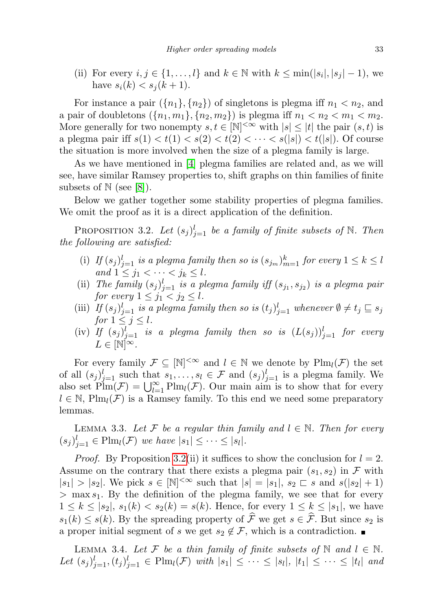(ii) For every  $i, j \in \{1, ..., l\}$  and  $k \in \mathbb{N}$  with  $k \leq \min(|s_i|, |s_j| - 1)$ , we have  $s_i(k) < s_j(k+1)$ .

For instance a pair  $({n_1}, {n_2})$  of singletons is plegma iff  $n_1 < n_2$ , and a pair of doubletons  $({n_1, m_1}, {n_2, m_2})$  is plegma iff  $n_1 < n_2 < m_1 < m_2$ . More generally for two nonempty  $s, t \in [\mathbb{N}]^{<\infty}$  with  $|s| \leq |t|$  the pair  $(s, t)$  is a plegma pair iff  $s(1) < t(1) < s(2) < t(2) < \cdots < s(|s|) < t(|s|)$ . Of course the situation is more involved when the size of a plegma family is large.

As we have mentioned in [\[4\]](#page-44-2) plegma families are related and, as we will see, have similar Ramsey properties to, shift graphs on thin families of finite subsets of  $\mathbb{N}$  (see [\[8\]](#page-44-7)).

Below we gather together some stability properties of plegma families. We omit the proof as it is a direct application of the definition.

<span id="page-10-0"></span>PROPOSITION 3.2. Let  $(s_j)_{j=1}^l$  be a family of finite subsets of N. Then the following are satisfied:

- (i) If  $(s_j)_{j=1}^l$  is a plegma family then so is  $(s_{j_m})_{m=1}^k$  for every  $1 \leq k \leq l$ and  $1 \leq j_1 < \cdots < j_k \leq l$ .
- (ii) The family  $(s_j)_{j=1}^l$  is a plegma family iff  $(s_{j_1}, s_{j_2})$  is a plegma pair for every  $1 \leq j_1 < j_2 \leq l$ .
- (iii) If  $(s_j)_{j=1}^l$  is a plegma family then so is  $(t_j)_{j=1}^l$  whenever  $\emptyset \neq t_j \sqsubseteq s_j$ for  $1 \leq j \leq l$ .
- (iv) If  $(s_j)_{j=1}^l$  is a plegma family then so is  $(L(s_j))_{j=1}^l$  for every  $L \in \mathbb{N}^{\infty}$ .

For every family  $\mathcal{F} \subseteq [\mathbb{N}]^{<\infty}$  and  $l \in \mathbb{N}$  we denote by  $\text{Plm}_l(\mathcal{F})$  the set of all  $(s_j)_{j=1}^l$  such that  $s_1, \ldots, s_l \in \mathcal{F}$  and  $(s_j)_{j=1}^l$  is a plegma family. We also set  $\text{Plm}(\mathcal{F}) = \bigcup_{l=1}^{\infty} \text{Plm}_l(\mathcal{F})$ . Our main aim is to show that for every  $l \in \mathbb{N}$ , Plm<sub>l</sub>(F) is a Ramsey family. To this end we need some preparatory lemmas.

<span id="page-10-2"></span>LEMMA 3.3. Let F be a regular thin family and  $l \in \mathbb{N}$ . Then for every  $(s_j)_{j=1}^l \in \text{Plm}_l(\mathcal{F})$  we have  $|s_1| \leq \cdots \leq |s_l|.$ 

*Proof.* By Proposition [3.2\(](#page-10-0)ii) it suffices to show the conclusion for  $l = 2$ . Assume on the contrary that there exists a plegma pair  $(s_1, s_2)$  in F with  $|s_1| > |s_2|$ . We pick  $s \in [\mathbb{N}]^{< \infty}$  such that  $|s| = |s_1|, s_2 \sqsubset s$  and  $s(|s_2| + 1)$  $>$  max  $s_1$ . By the definition of the plegma family, we see that for every  $1 \leq k \leq |s_2|, s_1(k) < s_2(k) = s(k).$  Hence, for every  $1 \leq k \leq |s_1|$ , we have  $s_1(k) \leq s(k)$ . By the spreading property of  $\hat{\mathcal{F}}$  we get  $s \in \hat{\mathcal{F}}$ . But since  $s_2$  is a proper initial segment of s we get  $s_2 \notin \mathcal{F}$ , which is a contradiction.

<span id="page-10-1"></span>LEMMA 3.4. Let F be a thin family of finite subsets of N and  $l \in N$ . Let  $(s_j)_{j=1}^l, (t_j)_{j=1}^l \in \text{Plm}_l(\mathcal{F})$  with  $|s_1| \leq \cdots \leq |s_l|, |t_1| \leq \cdots \leq |t_l|$  and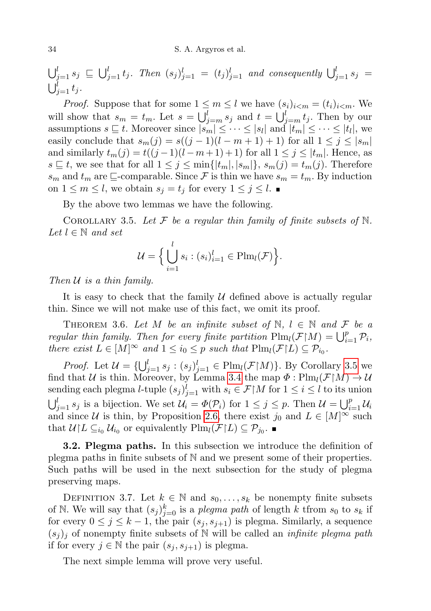$\bigcup_{j=1}^l s_j \subseteq \bigcup_{j=1}^l t_j$ . Then  $(s_j)_{j=1}^l = (t_j)_{j=1}^l$  and consequently  $\bigcup_{j=1}^l s_j =$  $\bigcup_{j=1}^l t_j$ .

*Proof.* Suppose that for some  $1 \leq m \leq l$  we have  $(s_i)_{i \leq m} = (t_i)_{i \leq m}$ . We will show that  $s_m = t_m$ . Let  $s = \bigcup_{j=m}^{l} s_j$  and  $t = \bigcup_{j=m}^{l} t_j$ . Then by our assumptions  $s \sqsubseteq t$ . Moreover since  $|s_m| \leq \cdots \leq |s_l|$  and  $|t_m| \leq \cdots \leq |t_l|$ , we easily conclude that  $s_m(j) = s((j-1)(l-m+1)+1)$  for all  $1 \le j \le |s_m|$ and similarly  $t_m(j) = t((j-1)(l-m+1)+1)$  for all  $1 \leq j \leq |t_m|$ . Hence, as  $s \subseteq t$ , we see that for all  $1 \leq j \leq \min\{|t_m|, |s_m|\}, s_m(j) = t_m(j)$ . Therefore  $s_m$  and  $t_m$  are  $\sqsubseteq$ -comparable. Since F is thin we have  $s_m = t_m$ . By induction on  $1 \leq m \leq l$ , we obtain  $s_j = t_j$  for every  $1 \leq j \leq l$ .

By the above two lemmas we have the following.

<span id="page-11-0"></span>COROLLARY 3.5. Let F be a regular thin family of finite subsets of  $\mathbb{N}$ . Let  $l \in \mathbb{N}$  and set

$$
\mathcal{U} = \Big\{ \bigcup_{i=1}^{l} s_i : (s_i)_{i=1}^{l} \in \text{Plm}_l(\mathcal{F}) \Big\}.
$$

Then  $U$  is a thin family.

It is easy to check that the family  $U$  defined above is actually regular thin. Since we will not make use of this fact, we omit its proof.

<span id="page-11-2"></span>THEOREM 3.6. Let M be an infinite subset of  $\mathbb{N}, l \in \mathbb{N}$  and F be a regular thin family. Then for every finite partition  $\text{Plm}_l(\mathcal{F}|M) = \bigcup_{i=1}^p \mathcal{P}_i$ , there exist  $L \in [M]^\infty$  and  $1 \leq i_0 \leq p$  such that  $\text{Plm}_l(\mathcal{F}|L) \subseteq \mathcal{P}_{i_0}$ .

*Proof.* Let  $\mathcal{U} = \{ \bigcup_{j=1}^{l} s_j : (s_j)_{j=1}^l \in \text{Plm}_l(\mathcal{F} | M) \}$ . By Corollary [3.5](#page-11-0) we find that U is thin. Moreover, by Lemma [3.4](#page-10-1) the map  $\Phi : \text{Plm}_l(\mathcal{F} | M) \to \mathcal{U}$ sending each plegma *l*-tuple  $(s_j)_{j=1}^l$  with  $s_i \in \mathcal{F} \upharpoonright M$  for  $1 \leq i \leq l$  to its union  $\bigcup_{j=1}^{l} s_j$  is a bijection. We set  $\mathcal{U}_i = \Phi(\mathcal{P}_i)$  for  $1 \leq j \leq p$ . Then  $\mathcal{U} = \bigcup_{i=1}^{p} \mathcal{U}_i$ and since U is thin, by Proposition [2.6,](#page-6-2) there exist  $j_0$  and  $L \in [M]^\infty$  such that  $\mathcal{U}|L \subseteq_{i_0} \mathcal{U}_{i_0}$  or equivalently  $\text{Plm}_l(\mathcal{F}|L) \subseteq \mathcal{P}_{j_0}$ .

3.2. Plegma paths. In this subsection we introduce the definition of plegma paths in finite subsets of N and we present some of their properties. Such paths will be used in the next subsection for the study of plegma preserving maps.

DEFINITION 3.7. Let  $k \in \mathbb{N}$  and  $s_0, \ldots, s_k$  be nonempty finite subsets of N. We will say that  $(s_j)_{j=0}^k$  is a *plegma path* of length k tfrom  $s_0$  to  $s_k$  if for every  $0 \leq j \leq k-1$ , the pair  $(s_j, s_{j+1})$  is plegma. Similarly, a sequence  $(s_i)_i$  of nonempty finite subsets of N will be called an *infinite plegma path* if for every  $j \in \mathbb{N}$  the pair  $(s_j, s_{j+1})$  is plegma.

<span id="page-11-1"></span>The next simple lemma will prove very useful.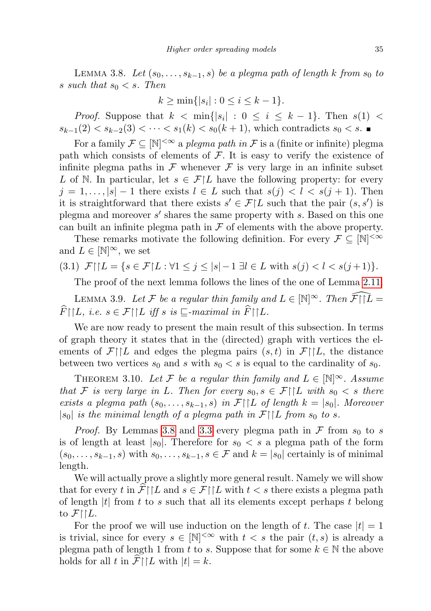LEMMA 3.8. Let  $(s_0, \ldots, s_{k-1}, s)$  be a plegma path of length k from  $s_0$  to s such that  $s_0 < s$ . Then

$$
k \ge \min\{|s_i| : 0 \le i \le k - 1\}.
$$

*Proof.* Suppose that  $k < \min\{|s_i| : 0 \le i \le k-1\}$ . Then  $s(1) <$  $s_{k-1}(2) < s_{k-2}(3) < \cdots < s_1(k) < s_0(k+1)$ , which contradicts  $s_0 < s$ . ■

For a family  $\mathcal{F} \subseteq [\mathbb{N}]^{<\infty}$  a plegma path in  $\mathcal F$  is a (finite or infinite) plegma path which consists of elements of  $\mathcal F$ . It is easy to verify the existence of infinite plegma paths in  $\mathcal F$  whenever  $\mathcal F$  is very large in an infinite subset L of N. In particular, let  $s \in \mathcal{F}|L$  have the following property: for every  $j = 1, \ldots, |s| - 1$  there exists  $l \in L$  such that  $s(j) < l < s(j + 1)$ . Then it is straightforward that there exists  $s' \in \mathcal{F}|L$  such that the pair  $(s, s')$  is plegma and moreover  $s'$  shares the same property with  $s$ . Based on this one can built an infinite plegma path in  $\mathcal F$  of elements with the above property.

These remarks motivate the following definition. For every  $\mathcal{F} \subseteq [\mathbb{N}]^{\leq \infty}$ and  $L \in [\mathbb{N}]^{\infty}$ , we set

$$
(3.1) \ \mathcal{F} \cap L = \{ s \in \mathcal{F} \mid L : \forall 1 \le j \le |s| - 1 \ \exists l \in L \text{ with } s(j) < l < s(j+1) \}.
$$

The proof of the next lemma follows the lines of the one of Lemma [2.11.](#page-8-0)

<span id="page-12-0"></span>LEMMA 3.9. Let F be a regular thin family and  $L \in \mathbb{N}^{\infty}$ . Then  $\widehat{\mathcal{F}} \cap \widehat{L} =$  $\widehat{F}\upharpoonright L$ , i.e.  $s \in \mathcal{F}\upharpoonright L$  iff s is  $\Box$ -maximal in  $\widehat{F}\upharpoonright L$ .

We are now ready to present the main result of this subsection. In terms of graph theory it states that in the (directed) graph with vertices the elements of  $\mathcal{F}\upharpoonright L$  and edges the plegma pairs  $(s,t)$  in  $\mathcal{F}\upharpoonright L$ , the distance between two vertices  $s_0$  and s with  $s_0 < s$  is equal to the cardinality of  $s_0$ .

<span id="page-12-1"></span>THEOREM 3.10. Let F be a regular thin family and  $L \in \mathbb{N}^{\infty}$ . Assume that F is very large in L. Then for every  $s_0, s \in \mathcal{F} \restriction L$  with  $s_0 < s$  there exists a plegma path  $(s_0, \ldots, s_{k-1}, s)$  in  $\mathcal{F}\upharpoonright L$  of length  $k = |s_0|$ . Moreover  $|s_0|$  is the minimal length of a plegma path in  $\mathcal{F}\upharpoonright L$  from  $s_0$  to s.

*Proof.* By Lemmas [3.8](#page-11-1) and [3.3](#page-10-2) every plegma path in  $\mathcal F$  from  $s_0$  to s is of length at least  $|s_0|$ . Therefore for  $s_0 < s$  a plegma path of the form  $(s_0, \ldots, s_{k-1}, s)$  with  $s_0, \ldots, s_{k-1}, s \in \mathcal{F}$  and  $k = |s_0|$  certainly is of minimal length.

We will actually prove a slightly more general result. Namely we will show that for every t in  $\mathcal{F}\mid L$  and  $s \in \mathcal{F}\mid L$  with  $t < s$  there exists a plegma path of length  $|t|$  from t to s such that all its elements except perhaps t belong to  $\mathcal{F}\upharpoonright L$ .

For the proof we will use induction on the length of t. The case  $|t| = 1$ is trivial, since for every  $s \in [\mathbb{N}]^{<\infty}$  with  $t < s$  the pair  $(t, s)$  is already a plegma path of length 1 from t to s. Suppose that for some  $k \in \mathbb{N}$  the above holds for all t in  $\mathcal{F}\upharpoonright L$  with  $|t| = k$ .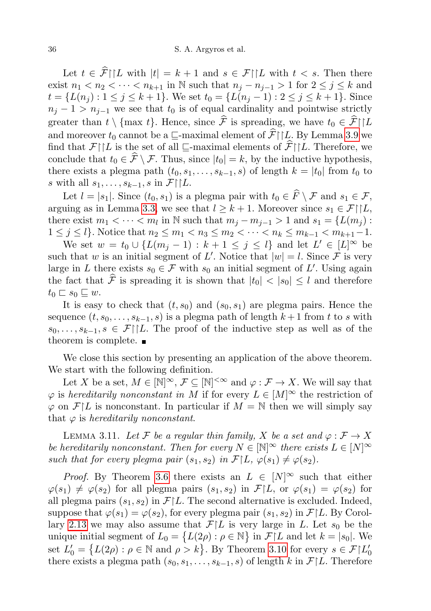Let  $t \in \hat{\mathcal{F}}\upharpoonright L$  with  $|t| = k+1$  and  $s \in \mathcal{F}\upharpoonright L$  with  $t < s$ . Then there exist  $n_1 < n_2 < \cdots < n_{k+1}$  in N such that  $n_j - n_{j-1} > 1$  for  $2 \le j \le k$  and  $t = \{L(n_i) : 1 \leq j \leq k+1\}$ . We set  $t_0 = \{L(n_i-1) : 2 \leq j \leq k+1\}$ . Since  $n_j - 1 > n_{j-1}$  we see that  $t_0$  is of equal cardinality and pointwise strictly greater than  $t \setminus \{\text{max } t\}$ . Hence, since  $\hat{\mathcal{F}}$  is spreading, we have  $t_0 \in \hat{\mathcal{F}}\!\restriction\!\!|L$ and moreover  $t_0$  cannot be a  $\Box$ -maximal element of  $\hat{\mathcal{F}}\upharpoonright L$ . By Lemma [3.9](#page-12-0) we find that  $\mathcal{F}\upharpoonright L$  is the set of all  $\Box$ -maximal elements of  $\widehat{\mathcal{F}}\upharpoonright L$ . Therefore, we conclude that  $t_0 \in \widehat{F} \setminus \mathcal{F}$ . Thus, since  $|t_0| = k$ , by the inductive hypothesis, there exists a plegma path  $(t_0, s_1, \ldots, s_{k-1}, s)$  of length  $k = |t_0|$  from  $t_0$  to s with all  $s_1, \ldots, s_{k-1}, s$  in  $\mathcal{F}\upharpoonright L$ .

Let  $l = |s_1|$ . Since  $(t_0, s_1)$  is a plegma pair with  $t_0 \in \widehat{F} \setminus \mathcal{F}$  and  $s_1 \in \mathcal{F}$ , arguing as in Lemma [3.3,](#page-10-2) we see that  $l \geq k+1$ . Moreover since  $s_1 \in \mathcal{F}\!\restriction\!\! [L,$ there exist  $m_1 < \cdots < m_l$  in  $\mathbb N$  such that  $m_j - m_{j-1} > 1$  and  $s_1 = \{L(m_j):$  $1 \leq j \leq l$ . Notice that  $n_2 \leq m_1 < n_3 \leq m_2 < \cdots < n_k \leq m_{k-1} < m_{k+1}-1$ .

We set  $w = t_0 \cup \{L(m_j - 1) : k + 1 \le j \le l\}$  and let  $L' \in [L]^\infty$  be such that w is an initial segment of L'. Notice that  $|w|=l$ . Since F is very large in L there exists  $s_0 \in \mathcal{F}$  with  $s_0$  an initial segment of L'. Using again the fact that  $\hat{\mathcal{F}}$  is spreading it is shown that  $|t_0| < |s_0| \leq l$  and therefore  $t_0 \sqsubset s_0 \sqsubseteq w$ .

It is easy to check that  $(t, s_0)$  and  $(s_0, s_1)$  are plegma pairs. Hence the sequence  $(t, s_0, \ldots, s_{k-1}, s)$  is a plegma path of length  $k+1$  from t to s with  $s_0, \ldots, s_{k-1}, s \in \mathcal{F}\upharpoonright L$ . The proof of the inductive step as well as of the theorem is complete.  $\blacksquare$ 

We close this section by presenting an application of the above theorem. We start with the following definition.

Let X be a set,  $M \in [\mathbb{N}]^{\infty}$ ,  $\mathcal{F} \subseteq [\mathbb{N}]^{<\infty}$  and  $\varphi : \mathcal{F} \to X$ . We will say that  $\varphi$  is hereditarily nonconstant in M if for every  $L \in [M]^\infty$  the restriction of  $\varphi$  on  $\mathcal{F}|L$  is nonconstant. In particular if  $M = \mathbb{N}$  then we will simply say that  $\varphi$  is hereditarily nonconstant.

<span id="page-13-0"></span>LEMMA 3.11. Let F be a regular thin family, X be a set and  $\varphi : \mathcal{F} \to X$ be hereditarily nonconstant. Then for every  $N \in \mathbb{N}^{\infty}$  there exists  $L \in [N]^{\infty}$ such that for every plegma pair  $(s_1, s_2)$  in  $\mathcal{F}[L, \varphi(s_1) \neq \varphi(s_2)$ .

*Proof.* By Theorem [3.6](#page-11-2) there exists an  $L \in [N]^\infty$  such that either  $\varphi(s_1) \neq \varphi(s_2)$  for all plegma pairs  $(s_1, s_2)$  in  $\mathcal{F}|L$ , or  $\varphi(s_1) = \varphi(s_2)$  for all plegma pairs  $(s_1, s_2)$  in  $\mathcal{F}[L]$ . The second alternative is excluded. Indeed, suppose that  $\varphi(s_1) = \varphi(s_2)$ , for every plegma pair  $(s_1, s_2)$  in  $\mathcal{F}|L$ . By Corol-lary [2.13](#page-8-1) we may also assume that  $\mathcal{F}[L]$  is very large in L. Let  $s_0$  be the unique initial segment of  $L_0 = \{L(2\rho) : \rho \in \mathbb{N}\}\$ in  $\mathcal{F}[L]$  and let  $k = |s_0|$ . We set  $L'_0 = \{L(2\rho) : \rho \in \mathbb{N} \text{ and } \rho > k\}$ . By Theorem [3.10](#page-12-1) for every  $s \in \mathcal{F}|L'_0$ there exists a plegma path  $(s_0, s_1, \ldots, s_{k-1}, s)$  of length k in  $\mathcal{F}|L$ . Therefore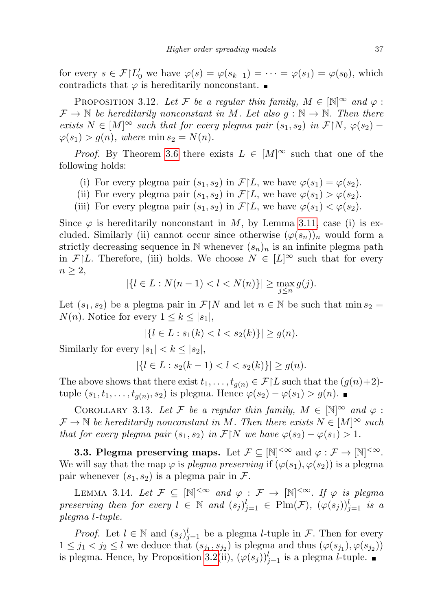for every  $s \in \mathcal{F} \setminus L'_0$  we have  $\varphi(s) = \varphi(s_{k-1}) = \cdots = \varphi(s_1) = \varphi(s_0)$ , which contradicts that  $\varphi$  is hereditarily nonconstant.

PROPOSITION 3.12. Let F be a regular thin family,  $M \in \mathbb{N}^{\infty}$  and  $\varphi$ :  $\mathcal{F} \to \mathbb{N}$  be hereditarily nonconstant in M. Let also  $g : \mathbb{N} \to \mathbb{N}$ . Then there exists  $N \in [M]^\infty$  such that for every plegma pair  $(s_1, s_2)$  in  $\mathcal{F}[N, \varphi(s_2) \varphi(s_1) > g(n)$ , where  $\min s_2 = N(n)$ .

*Proof.* By Theorem [3.6](#page-11-2) there exists  $L \in [M]^\infty$  such that one of the following holds:

- (i) For every plegma pair  $(s_1, s_2)$  in  $\mathcal{F}[L]$ , we have  $\varphi(s_1) = \varphi(s_2)$ .
- (ii) For every plegma pair  $(s_1, s_2)$  in  $\mathcal{F}|L$ , we have  $\varphi(s_1) > \varphi(s_2)$ .
- (iii) For every plegma pair  $(s_1, s_2)$  in  $\mathcal{F}[L]$ , we have  $\varphi(s_1) < \varphi(s_2)$ .

Since  $\varphi$  is hereditarily nonconstant in M, by Lemma [3.11,](#page-13-0) case (i) is excluded. Similarly (ii) cannot occur since otherwise  $(\varphi(s_n))_n$  would form a strictly decreasing sequence in N whenever  $(s_n)_n$  is an infinite plegma path in  $\mathcal{F}[L]$ . Therefore, (iii) holds. We choose  $N \in [L]^\infty$  such that for every  $n \geq 2$ ,

$$
|\{l \in L : N(n-1) < l < N(n)\}| \ge \max_{j \le n} g(j).
$$

Let  $(s_1, s_2)$  be a plegma pair in  $\mathcal{F} \upharpoonright N$  and let  $n \in \mathbb{N}$  be such that min  $s_2 =$  $N(n)$ . Notice for every  $1 \leq k \leq |s_1|$ ,

 $|\{l \in L : s_1(k) < l < s_2(k)\}| > q(n).$ 

Similarly for every  $|s_1| < k \leq |s_2|$ ,

 $|\{l \in L : s_2(k-1) < l < s_2(k)\}| \ge g(n).$ 

The above shows that there exist  $t_1, \ldots, t_{g(n)} \in \mathcal{F}|L$  such that the  $(g(n)+2)$ tuple  $(s_1, t_1, \ldots, t_{g(n)}, s_2)$  is plegma. Hence  $\varphi(s_2) - \varphi(s_1) > g(n)$ .

<span id="page-14-2"></span>COROLLARY 3.13. Let F be a regular thin family,  $M \in \mathbb{N}^{\infty}$  and  $\varphi$ :  $\mathcal{F} \to \mathbb{N}$  be hereditarily nonconstant in M. Then there exists  $N \in [M]^\infty$  such that for every plegma pair  $(s_1, s_2)$  in  $\mathcal{F}[N]$  we have  $\varphi(s_2) - \varphi(s_1) > 1$ .

**3.3. Plegma preserving maps.** Let  $\mathcal{F} \subseteq [\mathbb{N}]^{<\infty}$  and  $\varphi : \mathcal{F} \to [\mathbb{N}]^{<\infty}$ . We will say that the map  $\varphi$  is plegma preserving if  $(\varphi(s_1), \varphi(s_2))$  is a plegma pair whenever  $(s_1, s_2)$  is a plegma pair in  $\mathcal{F}$ .

<span id="page-14-0"></span>LEMMA 3.14. Let  $\mathcal{F} \subseteq [\mathbb{N}]^{<\infty}$  and  $\varphi : \mathcal{F} \to [\mathbb{N}]^{<\infty}$ . If  $\varphi$  is plegma preserving then for every  $l \in \mathbb{N}$  and  $(s_j)_{j=1}^l \in \text{Plm}(\mathcal{F}), \ (\varphi(s_j))_{j=1}^l$  is a plegma l-tuple.

<span id="page-14-1"></span>*Proof.* Let  $l \in \mathbb{N}$  and  $(s_j)_{j=1}^l$  be a plegma *l*-tuple in  $\mathcal{F}$ . Then for every  $1 \leq j_1 < j_2 \leq l$  we deduce that  $(s_{j_1}, s_{j_2})$  is plegma and thus  $(\varphi(s_{j_1}), \varphi(s_{j_2}))$ is plegma. Hence, by Proposition [3.2\(](#page-10-0)ii),  $(\varphi(s_j))_{j=1}^l$  is a plegma *l*-tuple.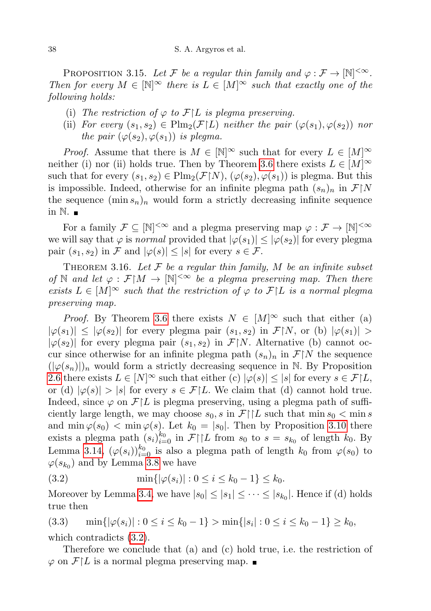PROPOSITION 3.15. Let F be a regular thin family and  $\varphi : \mathcal{F} \to [\mathbb{N}]^{<\infty}$ . Then for every  $M \in \mathbb{N}^{\infty}$  there is  $L \in [M]^{\infty}$  such that exactly one of the following holds:

- (i) The restriction of  $\varphi$  to  $\mathcal{F}[L]$  is plegma preserving.
- (ii) For every  $(s_1, s_2) \in \text{Plm}_2(\mathcal{F}|L)$  neither the pair  $(\varphi(s_1), \varphi(s_2))$  nor the pair  $(\varphi(s_2), \varphi(s_1))$  is plegma.

*Proof.* Assume that there is  $M \in [\mathbb{N}]^{\infty}$  such that for every  $L \in [M]^{\infty}$ neither (i) nor (ii) holds true. Then by Theorem [3.6](#page-11-2) there exists  $L \in [M]^\infty$ such that for every  $(s_1, s_2) \in \text{Plm}_2(\mathcal{F}\upharpoonright N)$ ,  $(\varphi(s_2), \varphi(s_1))$  is plegma. But this is impossible. Indeed, otherwise for an infinite plegma path  $(s_n)_n$  in  $\mathcal{F}\upharpoonright N$ the sequence  $(\min s_n)_n$  would form a strictly decreasing infinite sequence in  $\mathbb N$ .

For a family  $\mathcal{F} \subseteq [\mathbb{N}]^{<\infty}$  and a plegma preserving map  $\varphi : \mathcal{F} \to [\mathbb{N}]^{<\infty}$ we will say that  $\varphi$  is normal provided that  $|\varphi(s_1)| \leq |\varphi(s_2)|$  for every plegma pair  $(s_1, s_2)$  in F and  $|\varphi(s)| \leq |s|$  for every  $s \in \mathcal{F}$ .

<span id="page-15-1"></span>THEOREM 3.16. Let  $\mathcal F$  be a regular thin family, M be an infinite subset of N and let  $\varphi : \mathcal{F}[M] \to [\mathbb{N}]^{<\infty}$  be a plegma preserving map. Then there exists  $L \in [M]^\infty$  such that the restriction of  $\varphi$  to  $\mathcal{F}|L$  is a normal plegma preserving map.

*Proof.* By Theorem [3.6](#page-11-2) there exists  $N \in [M]^\infty$  such that either (a)  $|\varphi(s_1)| \leq |\varphi(s_2)|$  for every plegma pair  $(s_1, s_2)$  in  $\mathcal{F}[N]$ , or (b)  $|\varphi(s_1)| >$  $|\varphi(s_2)|$  for every plegma pair  $(s_1, s_2)$  in  $\mathcal{F}\upharpoonright N$ . Alternative (b) cannot occur since otherwise for an infinite plegma path  $(s_n)_n$  in  $\mathcal{F}\vert N$  the sequence  $(|\varphi(s_n)|)_n$  would form a strictly decreasing sequence in N. By Proposition [2.6](#page-6-2) there exists  $L \in [N]^\infty$  such that either (c)  $|\varphi(s)| \leq |s|$  for every  $s \in \mathcal{F}|L$ , or (d)  $|\varphi(s)| > |s|$  for every  $s \in \mathcal{F}|L$ . We claim that (d) cannot hold true. Indeed, since  $\varphi$  on  $\mathcal{F}|L$  is plegma preserving, using a plegma path of sufficiently large length, we may choose  $s_0$ , s in  $\mathcal{F}\upharpoonright L$  such that min  $s_0 < \min s$ and  $\min \varphi(s_0) < \min \varphi(s)$ . Let  $k_0 = |s_0|$ . Then by Proposition [3.10](#page-12-1) there exists a plegma path  $(s_i)_{i=0}^{k_0}$  in  $\mathcal{F}\upharpoonright L$  from  $s_0$  to  $s = s_{k_0}$  of length  $k_0$ . By Lemma [3.14,](#page-14-0)  $(\varphi(s_i))_{i=0}^{k_0}$  is also a plegma path of length  $k_0$  from  $\varphi(s_0)$  to  $\varphi(s_{k_0})$  and by Lemma [3.8](#page-11-1) we have

<span id="page-15-0"></span>(3.2) 
$$
\min\{|\varphi(s_i)| : 0 \le i \le k_0 - 1\} \le k_0.
$$

Moreover by Lemma [3.4,](#page-10-1) we have  $|s_0| \leq |s_1| \leq \cdots \leq |s_{k_0}|$ . Hence if (d) holds true then

(3.3)  $\min\{|\varphi(s_i)| : 0 \le i \le k_0 - 1\} > \min\{|s_i| : 0 \le i \le k_0 - 1\} \ge k_0$ , which contradicts [\(3.2\)](#page-15-0).

Therefore we conclude that (a) and (c) hold true, i.e. the restriction of  $\varphi$  on  $\mathcal{F}\upharpoonright L$  is a normal plegma preserving map.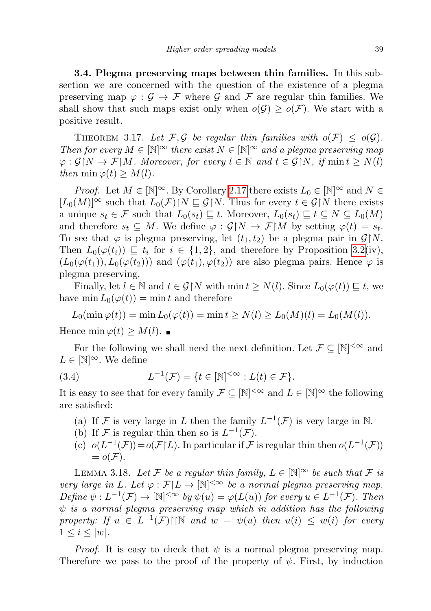3.4. Plegma preserving maps between thin families. In this subsection we are concerned with the question of the existence of a plegma preserving map  $\varphi : \mathcal{G} \to \mathcal{F}$  where  $\mathcal{G}$  and  $\mathcal{F}$  are regular thin families. We shall show that such maps exist only when  $o(G) \geq o(F)$ . We start with a positive result.

<span id="page-16-0"></span>THEOREM 3.17. Let F, G be regular thin families with  $o(F) \leq o(G)$ . Then for every  $M \in \mathbb{N}^\infty$  there exist  $N \in \mathbb{N}^\infty$  and a plegma preserving map  $\varphi : \mathcal{G} \upharpoonright N \to \mathcal{F} \upharpoonright M$ . Moreover, for every  $l \in \mathbb{N}$  and  $t \in \mathcal{G} \upharpoonright N$ , if  $\min t \geq N(l)$ then min  $\varphi(t) \geq M(l)$ .

*Proof.* Let  $M \in [\mathbb{N}]^{\infty}$ . By Corollary [2.17](#page-9-3) there exists  $L_0 \in [\mathbb{N}]^{\infty}$  and  $N \in$  $[L_0(M)]^{\infty}$  such that  $L_0(\mathcal{F})[N \sqsubseteq \mathcal{G}]N$ . Thus for every  $t \in \mathcal{G}[N]$  there exists a unique  $s_t \in \mathcal{F}$  such that  $L_0(s_t) \sqsubseteq t$ . Moreover,  $L_0(s_t) \sqsubseteq t \subseteq N \subseteq L_0(M)$ and therefore  $s_t \subseteq M$ . We define  $\varphi : \mathcal{G} \upharpoonright N \to \mathcal{F} \upharpoonright M$  by setting  $\varphi(t) = s_t$ . To see that  $\varphi$  is plegma preserving, let  $(t_1, t_2)$  be a plegma pair in  $\mathcal{G}[N]$ . Then  $L_0(\varphi(t_i)) \sqsubseteq t_i$  for  $i \in \{1,2\}$ , and therefore by Proposition [3.2\(](#page-10-0)iv),  $(L_0(\varphi(t_1)), L_0(\varphi(t_2)))$  and  $(\varphi(t_1), \varphi(t_2))$  are also plegma pairs. Hence  $\varphi$  is plegma preserving.

Finally, let  $l \in \mathbb{N}$  and  $t \in \mathcal{G} \upharpoonright N$  with  $\min t \geq N(l)$ . Since  $L_0(\varphi(t)) \sqsubseteq t$ , we have min  $L_0(\varphi(t)) = \min t$  and therefore

$$
L_0(\min \varphi(t)) = \min L_0(\varphi(t)) = \min t \ge N(l) \ge L_0(M)(l) = L_0(M(l)).
$$

Hence min  $\varphi(t) \geq M(l)$ .

For the following we shall need the next definition. Let  $\mathcal{F} \subseteq [\mathbb{N}]^{<\infty}$  and  $L \in [N]^\infty$ . We define

(3.4) 
$$
L^{-1}(\mathcal{F}) = \{t \in [\mathbb{N}]^{<\infty} : L(t) \in \mathcal{F}\}.
$$

It is easy to see that for every family  $\mathcal{F} \subseteq [\mathbb{N}]^{<\infty}$  and  $L \in [\mathbb{N}]^{\infty}$  the following are satisfied:

- (a) If F is very large in L then the family  $L^{-1}(\mathcal{F})$  is very large in N.
- (b) If F is regular thin then so is  $L^{-1}(\mathcal{F})$ .
- (c)  $o(L^{-1}(\mathcal{F})) = o(\mathcal{F}|L)$ . In particular if  $\mathcal F$  is regular thin then  $o(L^{-1}(\mathcal{F}))$  $= o(\mathcal{F}).$

<span id="page-16-1"></span>LEMMA 3.18. Let F be a regular thin family,  $L \in \mathbb{N}^{\infty}$  be such that F is very large in L. Let  $\varphi : \mathcal{F}[L] \to [\mathbb{N}]^{<\infty}$  be a normal plegma preserving map. Define  $\psi: L^{-1}(\mathcal{F}) \to [\mathbb{N}]^{<\infty}$  by  $\psi(u) = \varphi(L(u))$  for every  $u \in L^{-1}(\mathcal{F})$ . Then  $\psi$  is a normal plegma preserving map which in addition has the following property: If  $u \in L^{-1}(\mathcal{F})\cap \mathbb{N}$  and  $w = \psi(u)$  then  $u(i) \leq w(i)$  for every  $1 \leq i \leq |w|$ .

*Proof.* It is easy to check that  $\psi$  is a normal plegma preserving map. Therefore we pass to the proof of the property of  $\psi$ . First, by induction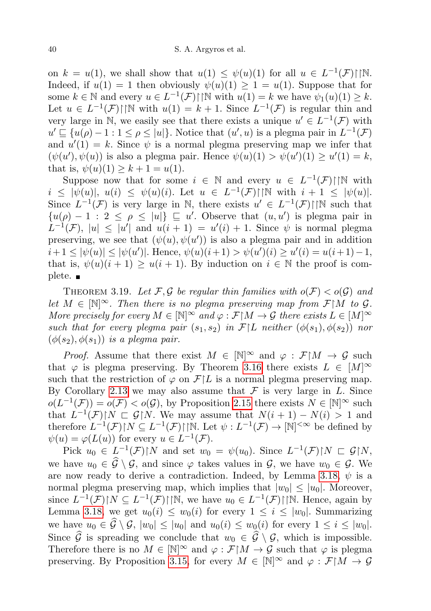on  $k = u(1)$ , we shall show that  $u(1) \leq \psi(u)(1)$  for all  $u \in L^{-1}(\mathcal{F})\cap \mathbb{N}$ . Indeed, if  $u(1) = 1$  then obviously  $\psi(u)(1) \geq 1 = u(1)$ . Suppose that for some  $k \in \mathbb{N}$  and every  $u \in L^{-1}(\mathcal{F}) \cap \mathbb{N}$  with  $u(1) = k$  we have  $\psi_1(u)(1) \geq k$ . Let  $u \in L^{-1}(\mathcal{F})\cap \mathbb{N}$  with  $u(1) = k+1$ . Since  $L^{-1}(\mathcal{F})$  is regular thin and very large in N, we easily see that there exists a unique  $u' \in L^{-1}(\mathcal{F})$  with  $u' \sqsubseteq \{u(\rho) - 1 : 1 \leq \rho \leq |u|\}$ . Notice that  $(u', u)$  is a plegma pair in  $L^{-1}(\mathcal{F})$ and  $u'(1) = k$ . Since  $\psi$  is a normal plegma preserving map we infer that  $(\psi(u'), \psi(u))$  is also a plegma pair. Hence  $\psi(u)(1) > \psi(u')(1) \ge u'(1) = k$ , that is,  $\psi(u)(1) \geq k+1 = u(1)$ .

Suppose now that for some  $i \in \mathbb{N}$  and every  $u \in L^{-1}(\mathcal{F})\cap \mathbb{N}$  with  $i \leq |\psi(u)|, u(i) \leq \psi(u)(i)$ . Let  $u \in L^{-1}(\mathcal{F})\cap \mathbb{N}$  with  $i+1 \leq |\psi(u)|$ . Since  $L^{-1}(\mathcal{F})$  is very large in N, there exists  $u' \in L^{-1}(\mathcal{F})\cap N$  such that  $\{u(\rho) - 1 : 2 \leq \rho \leq |u|\} \sqsubseteq u'$ . Observe that  $(u, u')$  is plegma pair in  $L^{-1}(\mathcal{F}), |u| \leq |u'|$  and  $u(i + 1) = u'(i) + 1$ . Since  $\psi$  is normal plegma preserving, we see that  $(\psi(u), \psi(u'))$  is also a plegma pair and in addition  $i+1 \leq |\psi(u)| \leq |\psi(u')|$ . Hence,  $\psi(u)(i+1) > \psi(u')(i) \geq u'(i) = u(i+1)-1$ , that is,  $\psi(u)(i + 1) \ge u(i + 1)$ . By induction on  $i \in \mathbb{N}$  the proof is complete. ■

<span id="page-17-0"></span>THEOREM 3.19. Let F, G be regular thin families with  $o(F) < o(G)$  and let  $M \in \mathbb{N}^{\infty}$ . Then there is no plegma preserving map from  $\mathcal{F} \restriction M$  to  $\mathcal{G}$ . More precisely for every  $M \in \mathbb{N}^{\infty}$  and  $\varphi : \mathcal{F} \mid M \to \mathcal{G}$  there exists  $L \in [M]^{\infty}$ such that for every plegma pair  $(s_1, s_2)$  in  $\mathcal{F}[L]$  neither  $(\phi(s_1), \phi(s_2))$  nor  $(\phi(s_2), \phi(s_1))$  is a plegma pair.

*Proof.* Assume that there exist  $M \in [\mathbb{N}]^{\infty}$  and  $\varphi : \mathcal{F} \upharpoonright M \to \mathcal{G}$  such that  $\varphi$  is plegma preserving. By Theorem [3.16](#page-15-1) there exists  $L \in [M]^\infty$ such that the restriction of  $\varphi$  on  $\mathcal{F}[L]$  is a normal plegma preserving map. By Corollary [2.13](#page-8-1) we may also assume that  $\mathcal F$  is very large in L. Since  $o(L^{-1}(\mathcal{F})) = o(\mathcal{F}) < o(\mathcal{G})$ , by Proposition [2.15](#page-9-1) there exists  $N \in [\mathbb{N}]^{\infty}$  such that  $L^{-1}(\mathcal{F})[N \subset \mathcal{G}]N$ . We may assume that  $N(i+1) - N(i) > 1$  and therefore  $L^{-1}(\mathcal{F})\upharpoonright N \subseteq L^{-1}(\mathcal{F})\upharpoonright \upharpoonright N$ . Let  $\psi: L^{-1}(\mathcal{F}) \to \upharpoonright N^{\vert < \infty}$  be defined by  $\psi(u) = \varphi(L(u))$  for every  $u \in L^{-1}(\mathcal{F})$ .

Pick  $u_0 \in L^{-1}(\mathcal{F})\upharpoonright N$  and set  $w_0 = \psi(u_0)$ . Since  $L^{-1}(\mathcal{F})\upharpoonright N \subset \mathcal{G}\upharpoonright N$ , we have  $u_0 \in \widehat{\mathcal{G}} \setminus \mathcal{G}$ , and since  $\varphi$  takes values in  $\mathcal{G}$ , we have  $w_0 \in \mathcal{G}$ . We are now ready to derive a contradiction. Indeed, by Lemma [3.18,](#page-16-1)  $\psi$  is a normal plegma preserving map, which implies that  $|w_0| \le |u_0|$ . Moreover, since  $L^{-1}(\mathcal{F})\upharpoonright N \subseteq L^{-1}(\mathcal{F})\upharpoonright \upharpoonright N$ , we have  $u_0 \in L^{-1}(\mathcal{F})\upharpoonright \upharpoonright N$ . Hence, again by Lemma [3.18,](#page-16-1) we get  $u_0(i) \leq w_0(i)$  for every  $1 \leq i \leq |w_0|$ . Summarizing we have  $u_0 \in \widehat{\mathcal{G}} \setminus \mathcal{G}$ ,  $|w_0| \leq |u_0|$  and  $u_0(i) \leq w_0(i)$  for every  $1 \leq i \leq |w_0|$ . Since  $\widehat{G}$  is spreading we conclude that  $w_0 \in \widehat{G} \setminus \mathcal{G}$ , which is impossible. Therefore there is no  $M \in \mathbb{N}^{\infty}$  and  $\varphi : \mathcal{F} \mid M \to \mathcal{G}$  such that  $\varphi$  is plegma preserving. By Proposition [3.15,](#page-14-1) for every  $M \in \mathbb{N}^{\infty}$  and  $\varphi : \mathcal{F} \mid M \to \mathcal{G}$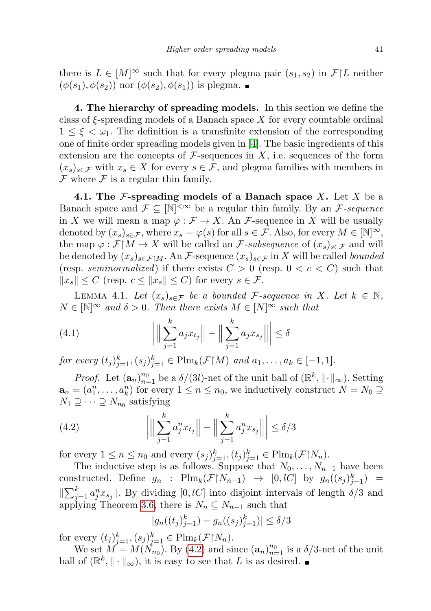there is  $L \in [M]^\infty$  such that for every plegma pair  $(s_1, s_2)$  in  $\mathcal{F}[L]$  neither  $(\phi(s_1), \phi(s_2))$  nor  $(\phi(s_2), \phi(s_1))$  is plegma.

4. The hierarchy of spreading models. In this section we define the class of  $\xi$ -spreading models of a Banach space X for every countable ordinal  $1 \leq \xi \leq \omega_1$ . The definition is a transfinite extension of the corresponding one of finite order spreading models given in [\[4\]](#page-44-2). The basic ingredients of this extension are the concepts of  $\mathcal F$ -sequences in X, i.e. sequences of the form  $(x_s)_{s\in\mathcal{F}}$  with  $x_s\in X$  for every  $s\in\mathcal{F}$ , and plegma families with members in  $\mathcal F$  where  $\mathcal F$  is a regular thin family.

4.1. The  $\mathcal F$ -spreading models of a Banach space X. Let X be a Banach space and  $\mathcal{F} \subseteq [\mathbb{N}]^{<\infty}$  be a regular thin family. By an  $\mathcal{F}$ -sequence in X we will mean a map  $\varphi : \mathcal{F} \to X$ . An  $\mathcal{F}$ -sequence in X will be usually denoted by  $(x_s)_{s\in\mathcal{F}}$ , where  $x_s = \varphi(s)$  for all  $s \in \mathcal{F}$ . Also, for every  $M \in [\mathbb{N}]^{\infty}$ , the map  $\varphi : \mathcal{F} \upharpoonright M \to X$  will be called an *F*-subsequence of  $(x_s)_{s \in \mathcal{F}}$  and will be denoted by  $(x_s)_{s\in\mathcal{F}\upharpoonright M}$ . An  $\mathcal{F}$ -sequence  $(x_s)_{s\in\mathcal{F}}$  in X will be called bounded (resp. seminormalized) if there exists  $C > 0$  (resp.  $0 < c < C$ ) such that  $||x_s|| \leq C$  (resp.  $c \leq ||x_s|| \leq C$ ) for every  $s \in \mathcal{F}$ .

<span id="page-18-1"></span>LEMMA 4.1. Let  $(x_s)_{s \in \mathcal{F}}$  be a bounded F-sequence in X. Let  $k \in \mathbb{N}$ ,  $N \in [\mathbb{N}]^{\infty}$  and  $\delta > 0$ . Then there exists  $M \in [N]^{\infty}$  such that

(4.1) 
$$
\left| \left\| \sum_{j=1}^{k} a_j x_{t_j} \right\| - \left\| \sum_{j=1}^{k} a_j x_{s_j} \right\| \right| \le \delta
$$

for every  $(t_j)_{j=1}^k$ ,  $(s_j)_{j=1}^k \in \text{Plm}_k(\mathcal{F} \restriction M)$  and  $a_1, ..., a_k \in [-1, 1]$ .

*Proof.* Let  $(\mathbf{a}_n)_{n=1}^{n_0}$  be a  $\delta/(3l)$ -net of the unit ball of  $(\mathbb{R}^k, \|\cdot\|_{\infty})$ . Setting  $\mathbf{a}_n = (a_1^n, \dots, a_k^n)$  for every  $1 \leq n \leq n_0$ , we inductively construct  $N = N_0 \supseteq n$  $N_1 \supseteq \cdots \supseteq N_{n_0}$  satisfying

<span id="page-18-0"></span>(4.2) 
$$
\left| \left\| \sum_{j=1}^{k} a_j^n x_{t_j} \right\| - \left\| \sum_{j=1}^{k} a_j^n x_{s_j} \right\| \right| \le \delta/3
$$

for every  $1 \leq n \leq n_0$  and every  $(s_j)_{j=1}^k$ ,  $(t_j)_{j=1}^k \in \text{Plm}_k(\mathcal{F}\vert N_n)$ .

The inductive step is as follows. Suppose that  $N_0, \ldots, N_{n-1}$  have been constructed. Define  $g_n$  :  $\text{Plm}_k(\mathcal{F} \restriction N_{n-1}) \to [0, lC]$  by  $g_n((s_j)_{j=1}^k)$  =  $\|\sum_{j=1}^k a_j^n x_{s_j}\|$ . By dividing  $[0, lC]$  into disjoint intervals of length  $\delta/3$  and applying Theorem [3.6,](#page-11-2) there is  $N_n \subseteq N_{n-1}$  such that

$$
|g_n((t_j)_{j=1}^k) - g_n((s_j)_{j=1}^k)| \le \delta/3
$$

for every  $(t_j)_{j=1}^k$ ,  $(s_j)_{j=1}^k \in \text{Plm}_k(\mathcal{F} \restriction N_n)$ .

We set  $M = M(N_{n_0})$ . By [\(4.2\)](#page-18-0) and since  $(\mathbf{a}_n)_{n=1}^{n_0}$  is a  $\delta/3$ -net of the unit ball of  $(\mathbb{R}^k, \|\cdot\|_{\infty})$ , it is easy to see that L is as desired.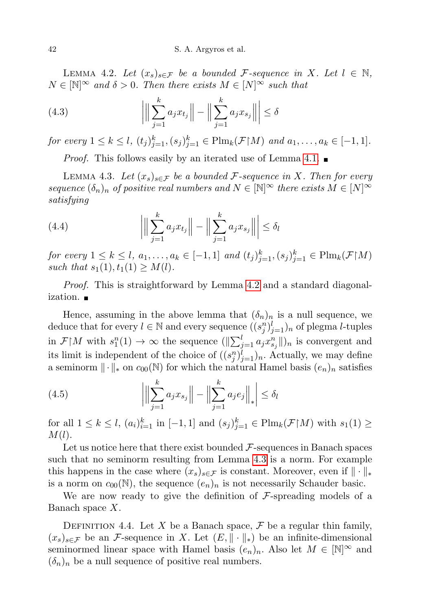<span id="page-19-0"></span>LEMMA 4.2. Let  $(x_s)_{s \in \mathcal{F}}$  be a bounded F-sequence in X. Let  $l \in \mathbb{N}$ ,  $N \in \mathbb{N}^{\infty}$  and  $\delta > 0$ . Then there exists  $M \in \mathbb{N}^{\infty}$  such that

(4.3) 
$$
\left| \left\| \sum_{j=1}^{k} a_j x_{t_j} \right\| - \left\| \sum_{j=1}^{k} a_j x_{s_j} \right\| \right| \le \delta
$$

for every  $1 \leq k \leq l$ ,  $(t_j)_{j=1}^k$ ,  $(s_j)_{j=1}^k \in \text{Plm}_k(\mathcal{F} \restriction M)$  and  $a_1, \ldots, a_k \in [-1, 1]$ .

*Proof.* This follows easily by an iterated use of Lemma [4.1.](#page-18-1)  $\blacksquare$ 

<span id="page-19-1"></span>LEMMA 4.3. Let  $(x_s)_{s \in \mathcal{F}}$  be a bounded F-sequence in X. Then for every sequence  $(\delta_n)_n$  of positive real numbers and  $N \in \mathbb{N}^\infty$  there exists  $M \in [N]^\infty$ satisfying

(4.4) 
$$
\left| \left\| \sum_{j=1}^{k} a_j x_{t_j} \right\| - \left\| \sum_{j=1}^{k} a_j x_{s_j} \right\| \right| \leq \delta_l
$$

for every  $1 \leq k \leq l, a_1, \ldots, a_k \in [-1,1]$  and  $(t_j)_{j=1}^k$ ,  $(s_j)_{j=1}^k \in \text{Plm}_k(\mathcal{F} | M)$ such that  $s_1(1), t_1(1) \geq M(l)$ .

Proof. This is straightforward by Lemma [4.2](#page-19-0) and a standard diagonalization.

Hence, assuming in the above lemma that  $(\delta_n)_n$  is a null sequence, we deduce that for every  $l \in \mathbb{N}$  and every sequence  $((s_j^n)_{j=1}^l)_n$  of plegma *l*-tuples in  $\mathcal{F}[M]$  with  $s_1^n(1) \to \infty$  the sequence  $(\|\sum_{j=1}^l a_j x_{s_j}^n\|)_n$  is convergent and its limit is independent of the choice of  $((s_j^n)_{j=1}^l)_n$ . Actually, we may define a seminorm  $\|\cdot\|_*$  on  $c_{00}(\mathbb{N})$  for which the natural Hamel basis  $(e_n)_n$  satisfies

(4.5) 
$$
\left| \left\| \sum_{j=1}^{k} a_j x_{s_j} \right\| - \left\| \sum_{j=1}^{k} a_j e_j \right\|_{*} \right| \leq \delta_l
$$

for all  $1 \leq k \leq l$ ,  $(a_i)_{i=1}^k$  in  $[-1, 1]$  and  $(s_j)_{j=1}^k \in \text{Plm}_k(\mathcal{F} \restriction M)$  with  $s_1(1) \geq$  $M(l).$ 

Let us notice here that there exist bounded  $\mathcal{F}\text{-sequences}$  in Banach spaces such that no seminorm resulting from Lemma [4.3](#page-19-1) is a norm. For example this happens in the case where  $(x_s)_{s\in\mathcal{F}}$  is constant. Moreover, even if  $\|\cdot\|_*$ is a norm on  $c_{00}(\mathbb{N})$ , the sequence  $(e_n)_n$  is not necessarily Schauder basic.

We are now ready to give the definition of  $\mathcal F$ -spreading models of a Banach space X.

<span id="page-19-2"></span>DEFINITION 4.4. Let X be a Banach space,  $\mathcal F$  be a regular thin family,  $(x_s)_{s\in\mathcal{F}}$  be an *F*-sequence in X. Let  $(E, \|\cdot\|_*)$  be an infinite-dimensional seminormed linear space with Hamel basis  $(e_n)_n$ . Also let  $M \in \mathbb{N}^\infty$  and  $(\delta_n)_n$  be a null sequence of positive real numbers.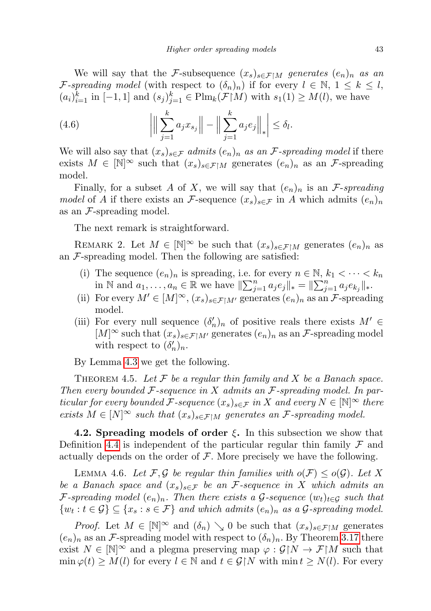We will say that the F-subsequence  $(x_s)_{s \in \mathcal{F} \setminus M}$  generates  $(e_n)_n$  as an F-spreading model (with respect to  $(\delta_n)_n$ ) if for every  $l \in \mathbb{N}, 1 \leq k \leq l$ ,  $(a_i)_{i=1}^k$  in  $[-1,1]$  and  $(s_j)_{j=1}^k \in \text{Plm}_k(\mathcal{F}\upharpoonright M)$  with  $s_1(1) \geq M(l)$ , we have

(4.6) 
$$
\left| \left\| \sum_{j=1}^{k} a_j x_{s_j} \right\| - \left\| \sum_{j=1}^{k} a_j e_j \right\|_{*} \right| \leq \delta_l.
$$

We will also say that  $(x_s)_{s \in \mathcal{F}}$  admits  $(e_n)_n$  as an *F*-spreading model if there exists  $M \in [\mathbb{N}]^{\infty}$  such that  $(x_s)_{s \in \mathcal{F} \upharpoonright M}$  generates  $(e_n)_n$  as an *F*-spreading model.

Finally, for a subset A of X, we will say that  $(e_n)_n$  is an F-spreading model of A if there exists an F-sequence  $(x_s)_{s\in\mathcal{F}}$  in A which admits  $(e_n)_n$ as an  $\mathcal F$ -spreading model.

The next remark is straightforward.

<span id="page-20-1"></span>REMARK 2. Let  $M \in [\mathbb{N}]^{\infty}$  be such that  $(x_s)_{s \in \mathcal{F} \upharpoonright M}$  generates  $(e_n)_n$  as an  $\mathcal F$ -spreading model. Then the following are satisfied:

- (i) The sequence  $(e_n)_n$  is spreading, i.e. for every  $n \in \mathbb{N}$ ,  $k_1 < \cdots < k_n$ in N and  $a_1, ..., a_n \in \mathbb{R}$  we have  $\|\sum_{j=1}^n a_j e_j\|_* = \|\sum_{j=1}^n a_j e_{k_j}\|_*$ .
- (ii) For every  $M' \in [M]^\infty$ ,  $(x_s)_{s \in \mathcal{F} | M'}$  generates  $(e_n)_n$  as an  $\mathcal{F}$ -spreading model.
- (iii) For every null sequence  $(\delta'_n)_n$  of positive reals there exists  $M' \in$  $[M]^\infty$  such that  $(x_s)_{s\in\mathcal{F}[M]}$  generates  $(e_n)_n$  as an *F*-spreading model with respect to  $(\delta'_n)_n$ .

By Lemma [4.3](#page-19-1) we get the following.

THEOREM 4.5. Let  $\mathcal F$  be a regular thin family and  $X$  be a Banach space. Then every bounded  $\mathcal F$ -sequence in X admits an  $\mathcal F$ -spreading model. In particular for every bounded F-sequence  $(x_s)_{s \in \mathcal{F}}$  in X and every  $N \in \mathbb{N}^{\infty}$  there exists  $M \in [N]^\infty$  such that  $(x_s)_{s \in \mathcal{F} \upharpoonright M}$  generates an *F*-spreading model.

**4.2. Spreading models of order**  $\xi$ **.** In this subsection we show that Definition [4.4](#page-19-2) is independent of the particular regular thin family  $\mathcal F$  and actually depends on the order of  $\mathcal F$ . More precisely we have the following.

<span id="page-20-0"></span>LEMMA 4.6. Let F, G be regular thin families with  $o(F) \leq o(G)$ . Let X be a Banach space and  $(x_s)_{s \in \mathcal{F}}$  be an F-sequence in X which admits an F-spreading model  $(e_n)_n$ . Then there exists a G-sequence  $(w_t)_{t\in\mathcal{G}}$  such that  $\{w_t: t \in \mathcal{G}\} \subseteq \{x_s: s \in \mathcal{F}\}\$ and which admits  $(e_n)_n$  as a  $\mathcal{G}$ -spreading model.

*Proof.* Let  $M \in [\mathbb{N}]^{\infty}$  and  $(\delta_n) \searrow 0$  be such that  $(x_s)_{s \in \mathcal{F} \upharpoonright M}$  generates  $(e_n)_n$  as an *F*-spreading model with respect to  $(\delta_n)_n$ . By Theorem [3.17](#page-16-0) there exist  $N \in \mathbb{N}^{\infty}$  and a plegma preserving map  $\varphi : \mathcal{G} \upharpoonright N \to \mathcal{F} \upharpoonright M$  such that  $\min \varphi(t) \geq M(l)$  for every  $l \in \mathbb{N}$  and  $t \in \mathcal{G} \upharpoonright N$  with  $\min t \geq N(l)$ . For every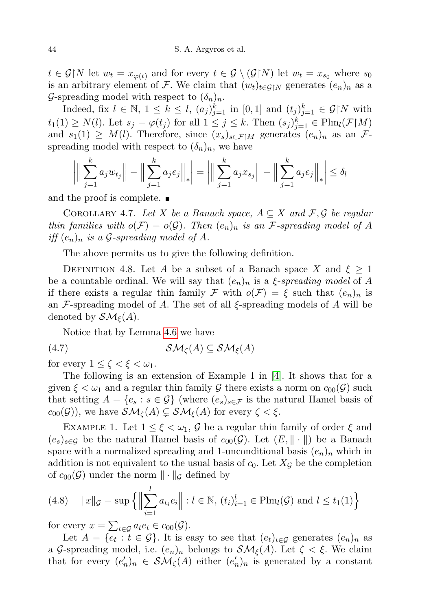$t \in \mathcal{G} \backslash N$  let  $w_t = x_{\varphi(t)}$  and for every  $t \in \mathcal{G} \setminus (\mathcal{G} \backslash N)$  let  $w_t = x_{s_0}$  where  $s_0$ is an arbitrary element of F. We claim that  $(w_t)_{t\in\mathcal{G}\restriction N}$  generates  $(e_n)_n$  as a G-spreading model with respect to  $(\delta_n)_n$ .

Indeed, fix  $l \in \mathbb{N}$ ,  $1 \leq k \leq l$ ,  $(a_j)_{j=1}^k$  in  $[0,1]$  and  $(t_j)_{j=1}^k \in \mathcal{G} \upharpoonright N$  with  $t_1(1) \geq N(l)$ . Let  $s_j = \varphi(t_j)$  for all  $1 \leq j \leq k$ . Then  $(s_j)_{j=1}^k \in \text{Plm}_l(\mathcal{F} \restriction M)$ and  $s_1(1) \geq M(l)$ . Therefore, since  $(x_s)_{s \in \mathcal{F} | M}$  generates  $(e_n)_n$  as an  $\mathcal{F}$ spreading model with respect to  $(\delta_n)_n$ , we have

$$
\left| \Big\| \sum_{j=1}^{k} a_j w_{t_j} \Big\| - \Big\| \sum_{j=1}^{k} a_j e_j \Big\|_{*} \right| = \left| \Big\| \sum_{j=1}^{k} a_j x_{s_j} \Big\| - \Big\| \sum_{j=1}^{k} a_j e_j \Big\|_{*} \right| \leq \delta_0
$$

and the proof is complete.  $\blacksquare$ 

COROLLARY 4.7. Let X be a Banach space,  $A \subseteq X$  and  $\mathcal{F}, \mathcal{G}$  be regular thin families with  $o(\mathcal{F}) = o(\mathcal{G})$ . Then  $(e_n)_n$  is an  $\mathcal{F}$ -spreading model of A iff  $(e_n)_n$  is a G-spreading model of A.

The above permits us to give the following definition.

DEFINITION 4.8. Let A be a subset of a Banach space X and  $\xi \geq 1$ be a countable ordinal. We will say that  $(e_n)_n$  is a  $\xi$ -spreading model of A if there exists a regular thin family F with  $o(F) = \xi$  such that  $(e_n)_n$  is an  $\mathcal F$ -spreading model of A. The set of all  $\xi$ -spreading models of A will be denoted by  $\mathcal{SM}_{\varepsilon}(A)$ .

Notice that by Lemma [4.6](#page-20-0) we have

(4.7) SM<sup>ζ</sup> (A) ⊆ SMξ(A)

for every  $1 \leq \zeta < \xi < \omega_1$ .

The following is an extension of Example 1 in [\[4\]](#page-44-2). It shows that for a given  $\xi < \omega_1$  and a regular thin family G there exists a norm on  $c_{00}(\mathcal{G})$  such that setting  $A = \{e_s : s \in \mathcal{G}\}\$  (where  $(e_s)_{s \in \mathcal{F}}\$ is the natural Hamel basis of  $c_{00}(\mathcal{G})$ , we have  $\mathcal{SM}_{\zeta}(A) \subsetneq \mathcal{SM}_{\xi}(A)$  for every  $\zeta < \xi$ .

EXAMPLE 1. Let  $1 \leq \xi < \omega_1$ , G be a regular thin family of order  $\xi$  and  $(e_s)_{s\in\mathcal{G}}$  be the natural Hamel basis of  $c_{00}(\mathcal{G})$ . Let  $(E, \|\cdot\|)$  be a Banach space with a normalized spreading and 1-unconditional basis  $(e_n)_n$  which in addition is not equivalent to the usual basis of  $c_0$ . Let  $X_{\mathcal{G}}$  be the completion of  $c_{00}(\mathcal{G})$  under the norm  $\|\cdot\|_{\mathcal{G}}$  defined by

<span id="page-21-0"></span>(4.8) 
$$
||x||_{\mathcal{G}} = \sup \{ ||\sum_{i=1}^{l} a_{t_i} e_i|| : l \in \mathbb{N}, (t_i)_{i=1}^{l} \in \text{Plm}_l(\mathcal{G}) \text{ and } l \le t_1(1) \}
$$

for every  $x = \sum_{t \in \mathcal{G}} a_t e_t \in c_{00}(\mathcal{G})$ .

Let  $A = \{e_t : t \in \mathcal{G}\}\.$  It is easy to see that  $(e_t)_{t \in \mathcal{G}}$  generates  $(e_n)_n$  as a G-spreading model, i.e.  $(e_n)_n$  belongs to  $\mathcal{SM}_{\xi}(A)$ . Let  $\zeta < \xi$ . We claim that for every  $(e'_n)_n \in \mathcal{SM}_{\zeta}(A)$  either  $(e'_n)_n$  is generated by a constant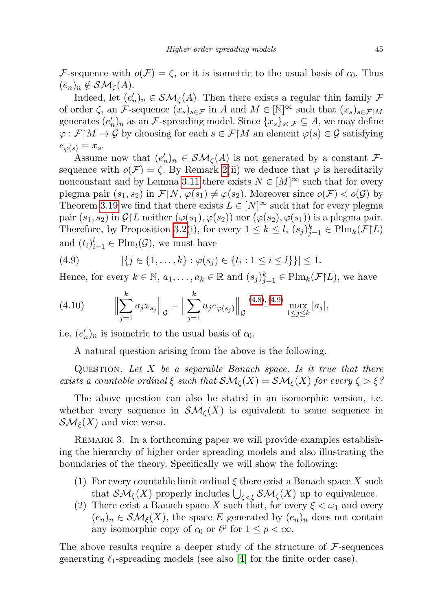F-sequence with  $o(F) = \zeta$ , or it is isometric to the usual basis of  $c_0$ . Thus  $(e_n)_n \notin \mathcal{SM}_{\zeta}(A).$ 

Indeed, let  $(e'_n)_n \in \mathcal{SM}_{\zeta}(A)$ . Then there exists a regular thin family  $\mathcal F$ of order  $\zeta$ , an F-sequence  $(x_s)_{s\in\mathcal{F}}$  in A and  $M \in [\mathbb{N}]^{\infty}$  such that  $(x_s)_{s\in\mathcal{F}\upharpoonright M}$ generates  $(e'_n)_n$  as an *F*-spreading model. Since  $\{x_s\}_{s\in\mathcal{F}}\subseteq A$ , we may define  $\varphi : \mathcal{F} \mid M \to \mathcal{G}$  by choosing for each  $s \in \mathcal{F} \mid M$  an element  $\varphi(s) \in \mathcal{G}$  satisfying  $e_{\varphi(s)} = x_s.$ 

Assume now that  $(e'_n)_n \in \mathcal{SM}_{\zeta}(A)$  is not generated by a constant Fsequence with  $o(\mathcal{F}) = \zeta$ . By Remark [2\(](#page-20-1)ii) we deduce that  $\varphi$  is hereditarily nonconstant and by Lemma [3.11](#page-13-0) there exists  $N \in [M]^\infty$  such that for every plegma pair  $(s_1, s_2)$  in  $\mathcal{F}[N, \varphi(s_1) \neq \varphi(s_2)$ . Moreover since  $o(\mathcal{F}) < o(\mathcal{G})$  by Theorem [3.19](#page-17-0) we find that there exists  $L \in [N]^\infty$  such that for every plegma pair  $(s_1, s_2)$  in  $\mathcal{G}|L$  neither  $(\varphi(s_1), \varphi(s_2))$  nor  $(\varphi(s_2), \varphi(s_1))$  is a plegma pair. Therefore, by Proposition [3.2\(](#page-10-0)i), for every  $1 \leq k \leq l$ ,  $(s_j)_{j=1}^k \in \text{Plm}_k(\mathcal{F}|L)$ and  $(t_i)_{i=1}^l \in \text{Plm}_l(\mathcal{G})$ , we must have

<span id="page-22-0"></span>(4.9) 
$$
|\{j \in \{1, ..., k\} : \varphi(s_j) \in \{t_i : 1 \le i \le l\}\}| \le 1.
$$

Hence, for every  $k \in \mathbb{N}$ ,  $a_1, \ldots, a_k \in \mathbb{R}$  and  $(s_j)_{j=1}^k \in \text{Plm}_k(\mathcal{F}|L)$ , we have

(4.10) 
$$
\left\| \sum_{j=1}^{k} a_j x_{s_j} \right\|_{\mathcal{G}} = \left\| \sum_{j=1}^{k} a_j e_{\varphi(s_j)} \right\|_{\mathcal{G}} \stackrel{(4.8), (4.9)}{=} \max_{1 \leq j \leq k} |a_j|,
$$

i.e.  $(e'_n)_n$  is isometric to the usual basis of  $c_0$ .

A natural question arising from the above is the following.

QUESTION. Let  $X$  be a separable Banach space. Is it true that there exists a countable ordinal  $\xi$  such that  $\mathcal{SM}_{\zeta}(X) = \mathcal{SM}_{\xi}(X)$  for every  $\zeta > \xi$ ?

The above question can also be stated in an isomorphic version, i.e. whether every sequence in  $\mathcal{SM}_{\zeta}(X)$  is equivalent to some sequence in  $\mathcal{SM}_{\xi}(X)$  and vice versa.

Remark 3. In a forthcoming paper we will provide examples establishing the hierarchy of higher order spreading models and also illustrating the boundaries of the theory. Specifically we will show the following:

- (1) For every countable limit ordinal  $\xi$  there exist a Banach space X such that  $\mathcal{SM}_{\xi}(X)$  properly includes  $\bigcup_{\zeta<\xi} \mathcal{SM}_{\zeta}(X)$  up to equivalence.
- (2) There exist a Banach space X such that, for every  $\xi < \omega_1$  and every  $(e_n)_n \in \mathcal{SM}_{\xi}(X)$ , the space E generated by  $(e_n)_n$  does not contain any isomorphic copy of  $c_0$  or  $\ell^p$  for  $1 \leq p < \infty$ .

The above results require a deeper study of the structure of  $\mathcal{F}\text{-}sequences$ generating  $\ell_1$ -spreading models (see also [\[4\]](#page-44-2) for the finite order case).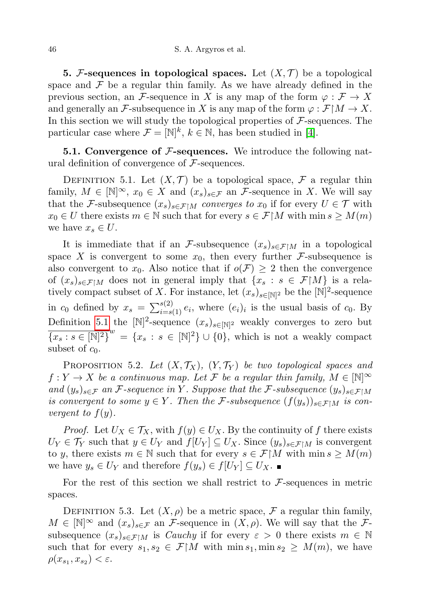**5.** F-sequences in topological spaces. Let  $(X, \mathcal{T})$  be a topological space and  $\mathcal F$  be a regular thin family. As we have already defined in the previous section, an F-sequence in X is any map of the form  $\varphi : \mathcal{F} \to X$ and generally an F-subsequence in X is any map of the form  $\varphi : \mathcal{F} \mid M \to X$ . In this section we will study the topological properties of  $\mathcal{F}$ -sequences. The particular case where  $\mathcal{F} = [\mathbb{N}]^k$ ,  $k \in \mathbb{N}$ , has been studied in [\[4\]](#page-44-2).

**5.1. Convergence of**  $\mathcal{F}$ **-sequences.** We introduce the following natural definition of convergence of  $\mathcal{F}\text{-sequences.}$ 

<span id="page-23-0"></span>DEFINITION 5.1. Let  $(X, \mathcal{T})$  be a topological space,  $\mathcal{F}$  a regular thin family,  $M \in [\mathbb{N}]^{\infty}$ ,  $x_0 \in X$  and  $(x_s)_{s \in \mathcal{F}}$  an *F*-sequence in X. We will say that the F-subsequence  $(x_s)_{s \in \mathcal{F} \setminus M}$  converges to  $x_0$  if for every  $U \in \mathcal{T}$  with  $x_0 \in U$  there exists  $m \in \mathbb{N}$  such that for every  $s \in \mathcal{F} \mid M$  with  $\min s \geq M(m)$ we have  $x_s \in U$ .

It is immediate that if an F-subsequence  $(x_s)_{s \in \mathcal{F} \upharpoonright M}$  in a topological space X is convergent to some  $x_0$ , then every further F-subsequence is also convergent to  $x_0$ . Also notice that if  $o(\mathcal{F}) \geq 2$  then the convergence of  $(x_s)_{s \in \mathcal{F} \mid M}$  does not in general imply that  $\{x_s : s \in \mathcal{F} \mid M\}$  is a relatively compact subset of X. For instance, let  $(x_s)_{s \in \mathbb{N}^2}$  be the  $\mathbb{N}^2$ -sequence in  $c_0$  defined by  $x_s = \sum_{i=s(1)}^{s(2)} e_i$ , where  $(e_i)_i$  is the usual basis of  $c_0$ . By Definition [5.1](#page-23-0) the  $[N]^2$ -sequence  $(x_s)_{s \in [N]^2}$  weakly converges to zero but  ${\overline{x_s:s\in[\mathbb{N}]^2\}}^w = \{x_s : s\in[\mathbb{N}]^2\}\cup\{0\}$ , which is not a weakly compact subset of  $c_0$ .

<span id="page-23-1"></span>PROPOSITION 5.2. Let  $(X, \mathcal{T}_X)$ ,  $(Y, \mathcal{T}_Y)$  be two topological spaces and  $f: Y \to X$  be a continuous map. Let F be a regular thin family,  $M \in [\mathbb{N}]^{\infty}$ and  $(y_s)_{s \in \mathcal{F}}$  an F-sequence in Y. Suppose that the F-subsequence  $(y_s)_{s \in \mathcal{F}} \upharpoonright M$ is convergent to some  $y \in Y$ . Then the F-subsequence  $(f(y_s))_{s \in \mathcal{F} \upharpoonright M}$  is convergent to  $f(y)$ .

*Proof.* Let  $U_X \in \mathcal{T}_X$ , with  $f(y) \in U_X$ . By the continuity of f there exists  $U_Y \in \mathcal{T}_Y$  such that  $y \in U_Y$  and  $f[U_Y] \subseteq U_X$ . Since  $(y_s)_{s \in \mathcal{F} \setminus M}$  is convergent to y, there exists  $m \in \mathbb{N}$  such that for every  $s \in \mathcal{F} \upharpoonright M$  with  $\min s \geq M(m)$ we have  $y_s \in U_Y$  and therefore  $f(y_s) \in f[U_Y] \subseteq U_X$ .

For the rest of this section we shall restrict to  $\mathcal{F}\text{-sequences}$  in metric spaces.

<span id="page-23-2"></span>DEFINITION 5.3. Let  $(X, \rho)$  be a metric space, F a regular thin family,  $M \in [\mathbb{N}]^{\infty}$  and  $(x_s)_{s \in \mathcal{F}}$  an F-sequence in  $(X, \rho)$ . We will say that the Fsubsequence  $(x_s)_{s \in \mathcal{F} \upharpoonright M}$  is *Cauchy* if for every  $\varepsilon > 0$  there exists  $m \in \mathbb{N}$ such that for every  $s_1, s_2 \in \mathcal{F}\upharpoonright M$  with  $\min s_1, \min s_2 \geq M(m)$ , we have  $\rho(x_{s_1}, x_{s_2}) < \varepsilon.$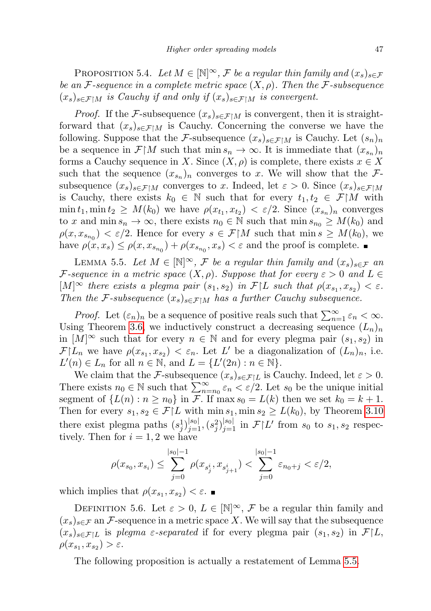PROPOSITION 5.4. Let  $M \in [\mathbb{N}]^{\infty}$ , F be a regular thin family and  $(x_s)_{s \in \mathcal{F}}$ be an F-sequence in a complete metric space  $(X, \rho)$ . Then the F-subsequence  $(x_s)_{s \in \mathcal{F} \mid M}$  is Cauchy if and only if  $(x_s)_{s \in \mathcal{F} \mid M}$  is convergent.

*Proof.* If the F-subsequence  $(x_s)_{s \in \mathcal{F} \upharpoonright M}$  is convergent, then it is straightforward that  $(x_s)_{s \in \mathcal{F} \upharpoonright M}$  is Cauchy. Concerning the converse we have the following. Suppose that the F-subsequence  $(x_s)_{s \in \mathcal{F}|M}$  is Cauchy. Let  $(s_n)_n$ be a sequence in  $\mathcal{F} | M$  such that min  $s_n \to \infty$ . It is immediate that  $(x_{s_n})_n$ forms a Cauchy sequence in X. Since  $(X, \rho)$  is complete, there exists  $x \in X$ such that the sequence  $(x_{s_n})_n$  converges to x. We will show that the Fsubsequence  $(x_s)_{s \in \mathcal{F} \upharpoonright M}$  converges to x. Indeed, let  $\varepsilon > 0$ . Since  $(x_s)_{s \in \mathcal{F} \upharpoonright M}$ is Cauchy, there exists  $k_0 \in \mathbb{N}$  such that for every  $t_1, t_2 \in \mathcal{F}\,|\,M$  with  $\min t_1, \min t_2 \geq M(k_0)$  we have  $\rho(x_{t_1}, x_{t_2}) < \varepsilon/2$ . Since  $(x_{s_n})_n$  converges to x and min  $s_n \to \infty$ , there exists  $n_0 \in \mathbb{N}$  such that min  $s_{n_0} \geq M(k_0)$  and  $\rho(x, x_{s_{n_0}}) < \varepsilon/2$ . Hence for every  $s \in \mathcal{F} \upharpoonright M$  such that  $\min s \geq M(k_0)$ , we have  $\rho(x, x_s) \leq \rho(x, x_{s_{n_0}}) + \rho(x_{s_{n_0}}, x_s) < \varepsilon$  and the proof is complete.

<span id="page-24-0"></span>LEMMA 5.5. Let  $M \in [\mathbb{N}]^{\infty}$ , F be a regular thin family and  $(x_s)_{s \in \mathcal{F}}$  an F-sequence in a metric space  $(X, \rho)$ . Suppose that for every  $\varepsilon > 0$  and  $L \in$  $[M]^\infty$  there exists a plegma pair  $(s_1, s_2)$  in  $\mathcal{F}|L$  such that  $\rho(x_{s_1}, x_{s_2}) < \varepsilon$ . Then the F-subsequence  $(x_s)_{s \in \mathcal{F} \upharpoonright M}$  has a further Cauchy subsequence.

*Proof.* Let  $(\varepsilon_n)_n$  be a sequence of positive reals such that  $\sum_{n=1}^{\infty} \varepsilon_n < \infty$ . Using Theorem [3.6,](#page-11-2) we inductively construct a decreasing sequence  $(L_n)_n$ in  $[M]^\infty$  such that for every  $n \in \mathbb{N}$  and for every plegma pair  $(s_1, s_2)$  in  $\mathcal{F}|L_n$  we have  $\rho(x_{s_1}, x_{s_2}) < \varepsilon_n$ . Let L' be a diagonalization of  $(L_n)_n$ , i.e.  $L'(n) \in L_n$  for all  $n \in \mathbb{N}$ , and  $L = \{L'(2n) : n \in \mathbb{N}\}.$ 

We claim that the F-subsequence  $(x_s)_{s \in \mathcal{F} | L}$  is Cauchy. Indeed, let  $\varepsilon > 0$ . There exists  $n_0 \in \mathbb{N}$  such that  $\sum_{n=n_0}^{\infty} \varepsilon_n < \varepsilon/2$ . Let  $s_0$  be the unique initial segment of  $\{L(n): n \geq n_0\}$  in F. If max  $s_0 = L(k)$  then we set  $k_0 = k + 1$ . Then for every  $s_1, s_2 \in \mathcal{F}|L$  with  $\min s_1, \min s_2 \ge L(k_0)$ , by Theorem [3.10](#page-12-1) there exist plegma paths  $(s_j^1)_{j=1}^{|s_0|}, (s_j^2)_{j=1}^{|s_0|}$  in  $\mathcal{F}|L'$  from  $s_0$  to  $s_1, s_2$  respectively. Then for  $i = 1, 2$  we have

$$
\rho(x_{s_0}, x_{s_i}) \le \sum_{j=0}^{|s_0|-1} \rho(x_{s_j^i}, x_{s_{j+1}^i}) < \sum_{j=0}^{|s_0|-1} \varepsilon_{n_0+j} < \varepsilon/2,
$$

which implies that  $\rho(x_{s_1}, x_{s_2}) < \varepsilon$ .

DEFINITION 5.6. Let  $\varepsilon > 0$ ,  $L \in [\mathbb{N}]^{\infty}$ ,  $\mathcal F$  be a regular thin family and  $(x_s)_{s\in\mathcal{F}}$  an  $\mathcal{F}$ -sequence in a metric space X. We will say that the subsequence  $(x_s)_{s \in \mathcal{F} \setminus L}$  is plegma  $\varepsilon$ -separated if for every plegma pair  $(s_1, s_2)$  in  $\mathcal{F} \setminus L$ ,  $\rho(x_{s_1}, x_{s_2}) > \varepsilon.$ 

The following proposition is actually a restatement of Lemma [5.5.](#page-24-0)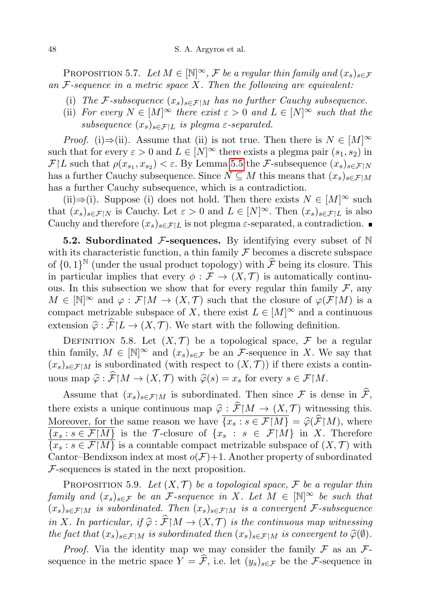PROPOSITION 5.7. Let  $M \in [\mathbb{N}]^{\infty}$ , F be a regular thin family and  $(x_s)_{s \in \mathcal{F}}$ an  $F$ -sequence in a metric space  $X$ . Then the following are equivalent:

- (i) The F-subsequence  $(x_s)_{s \in \mathcal{F} \upharpoonright M}$  has no further Cauchy subsequence.
- (ii) For every  $N \in [M]^\infty$  there exist  $\varepsilon > 0$  and  $L \in [N]^\infty$  such that the subsequence  $(x_s)_{s \in \mathcal{F}|L}$  is plegma  $\varepsilon$ -separated.

*Proof.* (i)⇒(ii). Assume that (ii) is not true. Then there is  $N \in [M]^\infty$ such that for every  $\varepsilon > 0$  and  $L \in [N]^\infty$  there exists a plegma pair  $(s_1, s_2)$  in  $\mathcal{F}|L$  such that  $\rho(x_{s_1}, x_{s_2}) < \varepsilon$ . By Lemma [5.5](#page-24-0) the F-subsequence  $(x_s)_{s \in \mathcal{F}|N}$ has a further Cauchy subsequence. Since  $N \subseteq M$  this means that  $(x_s)_{s \in \mathcal{F} \upharpoonright M}$ has a further Cauchy subsequence, which is a contradiction.

(ii)⇒(i). Suppose (i) does not hold. Then there exists  $N \in [M]^\infty$  such that  $(x_s)_{s\in\mathcal{F}\upharpoonright N}$  is Cauchy. Let  $\varepsilon > 0$  and  $L \in [N]^\infty$ . Then  $(x_s)_{s\in\mathcal{F}\upharpoonright L}$  is also Cauchy and therefore  $(x_s)_{s \in \mathcal{F} \setminus L}$  is not plegma  $\varepsilon$ -separated, a contradiction.

**5.2. Subordinated F-sequences.** By identifying every subset of  $\mathbb N$ with its characteristic function, a thin family  $\mathcal F$  becomes a discrete subspace of  $\{0,1\}^{\mathbb{N}}$  (under the usual product topology) with  $\hat{\mathcal{F}}$  being its closure. This in particular implies that every  $\phi : \mathcal{F} \to (X, \mathcal{T})$  is automatically continuous. In this subsection we show that for every regular thin family  $\mathcal{F}$ , any  $M \in [\mathbb{N}]^{\infty}$  and  $\varphi : \mathcal{F} \upharpoonright M \to (X, \mathcal{T})$  such that the closure of  $\varphi(\mathcal{F} \upharpoonright M)$  is a compact metrizable subspace of X, there exist  $L \in [M]^\infty$  and a continuous extension  $\hat{\varphi}$  :  $\hat{\mathcal{F}} | L \to (X, \mathcal{T})$ . We start with the following definition.

<span id="page-25-0"></span>DEFINITION 5.8. Let  $(X, \mathcal{T})$  be a topological space,  $\mathcal{F}$  be a regular thin family,  $M \in [\mathbb{N}]^{\infty}$  and  $(x_s)_{s \in \mathcal{F}}$  be an *F*-sequence in X. We say that  $(x_s)_{s\in\mathcal{F}\upharpoonright M}$  is subordinated (with respect to  $(X,\mathcal{T})$ ) if there exists a continuous map  $\widehat{\varphi}$  :  $\widehat{\mathcal{F}}[M \to (X, \mathcal{T})$  with  $\widehat{\varphi}(s) = x_s$  for every  $s \in \mathcal{F}[M]$ .

Assume that  $(x_s)_{s \in \mathcal{F} \upharpoonright M}$  is subordinated. Then since  $\mathcal{F}$  is dense in  $\widehat{\mathcal{F}}$ , there exists a unique continuous map  $\hat{\varphi}$  :  $\hat{\mathcal{F}}[M \to (X, \mathcal{T})$  witnessing this. Moreover, for the same reason we have  $\overline{\{x_s : s \in \mathcal{F} | M\}} = \hat{\varphi}(\hat{\mathcal{F}} | M)$ , where  $\overline{\{x_s : s \in \mathcal{F} | M\}}$  is the T-closure of  $\{x_s : s \in \mathcal{F} | M\}$  in X. Therefore  $\overline{\{x_s : s \in \mathcal{F} | M\}}$  is a countable compact metrizable subspace of  $(X, \mathcal{T})$  with Cantor–Bendixson index at most  $o(F)+1$ . Another property of subordinated F-sequences is stated in the next proposition.

PROPOSITION 5.9. Let  $(X, \mathcal{T})$  be a topological space, F be a regular thin family and  $(x_s)_{s \in \mathcal{F}}$  be an *F*-sequence in X. Let  $M \in [\mathbb{N}]^{\infty}$  be such that  $(x_s)_{s \in \mathcal{F} \mid M}$  is subordinated. Then  $(x_s)_{s \in \mathcal{F} \mid M}$  is a convergent F-subsequence in X. In particular, if  $\hat{\varphi}$ :  $\hat{\mathcal{F}} | M \to (X, \mathcal{T})$  is the continuous map witnessing the fact that  $(x_s)_{s\in\mathcal{F}\upharpoonright M}$  is subordinated then  $(x_s)_{s\in\mathcal{F}\upharpoonright M}$  is convergent to  $\widehat{\varphi}(\emptyset)$ .

*Proof.* Via the identity map we may consider the family  $\mathcal F$  as an  $\mathcal F$ sequence in the metric space  $Y = \hat{\mathcal{F}}$ , i.e. let  $(y_s)_{s \in \mathcal{F}}$  be the F-sequence in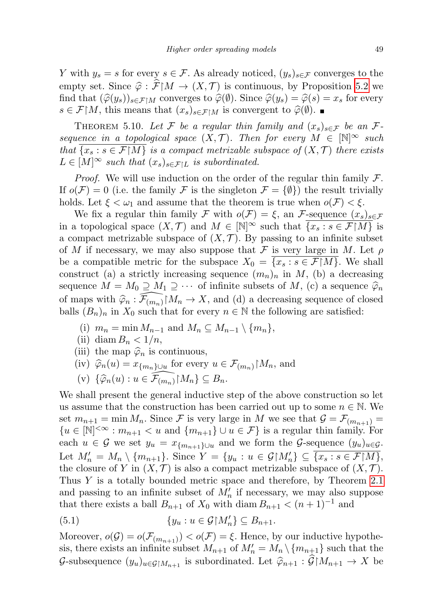Y with  $y_s = s$  for every  $s \in \mathcal{F}$ . As already noticed,  $(y_s)_{s \in \mathcal{F}}$  converges to the empty set. Since  $\hat{\varphi}$  :  $\hat{\mathcal{F}}[M \to (X, \mathcal{T})]$  is continuous, by Proposition [5.2](#page-23-1) we find that  $(\widehat{\varphi}(y_s))_{s\in\mathcal{F}\upharpoonright M}$  converges to  $\widehat{\varphi}(\emptyset)$ . Since  $\widehat{\varphi}(y_s) = \widehat{\varphi}(s) = x_s$  for every  $s \in \mathcal{F}[M]$ , this means that  $(x_s)_{s \in \mathcal{F}[M]}$  is convergent to  $\widehat{\varphi}(\emptyset)$ .

<span id="page-26-0"></span>THEOREM 5.10. Let F be a regular thin family and  $(x_s)_{s \in \mathcal{F}}$  be an Fsequence in a topological space  $(X, \mathcal{T})$ . Then for every  $M \in [\mathbb{N}]^{\infty}$  such that  $\{x_s : s \in \mathcal{F}\mid M\}$  is a compact metrizable subspace of  $(X, \mathcal{T})$  there exists  $L \in [M]^\infty$  such that  $(x_s)_{s \in \mathcal{F} \setminus L}$  is subordinated.

*Proof.* We will use induction on the order of the regular thin family  $\mathcal{F}$ . If  $o(\mathcal{F}) = 0$  (i.e. the family  $\mathcal{F}$  is the singleton  $\mathcal{F} = {\emptyset}$ ) the result trivially holds. Let  $\xi < \omega_1$  and assume that the theorem is true when  $o(\mathcal{F}) < \xi$ .

We fix a regular thin family F with  $o(F) = \xi$ , an F-sequence  $(x_s)_{s \in F}$ in a topological space  $(X, \mathcal{T})$  and  $M \in [\mathbb{N}]^{\infty}$  such that  $\overline{\{x_s : s \in \mathcal{F} | M\}}$  is a compact metrizable subspace of  $(X, \mathcal{T})$ . By passing to an infinite subset of M if necessary, we may also suppose that F is very large in M. Let  $\rho$ be a compatible metric for the subspace  $X_0 = \{x_s : s \in \mathcal{F} | M\}$ . We shall construct (a) a strictly increasing sequence  $(m_n)_n$  in M, (b) a decreasing sequence  $M = M_0 \supseteq M_1 \supseteq \cdots$  of infinite subsets of M, (c) a sequence  $\widehat{\varphi}_n$ of maps with  $\hat{\varphi}_n : \widehat{\mathcal{F}_{(m_n)}}M_n \to X$ , and (d) a decreasing sequence of closed balls  $(B_n)_n$  in  $X_0$  such that for every  $n \in \mathbb{N}$  the following are satisfied:

- (i)  $m_n = \min M_{n-1}$  and  $M_n \subseteq M_{n-1} \setminus \{m_n\},\$
- (ii) diam  $B_n < 1/n$ ,
- (iii) the map  $\widehat{\varphi}_n$  is continuous,
- (iv)  $\widehat{\varphi}_n(u) = x_{\{m_n\}\cup u}$  for every  $u \in \mathcal{F}_{(m_n)}\upharpoonright M_n$ , and

(v) 
$$
\{\widehat{\varphi}_n(u) : u \in \widehat{\mathcal{F}_{(m_n)}} | M_n \} \subseteq B_n
$$
.

We shall present the general inductive step of the above construction so let us assume that the construction has been carried out up to some  $n \in \mathbb{N}$ . We set  $m_{n+1} = \min M_n$ . Since F is very large in M we see that  $\mathcal{G} = \mathcal{F}_{(m_{n+1})} =$  ${u \in [\mathbb{N}]^{<\infty}: m_{n+1} < u \text{ and } \{m_{n+1}\} \cup u \in \mathcal{F}}$  is a regular thin family. For each  $u \in \mathcal{G}$  we set  $y_u = x_{\{m_{n+1}\}\cup u}$  and we form the  $\mathcal{G}$ -sequence  $(y_u)_{u \in \mathcal{G}}$ . Let  $M'_n = M_n \setminus \{m_{n+1}\}\$ . Since  $Y = \{y_u : u \in \mathcal{G} \mid M'_n\} \subseteq \overline{\{x_s : s \in \mathcal{F} \mid M\}}$ , the closure of Y in  $(X, \mathcal{T})$  is also a compact metrizable subspace of  $(X, \mathcal{T})$ . Thus Y is a totally bounded metric space and therefore, by Theorem [2.1](#page-4-0) and passing to an infinite subset of  $M'_n$  if necessary, we may also suppose that there exists a ball  $B_{n+1}$  of  $X_0$  with diam  $B_{n+1} < (n+1)^{-1}$  and

(5.1) 
$$
\{y_u : u \in \mathcal{G} \mid M'_n\} \subseteq B_{n+1}.
$$

Moreover,  $o(\mathcal{G}) = o(\mathcal{F}_{(m_{n+1})}) < o(\mathcal{F}) = \xi$ . Hence, by our inductive hypothesis, there exists an infinite subset  $M_{n+1}$  of  $M'_n = M_n \setminus \{m_{n+1}\}\$  such that the G-subsequence  $(y_u)_{u \in \mathcal{G}\{M_{n+1}\}}$  is subordinated. Let  $\widehat{\varphi}_{n+1} : \widehat{\mathcal{G}}\{M_{n+1} \to X \}$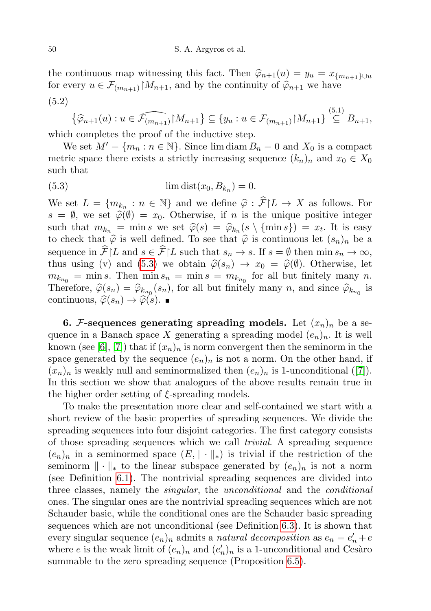the continuous map witnessing this fact. Then  $\hat{\varphi}_{n+1}(u) = y_u = x_{\{m_{n+1}\}\cup u}$ for every  $u \in \mathcal{F}_{(m_{n+1})}|M_{n+1}$ , and by the continuity of  $\widehat{\varphi}_{n+1}$  we have (5.2)

<span id="page-27-0"></span>
$$
\{\widehat{\varphi}_{n+1}(u): u \in \widehat{\mathcal{F}_{(m_{n+1})}} \mid M_{n+1}\} \subseteq \overline{\{y_u : u \in \mathcal{F}_{(m_{n+1})} \mid M_{n+1}\}} \stackrel{(5.1)}{\subseteq} B_{n+1},
$$

which completes the proof of the inductive step.

We set  $M' = \{m_n : n \in \mathbb{N}\}\.$  Since  $\lim_{n \to \infty} B_n = 0$  and  $X_0$  is a compact metric space there exists a strictly increasing sequence  $(k_n)_n$  and  $x_0 \in X_0$ such that

(5.3) 
$$
\lim_{n \to \infty} \text{dist}(x_0, B_{k_n}) = 0.
$$

We set  $L = \{m_{k_n} : n \in \mathbb{N}\}\$ and we define  $\hat{\varphi} : \hat{\mathcal{F}} | L \to X$  as follows. For  $s = \emptyset$ , we set  $\hat{\varphi}(\emptyset) = x_0$ . Otherwise, if n is the unique positive integer such that  $m_{k_n} = \min s$  we set  $\hat{\varphi}(s) = \hat{\varphi}_{k_n}(s \setminus {\min s}) = x_t$ . It is easy to check that  $\hat{\varphi}$  is well defined. To see that  $\hat{\varphi}$  is continuous let  $(s)$ , be a to check that  $\hat{\varphi}$  is well defined. To see that  $\hat{\varphi}$  is continuous let  $(s_n)_n$  be a sequence in  $\widehat{\mathcal{F}}\vert L$  and  $s \in \widehat{\mathcal{F}}\vert L$  such that  $s_n \to s$ . If  $s = \emptyset$  then  $\min s_n \to \infty$ , thus using (v) and [\(5.3\)](#page-27-0) we obtain  $\hat{\varphi}(s_n) \to x_0 = \hat{\varphi}(\emptyset)$ . Otherwise, let  $m_{k_{n_0}} = \min s$ . Then  $\min s_n = \min s = m_{k_{n_0}}$  for all but finitely many n. Therefore,  $\widehat{\varphi}(s_n) = \widehat{\varphi}_{k_{n_0}}(s_n)$ , for all but finitely many n, and since  $\widehat{\varphi}_{k_{n_0}}$  is continuous  $\widehat{\varphi}(s_n) \setminus \widehat{\varphi}(s)$ continuous,  $\widehat{\varphi}(s_n) \to \widehat{\varphi}(s)$ .

6. F-sequences generating spreading models. Let  $(x_n)_n$  be a sequence in a Banach space X generating a spreading model  $(e_n)_n$ . It is well known (see [\[6\]](#page-44-4), [\[7\]](#page-44-0)) that if  $(x_n)_n$  is norm convergent then the seminorm in the space generated by the sequence  $(e_n)_n$  is not a norm. On the other hand, if  $(x_n)_n$  is weakly null and seminormalized then  $(e_n)_n$  is 1-unconditional ([\[7\]](#page-44-0)). In this section we show that analogues of the above results remain true in the higher order setting of ξ-spreading models.

To make the presentation more clear and self-contained we start with a short review of the basic properties of spreading sequences. We divide the spreading sequences into four disjoint categories. The first category consists of those spreading sequences which we call trivial. A spreading sequence  $(e_n)_n$  in a seminormed space  $(E, \|\cdot\|_*)$  is trivial if the restriction of the seminorm  $\|\cdot\|_*$  to the linear subspace generated by  $(e_n)_n$  is not a norm (see Definition [6.1\)](#page-28-0). The nontrivial spreading sequences are divided into three classes, namely the *singular*, the *unconditional* and the *conditional* ones. The singular ones are the nontrivial spreading sequences which are not Schauder basic, while the conditional ones are the Schauder basic spreading sequences which are not unconditional (see Definition [6.3\)](#page-29-0). It is shown that every singular sequence  $(e_n)_n$  admits a *natural decomposition* as  $e_n = e'_n + e'_n$ where e is the weak limit of  $(e_n)_n$  and  $(e'_n)_n$  is a 1-unconditional and Cesaro summable to the zero spreading sequence (Proposition [6.5\)](#page-30-0).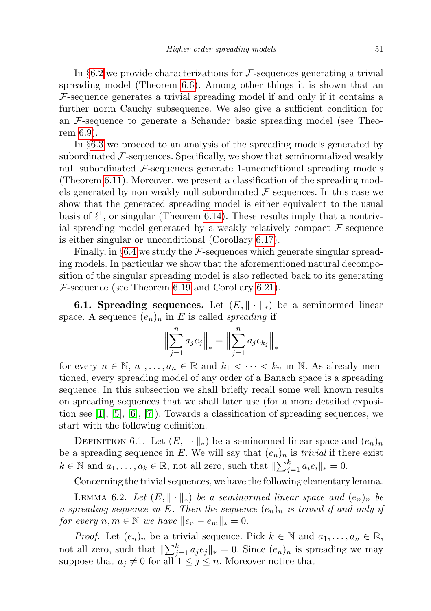In  $\S6.2$  $\S6.2$  we provide characterizations for F-sequences generating a trivial spreading model (Theorem [6.6\)](#page-31-1). Among other things it is shown that an  $F$ -sequence generates a trivial spreading model if and only if it contains a further norm Cauchy subsequence. We also give a sufficient condition for an F-sequence to generate a Schauder basic spreading model (see Theorem [6.9\)](#page-32-0).

In §[6.3](#page-33-0) we proceed to an analysis of the spreading models generated by subordinated  $\mathcal F$ -sequences. Specifically, we show that seminormalized weakly null subordinated  $\mathcal F$ -sequences generate 1-unconditional spreading models (Theorem [6.11\)](#page-35-0). Moreover, we present a classification of the spreading models generated by non-weakly null subordinated  $\mathcal{F}$ -sequences. In this case we show that the generated spreading model is either equivalent to the usual basis of  $\ell^1$ , or singular (Theorem [6.14\)](#page-37-0). These results imply that a nontrivial spreading model generated by a weakly relatively compact  $\mathcal{F}\text{-sequence}$ is either singular or unconditional (Corollary [6.17\)](#page-39-0).

Finally, in  $\S6.4$  $\S6.4$  we study the F-sequences which generate singular spreading models. In particular we show that the aforementioned natural decomposition of the singular spreading model is also reflected back to its generating  $\mathcal{F}$ -sequence (see Theorem [6.19](#page-42-0) and Corollary [6.21\)](#page-44-8).

**6.1. Spreading sequences.** Let  $(E, \|\cdot\|_*)$  be a seminormed linear space. A sequence  $(e_n)_n$  in E is called *spreading* if

$$
\Big\| \sum_{j=1}^{n} a_j e_j \Big\|_* = \Big\| \sum_{j=1}^{n} a_j e_{k_j} \Big\|_*
$$

for every  $n \in \mathbb{N}$ ,  $a_1, \ldots, a_n \in \mathbb{R}$  and  $k_1 < \cdots < k_n$  in N. As already mentioned, every spreading model of any order of a Banach space is a spreading sequence. In this subsection we shall briefly recall some well known results on spreading sequences that we shall later use (for a more detailed exposi-tion see [\[1\]](#page-44-9), [\[5\]](#page-44-6), [\[6\]](#page-44-4), [\[7\]](#page-44-0)). Towards a classification of spreading sequences, we start with the following definition.

<span id="page-28-0"></span>DEFINITION 6.1. Let  $(E, \|\cdot\|_*)$  be a seminormed linear space and  $(e_n)_n$ be a spreading sequence in E. We will say that  $(e_n)_n$  is *trivial* if there exist  $k \in \mathbb{N}$  and  $a_1, \ldots, a_k \in \mathbb{R}$ , not all zero, such that  $\|\sum_{j=1}^k a_i e_i\|_* = 0$ .

Concerning the trivial sequences, we have the following elementary lemma.

<span id="page-28-1"></span>LEMMA 6.2. Let  $(E, \|\cdot\|_*)$  be a seminormed linear space and  $(e_n)_n$  be a spreading sequence in E. Then the sequence  $(e_n)_n$  is trivial if and only if for every  $n, m \in \mathbb{N}$  we have  $||e_n - e_m||_* = 0$ .

*Proof.* Let  $(e_n)_n$  be a trivial sequence. Pick  $k \in \mathbb{N}$  and  $a_1, \ldots, a_n \in \mathbb{R}$ , not all zero, such that  $\|\sum_{j=1}^k a_j e_j\|_* = 0$ . Since  $(e_n)_n$  is spreading we may suppose that  $a_j \neq 0$  for all  $1 \leq j \leq n$ . Moreover notice that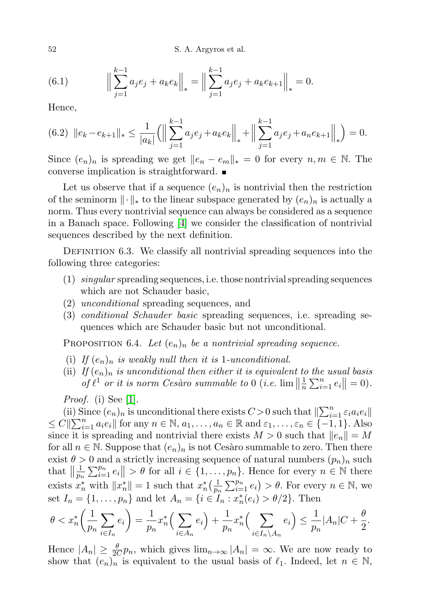52 S. A. Argyros et al.

(6.1) 
$$
\left\| \sum_{j=1}^{k-1} a_j e_j + a_k e_k \right\|_* = \left\| \sum_{j=1}^{k-1} a_j e_j + a_k e_{k+1} \right\|_* = 0.
$$

Hence,

$$
(6.2) \ \left\|e_k - e_{k+1}\right\|_{*} \le \frac{1}{|a_k|} \left(\left\|\sum_{j=1}^{k-1} a_j e_j + a_k e_k\right\|_{*} + \left\|\sum_{j=1}^{k-1} a_j e_j + a_n e_{k+1}\right\|_{*}\right) = 0.
$$

Since  $(e_n)_n$  is spreading we get  $||e_n - e_m||_* = 0$  for every  $n, m \in \mathbb{N}$ . The converse implication is straightforward.

Let us observe that if a sequence  $(e_n)_n$  is nontrivial then the restriction of the seminorm  $\|\cdot\|_*$  to the linear subspace generated by  $(e_n)_n$  is actually a norm. Thus every nontrivial sequence can always be considered as a sequence in a Banach space. Following [\[4\]](#page-44-2) we consider the classification of nontrivial sequences described by the next definition.

<span id="page-29-0"></span>DEFINITION 6.3. We classify all nontrivial spreading sequences into the following three categories:

- (1) singular spreading sequences, i.e. those nontrivial spreading sequences which are not Schauder basic,
- (2) unconditional spreading sequences, and
- (3) conditional Schauder basic spreading sequences, i.e. spreading sequences which are Schauder basic but not unconditional.

<span id="page-29-1"></span>PROPOSITION 6.4. Let  $(e_n)_n$  be a nontrivial spreading sequence.

- (i) If  $(e_n)_n$  is weakly null then it is 1-unconditional.
- (ii) If  $(e_n)_n$  is unconditional then either it is equivalent to the usual basis of  $\ell^1$  or it is norm Cesàro summable to 0 (i.e.  $\lim_{n \to \infty} \left| \frac{1}{n} \right|$  $\frac{1}{n} \sum_{i=1}^{n} e_i \| = 0.$

Proof. (i) See [\[1\]](#page-44-9).

(ii) Since  $(e_n)_n$  is unconditional there exists  $C>0$  such that  $\|\sum_{i=1}^n \varepsilon_i a_i e_i\|$  $\leq C \|\sum_{i=1}^n a_i e_i\|$  for any  $n \in \mathbb{N}, a_1, \ldots, a_n \in \mathbb{R}$  and  $\varepsilon_1, \ldots, \varepsilon_n \in \{-1, 1\}$ . Also since it is spreading and nontrivial there exists  $M > 0$  such that  $||e_n|| = M$ for all  $n \in \mathbb{N}$ . Suppose that  $(e_n)_n$  is not Cesaro summable to zero. Then there exist  $\theta > 0$  and a strictly increasing sequence of natural numbers  $(p_n)_n$  such that  $\left\| \frac{1}{p_n} \right\|$  $\frac{1}{p_n} \sum_{i=1}^{p_n} e_i \| > \theta$  for all  $i \in \{1, \ldots, p_n\}$ . Hence for every  $n \in \mathbb{N}$  there exists  $x_n^*$  with  $||x_n^*|| = 1$  such that  $x_n^*$   $\left(\frac{1}{p_n}\right)$  $\frac{1}{p_n} \sum_{i=1}^{p_n} e_i$  >  $\theta$ . For every  $n \in \mathbb{N}$ , we set  $I_n = \{1, ..., p_n\}$  and let  $A_n = \{i \in I_n : x_n^*(e_i) > \theta/2\}$ . Then

$$
\theta < x_n^* \left( \frac{1}{p_n} \sum_{i \in I_n} e_i \right) = \frac{1}{p_n} x_n^* \left( \sum_{i \in A_n} e_i \right) + \frac{1}{p_n} x_n^* \left( \sum_{i \in I_n \setminus A_n} e_i \right) \le \frac{1}{p_n} |A_n| C + \frac{\theta}{2}.
$$

Hence  $|A_n| \geq \frac{\theta}{2C} p_n$ , which gives  $\lim_{n\to\infty} |A_n| = \infty$ . We are now ready to show that  $(e_n)_n$  is equivalent to the usual basis of  $\ell_1$ . Indeed, let  $n \in \mathbb{N}$ ,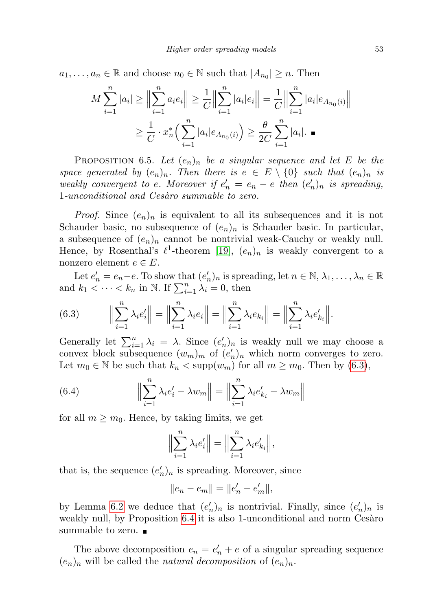$a_1, \ldots, a_n \in \mathbb{R}$  and choose  $n_0 \in \mathbb{N}$  such that  $|A_{n_0}| \geq n$ . Then

$$
M \sum_{i=1}^{n} |a_i| \ge \left\| \sum_{i=1}^{n} a_i e_i \right\| \ge \frac{1}{C} \left\| \sum_{i=1}^{n} |a_i| e_i \right\| = \frac{1}{C} \left\| \sum_{i=1}^{n} |a_i| e_{A_{n_0}(i)} \right\|
$$
  

$$
\ge \frac{1}{C} \cdot x_n^* \left( \sum_{i=1}^{n} |a_i| e_{A_{n_0}(i)} \right) \ge \frac{\theta}{2C} \sum_{i=1}^{n} |a_i|.
$$

<span id="page-30-0"></span>PROPOSITION 6.5. Let  $(e_n)_n$  be a singular sequence and let E be the space generated by  $(e_n)_n$ . Then there is  $e \in E \setminus \{0\}$  such that  $(e_n)_n$  is weakly convergent to e. Moreover if  $e'_n = e_n - e$  then  $(e'_n)_n$  is spreading, 1-unconditional and Cesàro summable to zero.

*Proof.* Since  $(e_n)_n$  is equivalent to all its subsequences and it is not Schauder basic, no subsequence of  $(e_n)_n$  is Schauder basic. In particular, a subsequence of  $(e_n)_n$  cannot be nontrivial weak-Cauchy or weakly null. Hence, by Rosenthal's  $\ell^1$ -theorem [\[19\]](#page-45-9),  $(e_n)_n$  is weakly convergent to a nonzero element  $e \in E$ .

Let  $e'_n = e_n - e$ . To show that  $(e'_n)_n$  is spreading, let  $n \in \mathbb{N}, \lambda_1, \ldots, \lambda_n \in \mathbb{R}$ and  $k_1 < \cdots < k_n$  in N. If  $\sum_{i=1}^n \lambda_i = 0$ , then

<span id="page-30-1"></span>(6.3) 
$$
\left\| \sum_{i=1}^{n} \lambda_{i} e_{i}' \right\| = \left\| \sum_{i=1}^{n} \lambda_{i} e_{i} \right\| = \left\| \sum_{i=1}^{n} \lambda_{i} e_{k_{i}} \right\| = \left\| \sum_{i=1}^{n} \lambda_{i} e_{k_{i}}' \right\|.
$$

Generally let  $\sum_{i=1}^{n} \lambda_i = \lambda$ . Since  $(e'_n)_n$  is weakly null we may choose a convex block subsequence  $(w_m)_m$  of  $(e'_n)_n$  which norm converges to zero. Let  $m_0 \in \mathbb{N}$  be such that  $k_n < \text{supp}(w_m)$  for all  $m \geq m_0$ . Then by  $(6.3)$ ,

(6.4) 
$$
\left\| \sum_{i=1}^{n} \lambda_i e'_i - \lambda w_m \right\| = \left\| \sum_{i=1}^{n} \lambda_i e'_{k_i} - \lambda w_m \right\|
$$

for all  $m \geq m_0$ . Hence, by taking limits, we get

$$
\Big\|\sum_{i=1}^n \lambda_i e_i'\Big\| = \Big\|\sum_{i=1}^n \lambda_i e_{k_i}'\Big\|,
$$

that is, the sequence  $(e'_n)_n$  is spreading. Moreover, since

$$
||e_n - e_m|| = ||e'_n - e'_m||,
$$

by Lemma [6.2](#page-28-1) we deduce that  $(e'_n)_n$  is nontrivial. Finally, since  $(e'_n)_n$  is weakly null, by Proposition [6.4](#page-29-1) it is also 1-unconditional and norm Cesaro summable to zero. ■

The above decomposition  $e_n = e'_n + e$  of a singular spreading sequence  $(e_n)_n$  will be called the *natural decomposition* of  $(e_n)_n$ .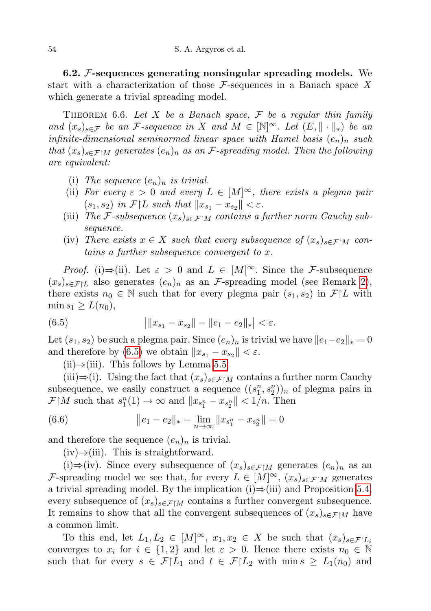<span id="page-31-0"></span>6.2.  $F$ -sequences generating nonsingular spreading models. We start with a characterization of those  $\mathcal F$ -sequences in a Banach space X which generate a trivial spreading model.

<span id="page-31-1"></span>THEOREM 6.6. Let X be a Banach space,  $\mathcal F$  be a regular thin family and  $(x_s)_{s\in\mathcal{F}}$  be an *F*-sequence in X and  $M \in [\mathbb{N}]^{\infty}$ . Let  $(E, \|\cdot\|_*)$  be an infinite-dimensional seminormed linear space with Hamel basis  $(e_n)_n$  such that  $(x_s)_{s \in \mathcal{F} \setminus M}$  generates  $(e_n)_n$  as an *F*-spreading model. Then the following are equivalent:

- (i) The sequence  $(e_n)_n$  is trivial.
- (ii) For every  $\varepsilon > 0$  and every  $L \in [M]^\infty$ , there exists a plegma pair  $(s_1, s_2)$  in  $\mathcal{F}[L$  such that  $||x_{s_1} - x_{s_2}|| < \varepsilon$ .
- (iii) The F-subsequence  $(x_s)_{s \in \mathcal{F} \upharpoonright M}$  contains a further norm Cauchy subsequence.
- (iv) There exists  $x \in X$  such that every subsequence of  $(x_s)_{s \in \mathcal{F} \upharpoonright M}$  contains a further subsequence convergent to x.

*Proof.* (i)⇒(ii). Let  $\varepsilon > 0$  and  $L \in [M]^\infty$ . Since the F-subsequence  $(x_s)_{s \in \mathcal{F}|L}$  also generates  $(e_n)_n$  as an *F*-spreading model (see Remark [2\)](#page-20-1), there exists  $n_0 \in \mathbb{N}$  such that for every plegma pair  $(s_1, s_2)$  in  $\mathcal{F}|L$  with  $\min s_1 \geq L(n_0),$ 

(6.5) 
$$
\|x_{s_1} - x_{s_2}\| - \|e_1 - e_2\|_*| < \varepsilon.
$$

Let  $(s_1, s_2)$  be such a plegma pair. Since  $(e_n)_n$  is trivial we have  $||e_1-e_2||_* = 0$ and therefore by [\(6.5\)](#page-31-2) we obtain  $||x_{s_1} - x_{s_2}|| < \varepsilon$ .

<span id="page-31-2"></span> $(ii) \Rightarrow (iii)$ . This follows by Lemma [5.5.](#page-24-0)

(iii)⇒(i). Using the fact that  $(x_s)_{s \in \mathcal{F} \upharpoonright M}$  contains a further norm Cauchy subsequence, we easily construct a sequence  $((s_1^n, s_2^n))_n$  of plegma pairs in  $\mathcal{F}[M]$  such that  $s_1^n(1) \to \infty$  and  $||x_{s_1^n} - x_{s_2^n}|| < 1/n$ . Then

(6.6) 
$$
||e_1 - e_2||_* = \lim_{n \to \infty} ||x_{s_1^n} - x_{s_2^n}|| = 0
$$

and therefore the sequence  $(e_n)_n$  is trivial.

 $(iv) \Rightarrow (iii)$ . This is straightforward.

(i)⇒(iv). Since every subsequence of  $(x_s)_{s \in \mathcal{F} | M}$  generates  $(e_n)_n$  as an F-spreading model we see that, for every  $L \in [M]^\infty$ ,  $(x_s)_{s \in \mathcal{F} \upharpoonright M}$  generates a trivial spreading model. By the implication  $(i) \Rightarrow (iii)$  and Proposition [5.4,](#page-23-2) every subsequence of  $(x_s)_{s \in \mathcal{F} \setminus M}$  contains a further convergent subsequence. It remains to show that all the convergent subsequences of  $(x_s)_{s\in\mathcal{F}\upharpoonright M}$  have a common limit.

To this end, let  $L_1, L_2 \in [M]^\infty$ ,  $x_1, x_2 \in X$  be such that  $(x_s)_{s \in \mathcal{F}|L_i}$ converges to  $x_i$  for  $i \in \{1,2\}$  and let  $\varepsilon > 0$ . Hence there exists  $n_0 \in \mathbb{N}$ such that for every  $s \in \mathcal{F}[L_1]$  and  $t \in \mathcal{F}[L_2]$  with  $\min s \geq L_1(n_0)$  and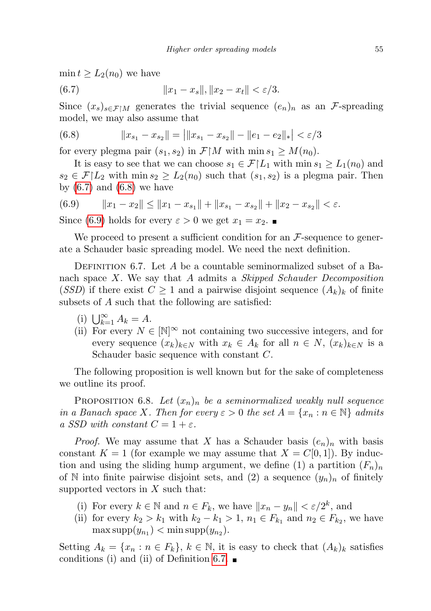$\min t \geq L_2(n_0)$  we have

<span id="page-32-1"></span>(6.7) 
$$
||x_1 - x_s||, ||x_2 - x_t|| < \varepsilon/3.
$$

Since  $(x_s)_{s \in \mathcal{F} \upharpoonright M}$  generates the trivial sequence  $(e_n)_n$  as an F-spreading model, we may also assume that

<span id="page-32-2"></span>(6.8) 
$$
||x_{s_1} - x_{s_2}|| = ||x_{s_1} - x_{s_2}|| - ||e_1 - e_2||_*| < \varepsilon/3
$$

for every plegma pair  $(s_1, s_2)$  in  $\mathcal{F}\upharpoonright M$  with  $\min s_1 \geq M(n_0)$ .

It is easy to see that we can choose  $s_1 \in \mathcal{F}[L_1]$  with  $\min s_1 \geq L_1(n_0)$  and  $s_2 \in \mathcal{F}|L_2$  with  $\min s_2 \geq L_2(n_0)$  such that  $(s_1, s_2)$  is a plegma pair. Then by  $(6.7)$  and  $(6.8)$  we have

<span id="page-32-3"></span>
$$
(6.9) \t\t ||x_1 - x_2|| \le ||x_1 - x_{s_1}|| + ||x_{s_1} - x_{s_2}|| + ||x_2 - x_{s_2}|| < \varepsilon.
$$

Since [\(6.9\)](#page-32-3) holds for every  $\varepsilon > 0$  we get  $x_1 = x_2$ .

We proceed to present a sufficient condition for an  $\mathcal F$ -sequence to generate a Schauder basic spreading model. We need the next definition.

<span id="page-32-4"></span>DEFINITION 6.7. Let A be a countable seminormalized subset of a Banach space  $X$ . We say that  $A$  admits a *Skipped Schauder Decomposition* (SSD) if there exist  $C \geq 1$  and a pairwise disjoint sequence  $(A_k)_k$  of finite subsets of A such that the following are satisfied:

- (i)  $\bigcup_{k=1}^{\infty} A_k = A.$
- (ii) For every  $N \in [\mathbb{N}]^{\infty}$  not containing two successive integers, and for every sequence  $(x_k)_{k\in\mathbb{N}}$  with  $x_k \in A_k$  for all  $n \in \mathbb{N}$ ,  $(x_k)_{k\in\mathbb{N}}$  is a Schauder basic sequence with constant C.

The following proposition is well known but for the sake of completeness we outline its proof.

PROPOSITION 6.8. Let  $(x_n)_n$  be a seminormalized weakly null sequence in a Banach space X. Then for every  $\varepsilon > 0$  the set  $A = \{x_n : n \in \mathbb{N}\}\$ admits a SSD with constant  $C = 1 + \varepsilon$ .

*Proof.* We may assume that X has a Schauder basis  $(e_n)_n$  with basis constant  $K = 1$  (for example we may assume that  $X = C[0, 1]$ ). By induction and using the sliding hump argument, we define (1) a partition  $(F_n)_n$ of N into finite pairwise disjoint sets, and (2) a sequence  $(y_n)_n$  of finitely supported vectors in  $X$  such that:

- (i) For every  $k \in \mathbb{N}$  and  $n \in F_k$ , we have  $||x_n y_n|| < \varepsilon/2^k$ , and
- (ii) for every  $k_2 > k_1$  with  $k_2 k_1 > 1$ ,  $n_1 \in F_{k_1}$  and  $n_2 \in F_{k_2}$ , we have  $\max \text{supp}(y_{n_1}) < \min \text{supp}(y_{n_2}).$

<span id="page-32-0"></span>Setting  $A_k = \{x_n : n \in F_k\}, k \in \mathbb{N}$ , it is easy to check that  $(A_k)_k$  satisfies conditions (i) and (ii) of Definition [6.7.](#page-32-4)  $\blacksquare$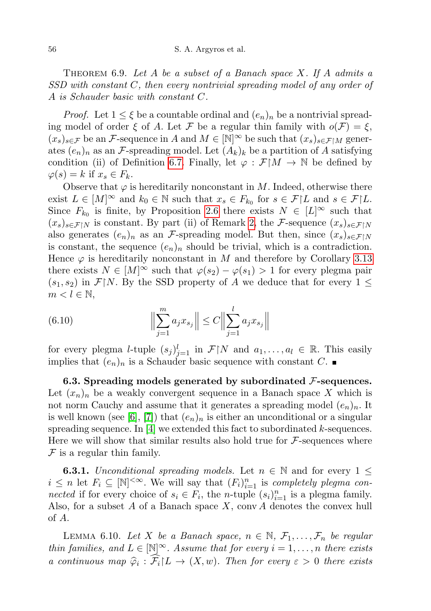THEOREM 6.9. Let A be a subset of a Banach space  $X$ . If A admits a SSD with constant C, then every nontrivial spreading model of any order of A is Schauder basic with constant C.

*Proof.* Let  $1 \leq \xi$  be a countable ordinal and  $(e_n)_n$  be a nontrivial spreading model of order  $\xi$  of A. Let F be a regular thin family with  $o(\mathcal{F}) = \xi$ ,  $(x_s)_{s\in\mathcal{F}}$  be an F-sequence in A and  $M \in \mathbb{N}^\infty$  be such that  $(x_s)_{s\in\mathcal{F}\upharpoonright M}$  generates  $(e_n)_n$  as an *F*-spreading model. Let  $(A_k)_k$  be a partition of A satisfying condition (ii) of Definition [6.7.](#page-32-4) Finally, let  $\varphi : \mathcal{F}[M \to \mathbb{N}]$  be defined by  $\varphi(s) = k$  if  $x_s \in F_k$ .

Observe that  $\varphi$  is hereditarily nonconstant in M. Indeed, otherwise there exist  $L \in [M]^\infty$  and  $k_0 \in \mathbb{N}$  such that  $x_s \in F_{k_0}$  for  $s \in \mathcal{F} | L$  and  $s \in \mathcal{F} | L$ . Since  $F_{k_0}$  is finite, by Proposition [2.6](#page-6-2) there exists  $N \in [L]^\infty$  such that  $(x_s)_{s\in\mathcal{F}\restriction N}$  is constant. By part (ii) of Remark [2,](#page-20-1) the F-sequence  $(x_s)_{s\in\mathcal{F}\restriction N}$ also generates  $(e_n)_n$  as an *F*-spreading model. But then, since  $(x_s)_{s \in \mathcal{F} \upharpoonright N}$ is constant, the sequence  $(e_n)_n$  should be trivial, which is a contradiction. Hence  $\varphi$  is hereditarily nonconstant in M and therefore by Corollary [3.13](#page-14-2) there exists  $N \in [M]^\infty$  such that  $\varphi(s_2) - \varphi(s_1) > 1$  for every plegma pair  $(s_1, s_2)$  in  $\mathcal{F}[N]$ . By the SSD property of A we deduce that for every  $1 \leq$  $m < l \in \mathbb{N}$ ,

(6.10) 
$$
\Big\|\sum_{j=1}^{m} a_j x_{s_j}\Big\| \leq C \Big\|\sum_{j=1}^{l} a_j x_{s_j}\Big\|
$$

for every plegma *l*-tuple  $(s_j)_{j=1}^l$  in  $\mathcal{F}\upharpoonright N$  and  $a_1,\ldots,a_l \in \mathbb{R}$ . This easily implies that  $(e_n)_n$  is a Schauder basic sequence with constant C.

<span id="page-33-0"></span>6.3. Spreading models generated by subordinated  $\mathcal{F}\text{-sequences.}$ Let  $(x_n)_n$  be a weakly convergent sequence in a Banach space X which is not norm Cauchy and assume that it generates a spreading model  $(e_n)_n$ . It is well known (see [\[6\]](#page-44-4), [\[7\]](#page-44-0)) that  $(e_n)_n$  is either an unconditional or a singular spreading sequence. In  $[4]$  we extended this fact to subordinated k-sequences. Here we will show that similar results also hold true for  $\mathcal{F}\text{-}sequences$  where  $\mathcal F$  is a regular thin family.

**6.3.1.** Unconditional spreading models. Let  $n \in \mathbb{N}$  and for every 1  $\leq$  $i \leq n$  let  $F_i \subseteq [\mathbb{N}]^{<\infty}$ . We will say that  $(F_i)_{i=1}^n$  is completely plegma connected if for every choice of  $s_i \in F_i$ , the n-tuple  $(s_i)_{i=1}^n$  is a plegma family. Also, for a subset A of a Banach space  $X$ , conv A denotes the convex hull of A.

<span id="page-33-1"></span>LEMMA 6.10. Let X be a Banach space,  $n \in \mathbb{N}$ ,  $\mathcal{F}_1, \ldots, \mathcal{F}_n$  be regular thin families, and  $L \in [\mathbb{N}]^{\infty}$ . Assume that for every  $i = 1, ..., n$  there exists a continuous map  $\hat{\varphi}_i : \widehat{\mathcal{F}_i} | L \to (X, w)$ . Then for every  $\varepsilon > 0$  there exists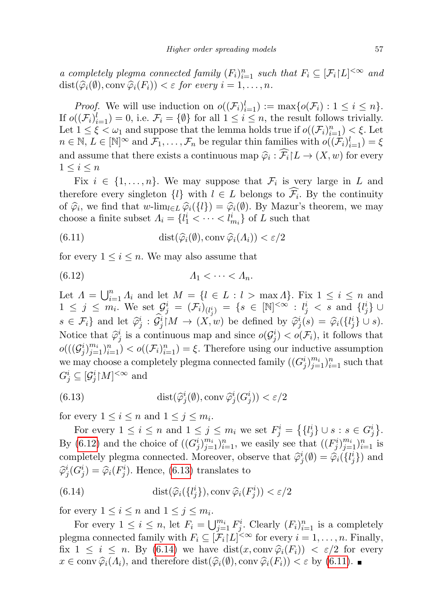a completely plegma connected family  $(F_i)_{i=1}^n$  such that  $F_i \subseteq [\mathcal{F}_i | L]^{<\infty}$  and  $dist(\widehat{\varphi}_i(\emptyset), conv \widehat{\varphi}_i(F_i)) < \varepsilon$  for every  $i = 1, ..., n$ .

*Proof.* We will use induction on  $o((\mathcal{F}_i)_{i=1}^l) := \max\{o(\mathcal{F}_i) : 1 \leq i \leq n\}.$ If  $o((\mathcal{F}_i)_{i=1}^l) = 0$ , i.e.  $\mathcal{F}_i = \{\emptyset\}$  for all  $1 \leq i \leq n$ , the result follows trivially. Let  $1 \leq \xi < \omega_1$  and suppose that the lemma holds true if  $o((\mathcal{F}_i)_{i=1}^n) < \xi$ . Let  $n \in \mathbb{N}, L \in [\mathbb{N}]^{\infty}$  and  $\mathcal{F}_1, \ldots, \mathcal{F}_n$  be regular thin families with  $o((\tilde{\mathcal{F}}_i)_{i=1}^l) = \xi$ and assume that there exists a continuous map  $\hat{\varphi}_i : \widehat{\mathcal{F}}_i \restriction L \to (X, w)$  for every  $1 \leq i \leq n$ 

Fix  $i \in \{1, \ldots, n\}$ . We may suppose that  $\mathcal{F}_i$  is very large in L and therefore every singleton  $\{l\}$  with  $l \in L$  belongs to  $\mathcal{F}_i$ . By the continuity of  $\hat{\varphi}_i$ , we find that  $w\text{-lim}_{l\in L} \hat{\varphi}_i({l}) = \hat{\varphi}_i(\emptyset)$ . By Mazur's theorem, we may choose a finite subset  $\Lambda_i = \{l_1^i < \cdots < l_{m_i}^i\}$  of L such that

<span id="page-34-3"></span>(6.11) 
$$
\text{dist}(\hat{\varphi}_i(\emptyset), \text{conv } \hat{\varphi}_i(\Lambda_i)) < \varepsilon/2
$$

for every  $1 \leq i \leq n$ . We may also assume that

<span id="page-34-0"></span>
$$
(6.12) \t\t\t A_1 < \cdots < A_n.
$$

Let  $\Lambda = \bigcup_{i=1}^n \Lambda_i$  and let  $M = \{l \in L : l > \max \Lambda\}$ . Fix  $1 \leq i \leq n$  and  $1 \leq j \leq m_i$ . We set  $\mathcal{G}_j^i = (\mathcal{F}_i)_{(l_j^i)} = \{s \in [\mathbb{N}]^{<\infty} : l_j^i < s \text{ and } \{l_j^i\} \cup$  $s \in \mathcal{F}_i$  and let  $\hat{\varphi}_j^i : \hat{\mathcal{G}}_j^i(M \to (X,w))$  be defined by  $\hat{\varphi}_j^i(s) = \hat{\varphi}_i({i_i} \cup s)$ . Notice that  $\hat{\varphi}_j^i$  is a continuous map and since  $o(\mathcal{G}_j^i) < o(\mathcal{F}_i)$ , it follows that  $o(((\mathcal{G}_j^i)_{j=1}^{m_i})_{i=1}^n) < o((\mathcal{F}_i)_{i=1}^n) = \xi$ . Therefore using our inductive assumption we may choose a completely plegma connected family  $((G_j^i)_{j=1}^{m_i})_{i=1}^n$  such that  $G_j^i \subseteq [\mathcal{G}_j^i \restriction M]^{<\infty}$  and

<span id="page-34-1"></span>(6.13) 
$$
\text{dist}(\hat{\varphi}_j^i(\emptyset), \text{conv } \hat{\varphi}_j^i(G_j^i)) < \varepsilon/2
$$

for every  $1 \leq i \leq n$  and  $1 \leq j \leq m_i$ .

For every  $1 \leq i \leq n$  and  $1 \leq j \leq m_i$  we set  $F_j^i = \left\{ \{l_j^i\} \cup s : s \in G_j^i \right\}$ . By [\(6.12\)](#page-34-0) and the choice of  $((G_j^i)_{j=1}^{m_i})_{i=1}^n$ , we easily see that  $((F_j^i)_{j=1}^{m_i})_{i=1}^n$  is completely plegma connected. Moreover, observe that  $\hat{\varphi}_j^i(\emptyset) = \hat{\varphi}_i({i_i \brace j})$  and  $\hat{\varphi}_j^i(G_i) = \hat{\varphi}_i(\{i_j\})$  Hereo  $(G_i)$  terms and the term  $\widehat{\varphi}_j^i(G_j^i) = \widehat{\varphi}_i(F_j^i)$ . Hence, [\(6.13\)](#page-34-1) translates to

<span id="page-34-2"></span>(6.14) 
$$
\text{dist}(\widehat{\varphi}_i(\{l_j^i\}),\text{conv }\widehat{\varphi}_i(F_j^i)) < \varepsilon/2
$$

for every  $1 \leq i \leq n$  and  $1 \leq j \leq m_i$ .

For every  $1 \leq i \leq n$ , let  $F_i = \bigcup_{j=1}^{m_i} F_j^i$ . Clearly  $(F_i)_{i=1}^n$  is a completely plegma connected family with  $F_i \subseteq [\mathcal{F}_i | L]^{<\infty}$  for every  $i = 1, \ldots, n$ . Finally, fix  $1 \leq i \leq n$ . By [\(6.14\)](#page-34-2) we have  $dist(x, conv \hat{\varphi}_i(F_i)) < \varepsilon/2$  for every  $x \in \text{conv } \widehat{\varphi}_i(\Lambda_i)$ , and therefore  $\text{dist}(\widehat{\varphi}_i(\emptyset), \text{conv } \widehat{\varphi}_i(F_i)) < \varepsilon$  by [\(6.11\)](#page-34-3).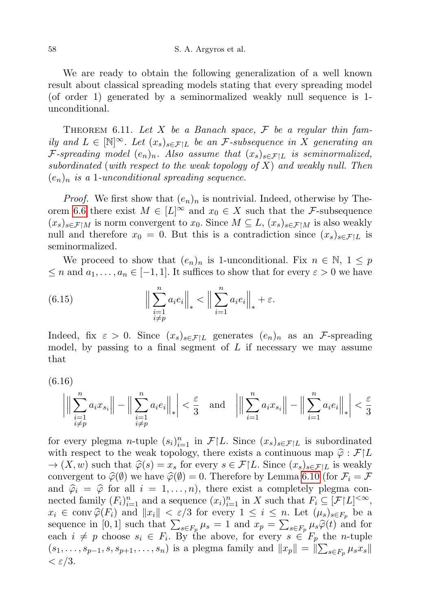We are ready to obtain the following generalization of a well known result about classical spreading models stating that every spreading model (of order 1) generated by a seminormalized weakly null sequence is 1 unconditional.

<span id="page-35-0"></span>THEOREM 6.11. Let X be a Banach space,  $\mathcal F$  be a regular thin family and  $L \in [\mathbb{N}]^{\infty}$ . Let  $(x_s)_{s \in \mathcal{F} \setminus L}$  be an *F*-subsequence in X generating an F-spreading model  $(e_n)_n$ . Also assume that  $(x_s)_{s \in \mathcal{F} \setminus L}$  is seminormalized, subordinated (with respect to the weak topology of  $X$ ) and weakly null. Then  $(e_n)_n$  is a 1-unconditional spreading sequence.

*Proof.* We first show that  $(e_n)_n$  is nontrivial. Indeed, otherwise by The-orem [6.6](#page-31-1) there exist  $M \in [L]^\infty$  and  $x_0 \in X$  such that the *F*-subsequence  $(x_s)_{s\in\mathcal{F}\upharpoonright M}$  is norm convergent to  $x_0$ . Since  $M\subseteq L$ ,  $(x_s)_{s\in\mathcal{F}\upharpoonright M}$  is also weakly null and therefore  $x_0 = 0$ . But this is a contradiction since  $(x_s)_{s \in \mathcal{F}|L}$  is seminormalized.

We proceed to show that  $(e_n)_n$  is 1-unconditional. Fix  $n \in \mathbb{N}, 1 \leq p$  $\leq n$  and  $a_1, \ldots, a_n \in [-1, 1]$ . It suffices to show that for every  $\varepsilon > 0$  we have

(6.15) 
$$
\Big\| \sum_{\substack{i=1 \ i \neq p}}^n a_i e_i \Big\|_* < \Big\| \sum_{i=1}^n a_i e_i \Big\|_* + \varepsilon.
$$

Indeed, fix  $\varepsilon > 0$ . Since  $(x_s)_{s \in \mathcal{F} | L}$  generates  $(e_n)_n$  as an *F*-spreading model, by passing to a final segment of  $L$  if necessary we may assume that

<span id="page-35-1"></span>(6.16)

$$
\left| \Big\| \sum_{\substack{i=1 \ i \neq p}}^n a_i x_{s_i} \Big\| - \Big\| \sum_{\substack{i=1 \ i \neq p}}^n a_i e_i \Big\|_* \right| < \frac{\varepsilon}{3} \quad \text{and} \quad \left| \Big\| \sum_{i=1}^n a_i x_{s_i} \Big\| - \Big\| \sum_{i=1}^n a_i e_i \Big\|_* \right| < \frac{\varepsilon}{3}
$$

for every plegma *n*-tuple  $(s_i)_{i=1}^n$  in  $\mathcal{F}[L]$ . Since  $(x_s)_{s \in \mathcal{F}[L]}$  is subordinated with respect to the weak topology, there exists a continuous map  $\hat{\varphi} : \mathcal{F}|L$  $\rightarrow$   $(X, w)$  such that  $\hat{\varphi}(s) = x_s$  for every  $s \in \mathcal{F}|L$ . Since  $(x_s)_{s \in \mathcal{F}|L}$  is weakly convergent to  $\hat{\varphi}(\emptyset)$  we have  $\hat{\varphi}(\emptyset) = 0$ . Therefore by Lemma [6.10](#page-33-1) (for  $\mathcal{F}_i = \mathcal{F}$ and  $\hat{\varphi}_i = \hat{\varphi}$  for all  $i = 1, \ldots, n$ , there exist a completely plegma connected family  $(F_i)_{i=1}^n$  and a sequence  $(x_i)_{i=1}^n$  in X such that  $F_i \subseteq [\mathcal{F}|L]^{<\infty}$ ,  $x_i \in \text{conv } \widehat{\varphi}(F_i)$  and  $||x_i|| < \varepsilon/3$  for every  $1 \leq i \leq n$ . Let  $(\mu_s)_{s \in F_p}$  be a sequence in [0,1] such that  $\sum_{s \in F_p} \mu_s = 1$  and  $x_p = \sum_{s \in F_p} \mu_s \hat{\varphi}(t)$  and for each  $i \neq p$  choose  $s_i \in F_i$ . By the above, for every  $s \in F_p$  the *n*-tuple  $(s_1, \ldots, s_{p-1}, s, s_{p+1}, \ldots, s_n)$  is a plegma family and  $||x_p|| = ||\sum_{s \in F_p} \mu_s x_s||$  $\epsilon$  /3.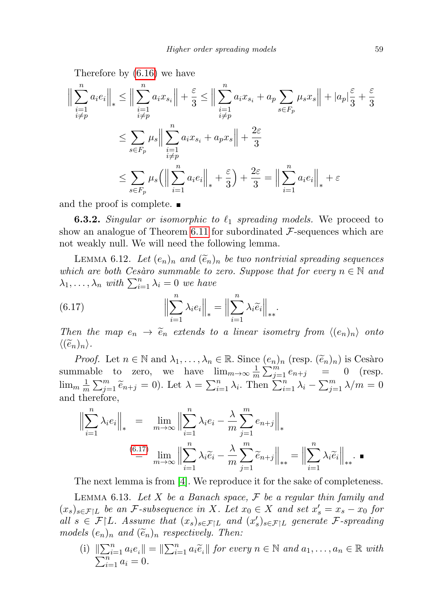Therefore by [\(6.16\)](#page-35-1) we have

$$
\left\| \sum_{\substack{i=1 \ i \neq p}}^n a_i e_i \right\|_{*} \le \left\| \sum_{\substack{i=1 \ i \neq p}}^n a_i x_{s_i} \right\| + \frac{\varepsilon}{3} \le \left\| \sum_{\substack{i=1 \ i \neq p}}^n a_i x_{s_i} + a_p \sum_{s \in F_p} \mu_s x_s \right\| + |a_p| \frac{\varepsilon}{3} + \frac{\varepsilon}{3}
$$
  

$$
\le \sum_{s \in F_p} \mu_s \left\| \sum_{\substack{i=1 \ i \neq p}}^n a_i x_{s_i} + a_p x_s \right\| + \frac{2\varepsilon}{3}
$$
  

$$
\le \sum_{s \in F_p} \mu_s \left( \left\| \sum_{i=1}^n a_i e_i \right\|_{*} + \frac{\varepsilon}{3} \right) + \frac{2\varepsilon}{3} = \left\| \sum_{i=1}^n a_i e_i \right\|_{*} + \varepsilon
$$

and the proof is complete.

**6.3.2.** Singular or isomorphic to  $\ell_1$  spreading models. We proceed to show an analogue of Theorem [6.11](#page-35-0) for subordinated  $\mathcal{F}\text{-sequences which are}$ not weakly null. We will need the following lemma.

<span id="page-36-2"></span>LEMMA 6.12. Let  $(e_n)_n$  and  $(\widetilde{e}_n)_n$  be two nontrivial spreading sequences which are both Cesàro summable to zero. Suppose that for every  $n \in \mathbb{N}$  and  $\lambda_1, \ldots, \lambda_n$  with  $\sum_{i=1}^n \lambda_i = 0$  we have

<span id="page-36-0"></span>(6.17) 
$$
\left\| \sum_{i=1}^{n} \lambda_{i} e_{i} \right\|_{*} = \left\| \sum_{i=1}^{n} \lambda_{i} \widetilde{e}_{i} \right\|_{**}.
$$

Then the map  $e_n \to \tilde{e}_n$  extends to a linear isometry from  $\langle (e_n)_n \rangle$  onto  $\langle (\widetilde{e}_n)_n \rangle$ .

Proof. Let  $n \in \mathbb{N}$  and  $\lambda_1, \ldots, \lambda_n \in \mathbb{R}$ . Since  $(e_n)_n$  (resp.  $(\widetilde{e}_n)_n$ ) is Cesàro summable to zero, we have  $\lim_{m \to \infty} \frac{1}{m} \sum_{i=1}^m e_{n+j} = 0$  (resp.  $\frac{1}{m}\sum_{j=1}^{m}e_{n+j}$  = 0 (resp.  $\lim_{m} \frac{1}{n}$  $\frac{1}{m}\sum_{j=1}^m \widetilde{e}_{n+j} = 0$ . Let  $\lambda = \sum_{i=1}^n \lambda_i$ . Then  $\sum_{i=1}^n \lambda_i - \sum_{j=1}^m \lambda/m = 0$ and therefore,

$$
\left\| \sum_{i=1}^{n} \lambda_i e_i \right\|_* = \lim_{m \to \infty} \left\| \sum_{i=1}^{n} \lambda_i e_i - \frac{\lambda}{m} \sum_{j=1}^{m} e_{n+j} \right\|_*
$$
  

$$
\stackrel{(6.17)}{=} \lim_{m \to \infty} \left\| \sum_{i=1}^{n} \lambda_i \tilde{e}_i - \frac{\lambda}{m} \sum_{j=1}^{m} \tilde{e}_{n+j} \right\|_{**} = \left\| \sum_{i=1}^{n} \lambda_i \tilde{e}_i \right\|_{**}.
$$

The next lemma is from [\[4\]](#page-44-2). We reproduce it for the sake of completeness.

<span id="page-36-1"></span>LEMMA 6.13. Let X be a Banach space,  $\mathcal F$  be a regular thin family and  $(x_s)_{s \in \mathcal{F} | L}$  be an *F*-subsequence in X. Let  $x_0 \in X$  and set  $x_s' = x_s - x_0$  for all  $s \in \mathcal{F}|L$ . Assume that  $(x_s)_{s \in \mathcal{F}|L}$  and  $(x'_s)_{s \in \mathcal{F}|L}$  generate  $\mathcal{F}$ -spreading models  $(e_n)_n$  and  $(\tilde{e}_n)_n$  respectively. Then:

(i)  $\|\sum_{i=1}^n a_i e_i\| = \|\sum_{i=1}^n a_i \tilde{e}_i\|$  for every  $n \in \mathbb{N}$  and  $a_1, \ldots, a_n \in \mathbb{R}$  with  $\sum_{i=1}^{n} a_i = 0.$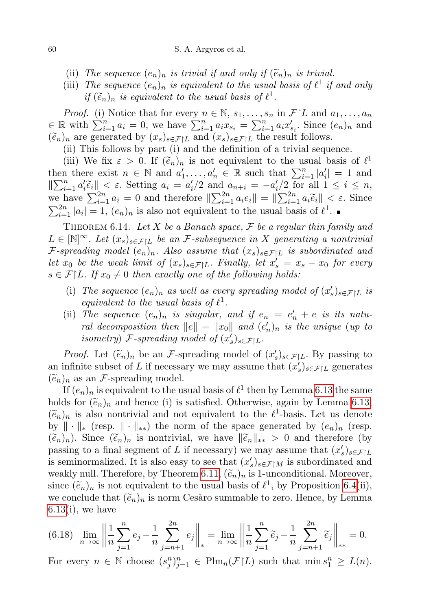- (ii) The sequence  $(e_n)_n$  is trivial if and only if  $(\widetilde{e}_n)_n$  is trivial.
- (iii) The sequence  $(e_n)_n$  is equivalent to the usual basis of  $\ell^1$  if and only if  $(\widetilde{e}_n)_n$  is equivalent to the usual basis of  $\ell^1$ .

*Proof.* (i) Notice that for every  $n \in \mathbb{N}$ ,  $s_1, \ldots, s_n$  in  $\mathcal{F}|L$  and  $a_1, \ldots, a_n$  $\in \mathbb{R}$  with  $\sum_{i=1}^{n} a_i = 0$ , we have  $\sum_{i=1}^{n} a_i x_{s_i} = \sum_{i=1}^{n} a_i x'_{s_i}$ . Since  $(e_n)_n$  and  $(\widetilde{e}_n)_n$  are generated by  $(x_s)_{s \in \mathcal{F}|L}$  and  $(x_s)_{s \in \mathcal{F}|L}$  the result follows.

(ii) This follows by part (i) and the definition of a trivial sequence.

(iii) We fix  $\varepsilon > 0$ . If  $(\tilde{e}_n)_n$  is not equivalent to the usual basis of  $\ell^1$ <br>n there exist  $n \in \mathbb{N}$  and  $e'$   $e' \in \mathbb{R}$  such that  $\sum_{i=1}^n |e'|-1$  and then there exist  $n \in \mathbb{N}$  and  $a'_1, \ldots, a'_n \in \mathbb{R}$  such that  $\sum_{i=1}^n |a'_i| = 1$  and  $\|\sum_{i=1}^n a_i'\tilde{e}_i\| < \varepsilon$ . Setting  $a_i = a_i'/2$  and  $a_{n+i} = -a_i'/2$  for all  $1 \le i \le n$ , we have  $\sum_{i=1}^{2n} a_i = 0$  and therefore  $\|\sum_{i=1}^{2n} a_i e_i\| = \|\sum_{i=1}^{2n} a_i \tilde{e}_i\| < \varepsilon$ . Since  $\sum_{i=1}^{2n} |a_i| = 1$ ,  $(e_n)_n$  is also not equivalent to the usual basis of  $\ell^1$ .

<span id="page-37-0"></span>THEOREM 6.14. Let X be a Banach space,  $\mathcal F$  be a regular thin family and  $L \in [\mathbb{N}]^{\infty}$ . Let  $(x_s)_{s \in \mathcal{F} | L}$  be an *F*-subsequence in X generating a nontrivial F-spreading model  $(e_n)_n$ . Also assume that  $(x_s)_{s\in\mathcal{F}|L}$  is subordinated and let  $x_0$  be the weak limit of  $(x_s)_{s \in \mathcal{F}|L}$ . Finally, let  $x'_s = x_s - x_0$  for every  $s \in \mathcal{F}[L]$ . If  $x_0 \neq 0$  then exactly one of the following holds:

- (i) The sequence  $(e_n)_n$  as well as every spreading model of  $(x'_s)_{s \in \mathcal{F}|L}$  is equivalent to the usual basis of  $\ell^1$ .
- (ii) The sequence  $(e_n)_n$  is singular, and if  $e_n = e'_n + e$  is its natural decomposition then  $||e|| = ||x_0||$  and  $(e'_n)_n$  is the unique (up to isometry) F-spreading model of  $(x_s)_{s \in \mathcal{F}|L}$ .

*Proof.* Let  $(\tilde{e}_n)_n$  be an *F*-spreading model of  $(x'_s)_{s \in \mathcal{F}|L}$ . By passing to infinite subset of *L* if necessary we may assume that  $(x')$  are generated an infinite subset of L if necessary we may assume that  $(x_s')_{s \in \mathcal{F}|L}$  generates  $(\widetilde{e}_n)_n$  as an *F*-spreading model.

If  $(e_n)_n$  is equivalent to the usual basis of  $\ell^1$  then by Lemma [6.13](#page-36-1) the same holds for  $(\tilde{e}_n)_n$  and hence (i) is satisfied. Otherwise, again by Lemma [6.13,](#page-36-1)  $(\widetilde{e}_n)_n$  is also nontrivial and not equivalent to the  $\ell^1$ -basis. Let us denote by  $\|\cdot\|_*$  (resp.  $\|\cdot\|_{**}$ ) the norm of the space generated by  $(e_n)_n$  (resp.  $(\widetilde{e}_n)_n$ ). Since  $(\widetilde{e}_n)_n$  is nontrivial, we have  $\|\widetilde{e}_n\|_{**} > 0$  and therefore (by passing to a final segment of L if necessary) we may assume that  $(x_s')_{s \in \mathcal{F}|L}$ is seminormalized. It is also easy to see that  $(x'_s)_{s \in \mathcal{F} \upharpoonright M}$  is subordinated and weakly null. Therefore, by Theorem [6.11,](#page-35-0)  $(\tilde{e}_n)_n$  is 1-unconditional. Moreover, since  $(\tilde{e}_n)_n$  is not equivalent to the usual basis of  $\ell^1$ , by Proposition [6.4\(](#page-29-1)ii),<br>we conclude that  $(\tilde{e}_n)$  is norm Cosère summable to zero. Honce, by Lamma we conclude that  $(\tilde{e}_n)_n$  is norm Cesàro summable to zero. Hence, by Lemma  $6.13(i)$  $6.13(i)$ , we have

<span id="page-37-1"></span>
$$
(6.18) \quad \lim_{n \to \infty} \left\| \frac{1}{n} \sum_{j=1}^{n} e_j - \frac{1}{n} \sum_{j=n+1}^{2n} e_j \right\|_{*} = \lim_{n \to \infty} \left\| \frac{1}{n} \sum_{j=1}^{n} \widetilde{e}_j - \frac{1}{n} \sum_{j=n+1}^{2n} \widetilde{e}_j \right\|_{**} = 0.
$$

For every  $n \in \mathbb{N}$  choose  $(s_j^n)_{j=1}^n \in \text{Plm}_n(\mathcal{F}|L)$  such that  $\min s_1^n \ge L(n)$ .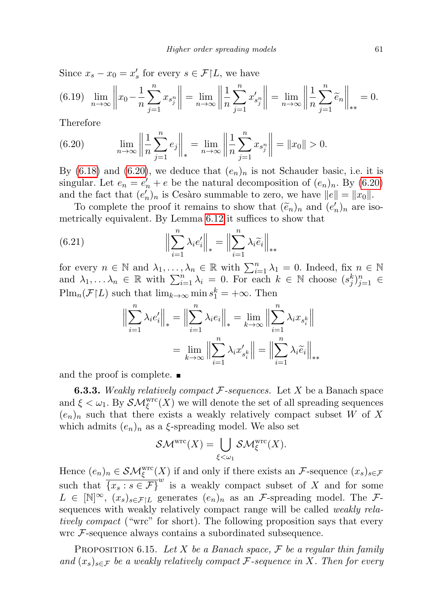Since  $x_s - x_0 = x'_s$  for every  $s \in \mathcal{F}|L$ , we have

$$
(6.19) \quad \lim_{n \to \infty} \left\| x_0 - \frac{1}{n} \sum_{j=1}^n x_{s_j^n} \right\| = \lim_{n \to \infty} \left\| \frac{1}{n} \sum_{j=1}^n x'_{s_j^n} \right\| = \lim_{n \to \infty} \left\| \frac{1}{n} \sum_{j=1}^n \widetilde{e}_n \right\|_{**} = 0.
$$

Therefore

<span id="page-38-0"></span>(6.20) 
$$
\lim_{n \to \infty} \left\| \frac{1}{n} \sum_{j=1}^{n} e_j \right\|_* = \lim_{n \to \infty} \left\| \frac{1}{n} \sum_{j=1}^{n} x_{s_j^n} \right\| = \|x_0\| > 0.
$$

By [\(6.18\)](#page-37-1) and [\(6.20\)](#page-38-0), we deduce that  $(e_n)_n$  is not Schauder basic, i.e. it is singular. Let  $e_n = e'_n + e$  be the natural decomposition of  $(e_n)_n$ . By  $(6.20)$ and the fact that  $(e'_n)_n$  is Cesàro summable to zero, we have  $||e|| = ||x_0||$ .

To complete the proof it remains to show that  $(\tilde{e}_n)_n$  and  $(e'_n)_n$  are iso-<br>rigally equivalent. By Lemma 6.12 it suffices to show that metrically equivalent. By Lemma [6.12](#page-36-2) it suffices to show that

(6.21) 
$$
\left\| \sum_{i=1}^{n} \lambda_{i} e_{i}' \right\|_{*} = \left\| \sum_{i=1}^{n} \lambda_{i} \widetilde{e}_{i} \right\|_{**}
$$

for every  $n \in \mathbb{N}$  and  $\lambda_1, \ldots, \lambda_n \in \mathbb{R}$  with  $\sum_{i=1}^n \lambda_i = 0$ . Indeed, fix  $n \in \mathbb{N}$ and  $\lambda_1, \ldots, \lambda_n \in \mathbb{R}$  with  $\sum_{i=1}^n \lambda_i = 0$ . For each  $k \in \mathbb{N}$  choose  $(s_j^k)_{j=1}^n \in$  $\text{Plm}_n(\mathcal{F}|L)$  such that  $\lim_{k\to\infty} \min s_1^k = +\infty$ . Then

$$
\left\| \sum_{i=1}^{n} \lambda_i e'_i \right\|_* = \left\| \sum_{i=1}^{n} \lambda_i e_i \right\|_* = \lim_{k \to \infty} \left\| \sum_{i=1}^{n} \lambda_i x_{s_i^k} \right\|
$$

$$
= \lim_{k \to \infty} \left\| \sum_{i=1}^{n} \lambda_i x'_{s_i^k} \right\| = \left\| \sum_{i=1}^{n} \lambda_i \widetilde{e}_i \right\|_{**}
$$

and the proof is complete.

**6.3.3.** Weakly relatively compact  $\mathcal{F}$ -sequences. Let X be a Banach space and  $\xi < \omega_1$ . By  $\mathcal{SM}^{\text{wrc}}_{\xi}(X)$  we will denote the set of all spreading sequences  $(e_n)_n$  such that there exists a weakly relatively compact subset W of X which admits  $(e_n)_n$  as a  $\xi$ -spreading model. We also set

$$
\mathcal{SM}^{\mathrm{wrc}}(X) = \bigcup_{\xi < \omega_1} \mathcal{SM}^{\mathrm{wrc}}_{\xi}(X).
$$

Hence  $(e_n)_n \in \mathcal{SM}^{\text{wrc}}_{\xi}(X)$  if and only if there exists an *F*-sequence  $(x_s)_{s \in \mathcal{F}}$ such that  $\overline{\{x_s : s \in \mathcal{F}\}}^w$  is a weakly compact subset of X and for some  $L \in [\mathbb{N}]^{\infty}$ ,  $(x_s)_{s \in \mathcal{F}|L}$  generates  $(e_n)_n$  as an *F*-spreading model. The *F*sequences with weakly relatively compact range will be called *weakly rela*tively compact ("wrc" for short). The following proposition says that every wrc F-sequence always contains a subordinated subsequence.

<span id="page-38-1"></span>PROPOSITION 6.15. Let X be a Banach space,  $\mathcal F$  be a regular thin family and  $(x_s)_{s\in\mathcal{F}}$  be a weakly relatively compact F-sequence in X. Then for every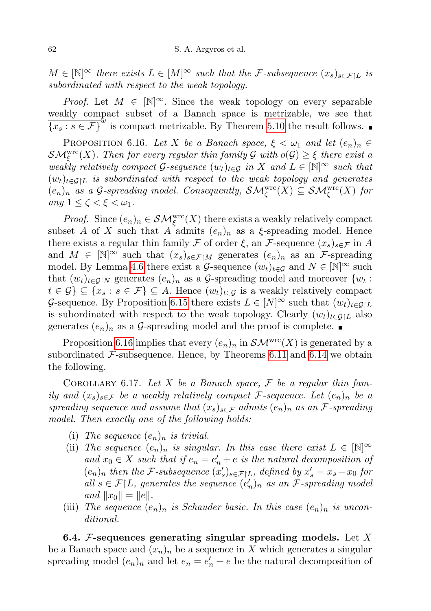$M \in \mathbb{N}^\infty$  there exists  $L \in [M]^\infty$  such that the F-subsequence  $(x_s)_{s \in \mathcal{F} | L}$  is subordinated with respect to the weak topology.

*Proof.* Let  $M \in [\mathbb{N}]^{\infty}$ . Since the weak topology on every separable weakly compact subset of a Banach space is metrizable, we see that  $\overline{\{x_s : s \in \mathcal{F}\}}^{\hat{w}}$  is compact metrizable. By Theorem [5.10](#page-26-0) the result follows.

<span id="page-39-2"></span>PROPOSITION 6.16. Let X be a Banach space,  $\xi < \omega_1$  and let  $(e_n)_n \in$  $\mathcal{SM}^\mathrm{wrc}_\xi(X)$ . Then for every regular thin family  $\mathcal G$  with  $o(\mathcal G)\geq \xi$  there exist a weakly relatively compact G-sequence  $(w_t)_{t \in \mathcal{G}}$  in X and  $L \in [\mathbb{N}]^{\infty}$  such that  $(w_t)_{t \in \mathcal{G} \setminus L}$  is subordinated with respect to the weak topology and generates  $(e_n)_n$  as a G-spreading model. Consequently,  $\mathcal{SM}^{\text{wrc}}_{\zeta}(X) \subseteq \mathcal{SM}^{\text{wrc}}_{\xi}(X)$  for any  $1 \leq \zeta < \xi < \omega_1$ .

*Proof.* Since  $(e_n)_n \in \mathcal{SM}^{\text{wrc}}_{\xi}(X)$  there exists a weakly relatively compact subset A of X such that A admits  $(e_n)_n$  as a  $\xi$ -spreading model. Hence there exists a regular thin family F of order  $\xi$ , an F-sequence  $(x_s)_{s \in \mathcal{F}}$  in A and  $M \in [\mathbb{N}]^{\infty}$  such that  $(x_s)_{s \in \mathcal{F} \upharpoonright M}$  generates  $(e_n)_n$  as an *F*-spreading model. By Lemma [4.6](#page-20-0) there exist a G-sequence  $(w_t)_{t \in G}$  and  $N \in \mathbb{N}^{\infty}$  such that  $(w_t)_{t \in \mathcal{G} \mid N}$  generates  $(e_n)_n$  as a G-spreading model and moreover  $\{w_t :$  $t \in \mathcal{G} \subseteq \{x_s : s \in \mathcal{F}\} \subseteq A$ . Hence  $(w_t)_{t \in \mathcal{G}}$  is a weakly relatively compact G-sequence. By Proposition [6.15](#page-38-1) there exists  $L \in [N]^\infty$  such that  $(w_t)_{t \in \mathcal{G}|L}$ is subordinated with respect to the weak topology. Clearly  $(w_t)_{t \in \mathcal{G}|L}$  also generates  $(e_n)_n$  as a G-spreading model and the proof is complete.

Proposition [6.16](#page-39-2) implies that every  $(e_n)_n$  in  $\mathcal{SM}^{\text{wrc}}(X)$  is generated by a subordinated  $\mathcal{F}\text{-subsequence}$ . Hence, by Theorems [6.11](#page-35-0) and [6.14](#page-37-0) we obtain the following.

<span id="page-39-0"></span>COROLLARY 6.17. Let X be a Banach space,  $\mathcal F$  be a regular thin family and  $(x_s)_{s \in \mathcal{F}}$  be a weakly relatively compact F-sequence. Let  $(e_n)_n$  be a spreading sequence and assume that  $(x_s)_{s\in\mathcal{F}}$  admits  $(e_n)_n$  as an F-spreading model. Then exactly one of the following holds:

- (i) The sequence  $(e_n)_n$  is trivial.
- (ii) The sequence  $(e_n)_n$  is singular. In this case there exist  $L \in [\mathbb{N}]^{\infty}$ and  $x_0 \in X$  such that if  $e_n = e'_n + e$  is the natural decomposition of  $(e_n)_n$  then the *F*-subsequence  $(x'_s)_{s \in \mathcal{F}|L}$ , defined by  $x'_s = x_s - x_0$  for all  $s \in \mathcal{F}|L$ , generates the sequence  $(e_n)_n$  as an  $\mathcal{F}$ -spreading model and  $||x_0|| = ||e||$ .
- (iii) The sequence  $(e_n)_n$  is Schauder basic. In this case  $(e_n)_n$  is unconditional.

<span id="page-39-1"></span>6.4. F-sequences generating singular spreading models. Let X be a Banach space and  $(x_n)_n$  be a sequence in X which generates a singular spreading model  $(e_n)_n$  and let  $e_n = e'_n + e$  be the natural decomposition of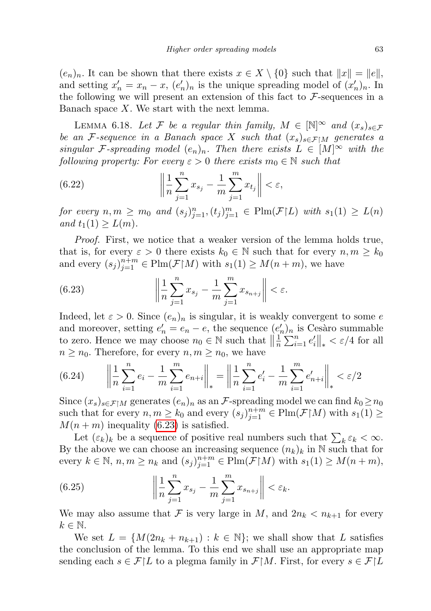$(e_n)_n$ . It can be shown that there exists  $x \in X \setminus \{0\}$  such that  $||x|| = ||e||$ , and setting  $x'_n = x_n - x$ ,  $(e'_n)_n$  is the unique spreading model of  $(x'_n)_n$ . In the following we will present an extension of this fact to  $\mathcal{F}\text{-sequences}$  in a Banach space  $X$ . We start with the next lemma.

<span id="page-40-2"></span>LEMMA 6.18. Let F be a regular thin family,  $M \in \mathbb{N}^{\infty}$  and  $(x_s)_{s \in \mathcal{F}}$ be an F-sequence in a Banach space X such that  $(x_s)_{s \in \mathcal{F} \setminus M}$  generates a singular F-spreading model  $(e_n)_n$ . Then there exists  $L \in [M]^\infty$  with the following property: For every  $\varepsilon > 0$  there exists  $m_0 \in \mathbb{N}$  such that

(6.22) 
$$
\left\| \frac{1}{n} \sum_{j=1}^{n} x_{s_j} - \frac{1}{m} \sum_{j=1}^{m} x_{t_j} \right\| < \varepsilon,
$$

for every  $n, m \geq m_0$  and  $(s_j)_{j=1}^n, (t_j)_{j=1}^m \in \text{Plm}(\mathcal{F}|L)$  with  $s_1(1) \geq L(n)$ and  $t_1(1) \geq L(m)$ .

Proof. First, we notice that a weaker version of the lemma holds true, that is, for every  $\varepsilon > 0$  there exists  $k_0 \in \mathbb{N}$  such that for every  $n, m \geq k_0$ and every  $(s_j)_{j=1}^{n+m} \in \text{Plm}(\mathcal{F} | M)$  with  $s_1(1) \geq M(n+m)$ , we have

<span id="page-40-0"></span>(6.23) 
$$
\left\| \frac{1}{n} \sum_{j=1}^{n} x_{s_j} - \frac{1}{m} \sum_{j=1}^{m} x_{s_{n+j}} \right\| < \varepsilon.
$$

Indeed, let  $\varepsilon > 0$ . Since  $(e_n)_n$  is singular, it is weakly convergent to some e and moreover, setting  $e'_n = e_n - e$ , the sequence  $(e'_n)_n$  is Cesaro summable to zero. Hence we may choose  $n_0 \in \mathbb{N}$  such that  $\left\|\frac{1}{n}\right\|$  $\frac{1}{n}\sum_{i=1}^{n} e_i' \|_{*} < \varepsilon/4$  for all  $n \geq n_0$ . Therefore, for every  $n, m \geq n_0$ , we have

$$
(6.24) \qquad \left\| \frac{1}{n} \sum_{i=1}^{n} e_i - \frac{1}{m} \sum_{i=1}^{m} e_{n+i} \right\|_{*} = \left\| \frac{1}{n} \sum_{i=1}^{n} e'_i - \frac{1}{m} \sum_{i=1}^{m} e'_{n+i} \right\|_{*} < \varepsilon/2
$$

Since  $(x_s)_{s\in\mathcal{F}|M}$  generates  $(e_n)_n$  as an  $\mathcal{F}\text{-spreading}$  model we can find  $k_0 \ge n_0$ such that for every  $n, m \geq k_0$  and every  $(s_j)_{j=1}^{n+m} \in \text{Plm}(\mathcal{F} \restriction M)$  with  $s_1(1) \geq$  $M(n+m)$  inequality [\(6.23\)](#page-40-0) is satisfied.

Let  $(\varepsilon_k)_k$  be a sequence of positive real numbers such that  $\sum_k \varepsilon_k < \infty$ . By the above we can choose an increasing sequence  $(n_k)_k$  in N such that for every  $k \in \mathbb{N}$ ,  $n, m \geq n_k$  and  $(s_j)_{j=1}^{n+m} \in \text{Plm}(\mathcal{F} | M)$  with  $s_1(1) \geq M(n+m)$ ,

<span id="page-40-1"></span>(6.25) 
$$
\left\| \frac{1}{n} \sum_{j=1}^{n} x_{s_j} - \frac{1}{m} \sum_{j=1}^{m} x_{s_{n+j}} \right\| < \varepsilon_k.
$$

We may also assume that F is very large in M, and  $2n_k < n_{k+1}$  for every  $k \in \mathbb{N}$ .

We set  $L = \{M(2n_k + n_{k+1}) : k \in \mathbb{N}\}$ ; we shall show that L satisfies the conclusion of the lemma. To this end we shall use an appropriate map sending each  $s \in \mathcal{F}|L$  to a plegma family in  $\mathcal{F}|M$ . First, for every  $s \in \mathcal{F}|L$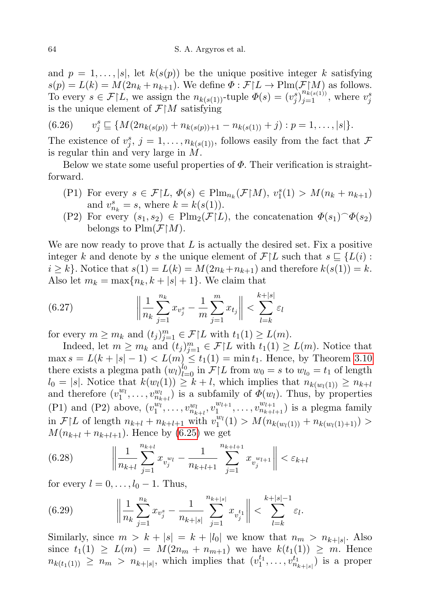and  $p = 1, \ldots, |s|$ , let  $k(s(p))$  be the unique positive integer k satisfying  $s(p) = L(k) = M(2n_k + n_{k+1})$ . We define  $\Phi : \mathcal{F} | L \to \text{Plm}(\mathcal{F} | M)$  as follows. To every  $s \in \mathcal{F}[L]$ , we assign the  $n_{k(s(1))}$ -tuple  $\Phi(s) = (v_j^s)_{j=1}^{n_{k(s(1))}^s}$ , where  $v_j^s$ is the unique element of  $\mathcal{F} | M$  satisfying

$$
(6.26) \t v_j^s \sqsubseteq \{ M(2n_{k(s(p))} + n_{k(s(p)) + 1} - n_{k(s(1))} + j) : p = 1, ..., |s| \}.
$$

The existence of  $v_j^s$ ,  $j = 1, \ldots, n_{k(s(1))}$ , follows easily from the fact that  $\mathcal F$ is regular thin and very large in M.

Below we state some useful properties of  $\Phi$ . Their verification is straightforward.

- (P1) For every  $s \in \mathcal{F}|L, \Phi(s) \in \text{Plm}_{n_k}(\mathcal{F}|M), v_1^s(1) > M(n_k + n_{k+1})$ and  $v_{n_k}^s = s$ , where  $k = k(s(1))$ .
- (P2) For every  $(s_1, s_2) \in \text{Plm}_2(\mathcal{F}|L)$ , the concatenation  $\Phi(s_1) \hat{\Phi}(s_2)$ belongs to  $\text{Plm}(\mathcal{F} | M)$ .

We are now ready to prove that  $L$  is actually the desired set. Fix a positive integer k and denote by s the unique element of  $\mathcal{F}|L$  such that  $s \subseteq \{L(i) :$  $i \geq k$ . Notice that  $s(1) = L(k) = M(2n_k + n_{k+1})$  and therefore  $k(s(1)) = k$ . Also let  $m_k = \max\{n_k, k + |s| + 1\}$ . We claim that

<span id="page-41-0"></span>(6.27) 
$$
\left\| \frac{1}{n_k} \sum_{j=1}^{n_k} x_{v_j^s} - \frac{1}{m} \sum_{j=1}^{m} x_{t_j} \right\| < \sum_{l=k}^{k+|s|} \varepsilon_l
$$

for every  $m \ge m_k$  and  $(t_j)_{j=1}^m \in \mathcal{F} \restriction L$  with  $t_1(1) \ge L(m)$ .

Indeed, let  $m \geq m_k$  and  $(t_j)_{j=1}^m \in \mathcal{F}|L$  with  $t_1(1) \geq L(m)$ . Notice that  $\max s = L(k + |s| - 1) < L(m) \le t_1(1) = \min t_1$ . Hence, by Theorem [3.10](#page-12-1) there exists a plegma path  $(w_l)_{l=0}^{l_0}$  in  $\mathcal{F}|L$  from  $w_0 = s$  to  $w_{l_0} = t_1$  of length  $l_0 = |s|$ . Notice that  $k(w_l(1)) \geq k+l$ , which implies that  $n_{k(w_l(1))} \geq n_{k+l}$ and therefore  $(v_1^{w_l}, \ldots, v_{n_{k+l}}^{w_l})$  is a subfamily of  $\Phi(w_l)$ . Thus, by properties (P1) and (P2) above,  $(v_1^{w_1}, \ldots, v_{n_{k+l}}^{w_l}, v_1^{w_{l+1}})$  $v_{l+1}^{w_{l+1}}, \ldots, v_{n_{k+l+1}}^{w_{l+1}})$  is a plegma family in  $\mathcal{F}|L$  of length  $n_{k+l} + n_{k+l+1}$  with  $v_1^{w_l}(1) > M(n_{k(w_l(1))} + n_{k(w_l(1)+1)})$  $M(n_{k+l} + n_{k+l+1})$ . Hence by [\(6.25\)](#page-40-1) we get

(6.28) 
$$
\left\| \frac{1}{n_{k+l}} \sum_{j=1}^{n_{k+l}} x_{v_j^{w_l}} - \frac{1}{n_{k+l+1}} \sum_{j=1}^{n_{k+l+1}} x_{v_j^{w_{l+1}}} \right\| < \varepsilon_{k+l}
$$

for every  $l = 0, \ldots, l_0 - 1$ . Thus,

<span id="page-41-1"></span>(6.29) 
$$
\left\| \frac{1}{n_k} \sum_{j=1}^{n_k} x_{v_j^s} - \frac{1}{n_{k+|s|}} \sum_{j=1}^{n_{k+|s|}} x_{v_j^{t_1}} \right\| < \sum_{l=k}^{k+|s|-1} \varepsilon_l.
$$

Similarly, since  $m > k + |s| = k + |l_0|$  we know that  $n_m > n_{k+|s|}$ . Also since  $t_1(1) \ge L(m) = M(2n_m + n_{m+1})$  we have  $k(t_1(1)) \ge m$ . Hence  $n_{k(t_1(1))} \geq n_m > n_{k+|s|}$ , which implies that  $(v_1^{t_1}, \ldots, v_{n_{k+|s|}}^{t_1})$  is a proper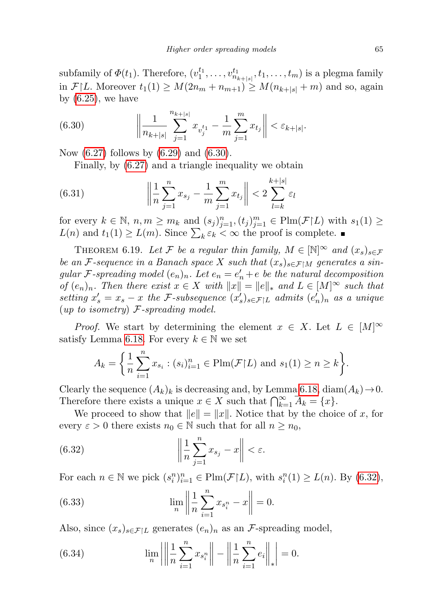subfamily of  $\Phi(t_1)$ . Therefore,  $(v_1^{t_1}, \ldots, v_{n_{k+|s|}}^{t_1}, t_1, \ldots, t_m)$  is a plegma family in  $\mathcal{F}|L$ . Moreover  $t_1(1) \geq M(2n_m + n_{m+1}) \geq M(n_{k+|s|} + m)$  and so, again by  $(6.25)$ , we have

<span id="page-42-1"></span>(6.30) 
$$
\left\| \frac{1}{n_{k+|s|}} \sum_{j=1}^{n_{k+|s|}} x_{v_j^{t_1}} - \frac{1}{m} \sum_{j=1}^{m} x_{t_j} \right\| < \varepsilon_{k+|s|}.
$$

Now  $(6.27)$  follows by  $(6.29)$  and  $(6.30)$ .

Finally, by [\(6.27\)](#page-41-0) and a triangle inequality we obtain

(6.31) 
$$
\left\| \frac{1}{n} \sum_{j=1}^{n} x_{s_j} - \frac{1}{m} \sum_{j=1}^{m} x_{t_j} \right\| < 2 \sum_{l=k}^{k+|s|} \varepsilon_l
$$

for every  $k \in \mathbb{N}$ ,  $n, m \ge m_k$  and  $(s_j)_{j=1}^n, (t_j)_{j=1}^m \in \text{Plm}(\mathcal{F}|L)$  with  $s_1(1) \ge$  $L(n)$  and  $t_1(1) \ge L(m)$ . Since  $\sum_k \varepsilon_k < \infty$  the proof is complete.

<span id="page-42-0"></span>THEOREM 6.19. Let F be a regular thin family,  $M \in [\mathbb{N}]^{\infty}$  and  $(x_s)_{s \in \mathcal{F}}$ be an F-sequence in a Banach space X such that  $(x_s)_{s \in \mathcal{F} \setminus M}$  generates a singular F-spreading model  $(e_n)_n$ . Let  $e_n = e'_n + e$  be the natural decomposition of  $(e_n)_n$ . Then there exist  $x \in X$  with  $||x|| = ||e||_*$  and  $L \in [M]^\infty$  such that setting  $x'_s = x_s - x$  the F-subsequence  $(x'_s)_{s \in \mathcal{F} | L}$  admits  $(e'_n)_n$  as a unique  $(up to isometry)$  F-spreading model.

*Proof.* We start by determining the element  $x \in X$ . Let  $L \in [M]^\infty$ satisfy Lemma [6.18.](#page-40-2) For every  $k \in \mathbb{N}$  we set

$$
A_k = \left\{ \frac{1}{n} \sum_{i=1}^n x_{s_i} : (s_i)_{i=1}^n \in \text{Plm}(\mathcal{F}|L) \text{ and } s_1(1) \geq n \geq k \right\}.
$$

Clearly the sequence  $(A_k)_k$  is decreasing and, by Lemma [6.18,](#page-40-2) diam $(A_k) \rightarrow 0$ . Therefore there exists a unique  $x \in X$  such that  $\bigcap_{k=1}^{\infty} \overline{A_k} = \{x\}.$ 

We proceed to show that  $||e|| = ||x||$ . Notice that by the choice of x, for every  $\varepsilon > 0$  there exists  $n_0 \in \mathbb{N}$  such that for all  $n \geq n_0$ ,

<span id="page-42-2"></span>(6.32) 
$$
\left\|\frac{1}{n}\sum_{j=1}^{n}x_{s_j}-x\right\|<\varepsilon.
$$

For each  $n \in \mathbb{N}$  we pick  $(s_i^n)_{i=1}^n \in \text{Plm}(\mathcal{F}\upharpoonright L)$ , with  $s_i^n(1) \ge L(n)$ . By  $(6.32)$ ,

<span id="page-42-4"></span>(6.33) 
$$
\lim_{n} \left\| \frac{1}{n} \sum_{i=1}^{n} x_{s_i^n} - x \right\| = 0.
$$

Also, since  $(x_s)_{s \in \mathcal{F} | L}$  generates  $(e_n)_n$  as an *F*-spreading model,

<span id="page-42-3"></span>(6.34) 
$$
\lim_{n} \left| \left| \frac{1}{n} \sum_{i=1}^{n} x_{s_i^n} \right| \right| - \left| \left| \frac{1}{n} \sum_{i=1}^{n} e_i \right| \right|_* = 0.
$$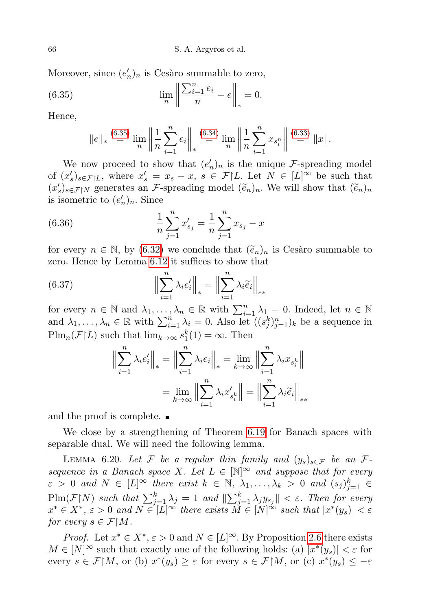Moreover, since  $(e'_n)_n$  is Cesàro summable to zero,

(6.35) 
$$
\lim_{n} \left\| \frac{\sum_{i=1}^{n} e_i}{n} - e \right\|_{*} = 0.
$$

Hence,

<span id="page-43-0"></span>
$$
||e||_* \stackrel{(6.35)}{=} \lim_{n} \left\| \frac{1}{n} \sum_{i=1}^{n} e_i \right\|_* \stackrel{(6.34)}{=} \lim_{n} \left\| \frac{1}{n} \sum_{i=1}^{n} x_{s_i^n} \right\| \stackrel{(6.33)}{=} ||x||.
$$

We now proceed to show that  $(e'_n)_n$  is the unique F-spreading model of  $(x'_s)_{s \in \mathcal{F}|L}$ , where  $x'_s = x_s - x$ ,  $s \in \mathcal{F}|L$ . Let  $N \in [L]^\infty$  be such that  $(x'_s)_{s \in \mathcal{F}|N}$  generates an F-spreading model  $(\tilde{e}_n)_n$ . We will show that  $(\tilde{e}_n)_n$ is isometric to  $(e'_n)_n$ . Since

(6.36) 
$$
\frac{1}{n} \sum_{j=1}^{n} x'_{s_j} = \frac{1}{n} \sum_{j=1}^{n} x_{s_j} - x
$$

for every  $n \in \mathbb{N}$ , by [\(6.32\)](#page-42-2) we conclude that  $(\tilde{e}_n)_n$  is Cesaro summable to zero. Hence by Lemma [6.12](#page-36-2) it suffices to show that

(6.37) 
$$
\left\| \sum_{i=1}^{n} \lambda_{i} e_{i}' \right\|_{*} = \left\| \sum_{i=1}^{n} \lambda_{i} \widetilde{e}_{i} \right\|_{*}
$$

for every  $n \in \mathbb{N}$  and  $\lambda_1, \ldots, \lambda_n \in \mathbb{R}$  with  $\sum_{i=1}^n \lambda_i = 0$ . Indeed, let  $n \in \mathbb{N}$ and  $\lambda_1, \ldots, \lambda_n \in \mathbb{R}$  with  $\sum_{i=1}^n \lambda_i = 0$ . Also let  $((s_j^k)_{j=1}^n)_k$  be a sequence in  $\text{Plm}_n(\mathcal{F}|L)$  such that  $\lim_{k\to\infty} s_1^k(1) = \infty$ . Then

$$
\left\| \sum_{i=1}^{n} \lambda_i e_i' \right\|_{*} = \left\| \sum_{i=1}^{n} \lambda_i e_i \right\|_{*} = \lim_{k \to \infty} \left\| \sum_{i=1}^{n} \lambda_i x_{s_i^k} \right\|
$$

$$
= \lim_{k \to \infty} \left\| \sum_{i=1}^{n} \lambda_i x_{s_i^k}' \right\| = \left\| \sum_{i=1}^{n} \lambda_i \widetilde{e}_i \right\|_{**}
$$

and the proof is complete.  $\blacksquare$ 

We close by a strengthening of Theorem [6.19](#page-42-0) for Banach spaces with separable dual. We will need the following lemma.

<span id="page-43-1"></span>LEMMA 6.20. Let F be a regular thin family and  $(y_s)_{s \in \mathcal{F}}$  be an Fsequence in a Banach space X. Let  $L \in \mathbb{N}^{\infty}$  and suppose that for every  $\varepsilon > 0$  and  $N \in [L]^{\infty}$  there exist  $k \in \mathbb{N}$ ,  $\lambda_1, \ldots, \lambda_k > 0$  and  $(s_j)_{j=1}^k \in$  $\text{Plm}(\mathcal{F}|N)$  such that  $\sum_{j=1}^k \lambda_j = 1$  and  $\|\sum_{j=1}^k \lambda_j y_{s_j}\| < \varepsilon$ . Then for every  $x^* \in X^*, \, \varepsilon > 0$  and  $N \in [L]^\infty$  there exists  $\check{M} \in [N]^\infty$  such that  $|x^*(y_s)| < \varepsilon$ for every  $s \in \mathcal{F}{M}$ .

*Proof.* Let  $x^* \in X^*, \varepsilon > 0$  and  $N \in [L]^\infty$ . By Proposition [2.6](#page-6-2) there exists  $M \in [N]^\infty$  such that exactly one of the following holds: (a)  $|x^*(y_s)| < \varepsilon$  for every  $s \in \mathcal{F}|M$ , or (b)  $x^*(y_s) \geq \varepsilon$  for every  $s \in \mathcal{F}|M$ , or (c)  $x^*(y_s) \leq -\varepsilon$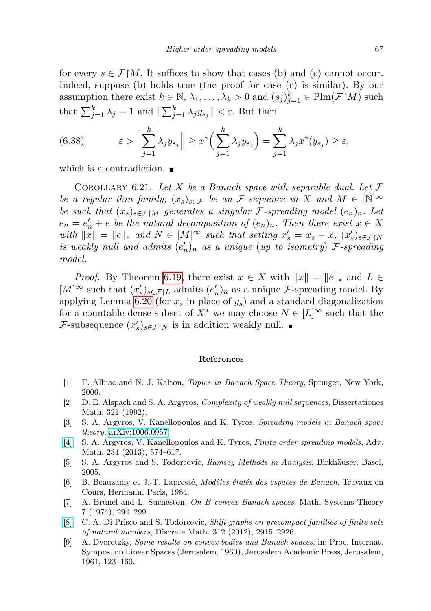for every  $s \in \mathcal{F} \upharpoonright M$ . It suffices to show that cases (b) and (c) cannot occur. Indeed, suppose (b) holds true (the proof for case (c) is similar). By our assumption there exist  $k \in \mathbb{N}, \lambda_1, \ldots, \lambda_k > 0$  and  $(s_j)_{j=1}^k \in \text{Plm}(\mathcal{F} | M)$  such that  $\sum_{j=1}^{k} \lambda_j = 1$  and  $\|\sum_{j=1}^{k} \lambda_j y_{s_j}\| < \varepsilon$ . But then

(6.38) 
$$
\varepsilon > \Big\|\sum_{j=1}^k \lambda_j y_{s_j}\Big\| \geq x^* \Big(\sum_{j=1}^k \lambda_j y_{s_j}\Big) = \sum_{j=1}^k \lambda_j x^*(y_{s_j}) \geq \varepsilon,
$$

which is a contradiction.

<span id="page-44-8"></span>COROLLARY 6.21. Let X be a Banach space with separable dual. Let  $\mathcal F$ be a regular thin family,  $(x_s)_{s \in \mathcal{F}}$  be an *F*-sequence in X and  $M \in [\mathbb{N}]^{\infty}$ be such that  $(x_s)_{s \in \mathcal{F} \upharpoonright M}$  generates a singular *F*-spreading model  $(e_n)_n$ . Let  $e_n = e'_n + e$  be the natural decomposition of  $(e_n)_n$ . Then there exist  $x \in X$ with  $||x|| = ||e||_*$  and  $N \in [M]^\infty$  such that setting  $x_s' = x_s - x$ ,  $(x_s')_{s \in \mathcal{F} \setminus N}$ is weakly null and admits  $(e'_n)_n$  as a unique (up to isometry) F-spreading model.

*Proof.* By Theorem [6.19,](#page-42-0) there exist  $x \in X$  with  $||x|| = ||e||_*$  and  $L \in$ [M]<sup>∞</sup> such that  $(x'_s)_{s \in \mathcal{F} | L}$  admits  $(e'_n)_n$  as a unique *F*-spreading model. By applying Lemma [6.20](#page-43-1) (for  $x_s$  in place of  $y_s$ ) and a standard diagonalization for a countable dense subset of  $X^*$  we may choose  $N \in [L]^\infty$  such that the *F*-subsequence  $(x'_s)_{s \in \mathcal{F} \mid N}$  is in addition weakly null.

## References

- <span id="page-44-9"></span>[1] F. Albiac and N. J. Kalton, Topics in Banach Space Theory, Springer, New York, 2006.
- <span id="page-44-3"></span>[2] D. E. Alspach and S. A. Argyros, Complexity of weakly null sequences, Dissertationes Math. 321 (1992).
- <span id="page-44-5"></span>[3] S. A. Argyros, V. Kanellopoulos and K. Tyros, Spreading models in Banach space theory, [arXiv:1006.0957.](http://arxiv.org/abs/1006.0957)
- <span id="page-44-2"></span>[\[4\]](http://dx.doi.org/10.1016/j.aim.2012.11.004) S. A. Argyros, V. Kanellopoulos and K. Tyros, Finite order spreading models, Adv. Math. 234 (2013), 574–617.
- <span id="page-44-6"></span>[5] S. A. Argyros and S. Todorcevic, Ramsey Methods in Analysis, Birkhäuser, Basel, 2005.
- <span id="page-44-4"></span>[6] B. Beauzamy et J.-T. Lapresté, Modèles étalés des espaces de Banach, Travaux en Cours, Hermann, Paris, 1984.
- <span id="page-44-0"></span>[7] A. Brunel and L. Sucheston, On B-convex Banach spaces, Math. Systems Theory 7 (1974), 294–299.
- <span id="page-44-7"></span>[\[8\]](http://dx.doi.org/10.1016/j.disc.2012.05.010) C. A. Di Prisco and S. Todorcevic, Shift graphs on precompact families of finite sets of natural numbers, Discrete Math. 312 (2012), 2915–2926.
- <span id="page-44-1"></span>[9] A. Dvoretzky, Some results on convex bodies and Banach spaces, in: Proc. Internat. Sympos. on Linear Spaces (Jerusalem, 1960), Jerusalem Academic Press, Jerusalem, 1961, 123–160.